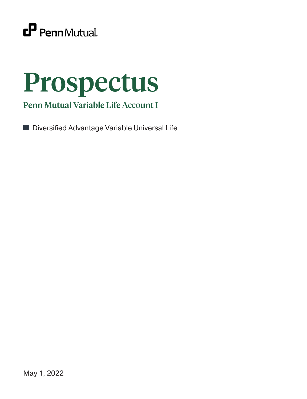

# Prospectus

Penn Mutual Variable Life Account I

■ Diversified Advantage Variable Universal Life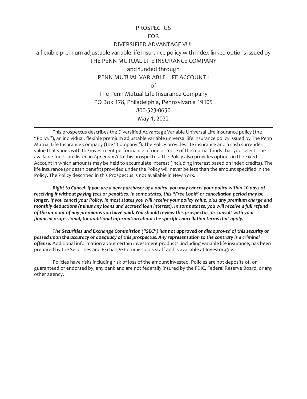## **PROSPECTUS**

#### FOR

## DIVERSIFIED ADVANTAGE VUL

a flexible premium adjustable variable life insurance policy with index-linked options issued by

THE PENN MUTUAL LIFE INSURANCE COMPANY

and funded through

# PENN MUTUAL VARIABLE LIFE ACCOUNT I

of

The Penn Mutual Life Insurance Company PO Box 178, Philadelphia, Pennsylvania 19105 800-523-0650 May 1, 2022

This prospectus describes the Diversified Advantage Variable Universal Life Insurance policy (the "Policy"), an individual, flexible premium adjustable variable universal life insurance policy issued by The Penn Mutual Life Insurance Company (the "Company"). The Policy provides life insurance and a cash surrender value that varies with the investment performance of one or more of the mutual funds that you select. The available funds are listed in *Appendix A* to this prospectus. The Policy also provides options in the Fixed Account in which amounts may be held to accumulate interest (including interest based on index credits). The life insurance (or death benefit) provided under the Policy will never be less than the amount specified in the Policy. The Policy described in this Prospectus is not available in New York.

*Right to Cancel. If you are a new purchaser of a policy, you may cancel your policy within 10 days of receiving it without paying fees or penalties. In some states, this "Free Look" or cancellation period may be longer. If you cancel your Policy, in most states you will receive your policy value, plus any premium charge and monthly deductions (minus any loans and accrued loan interest). In some states, you will receive a full refund of the amount of any premiums you have paid. You should review this prospectus, or consult with your financial professional, for additional information about the specific cancellation terms that apply.*

*The Securities and Exchange Commission ("SEC") has not approved or disapproved of this security or passed upon the accuracy or adequacy of this prospectus. Any representation to the contrary is a criminal offense.* Additional information about certain investment products, including variable life insurance, has been prepared by the Securities and Exchange Commission's staff and is available at Investor.gov.

Policies have risks including risk of loss of the amount invested. Policies are not deposits of, or guaranteed or endorsed by, any bank and are not federally insured by the FDIC, Federal Reserve Board, or any other agency.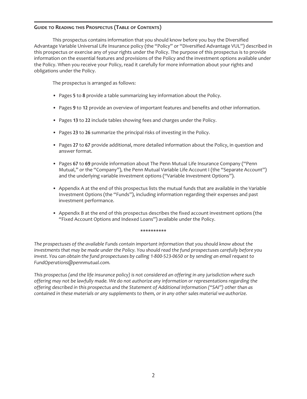# **GUIDE TO READING THIS PROSPECTUS (TABLE OF CONTENTS)**

This prospectus contains information that you should know before you buy the Diversified Advantage Variable Universal Life Insurance policy (the "Policy" or "Diversified Advantage VUL") described in this prospectus or exercise any of your rights under the Policy. The purpose of this prospectus is to provide information on the essential features and provisions of the Policy and the investment options available under the Policy. When you receive your Policy, read it carefully for more information about your rights and obligations under the Policy.

The prospectus is arranged as follows:

- Pages **5** to **8** provide a table summarizing key information about the Policy.
- Pages **9** to **12** provide an overview of important features and benefits and other information.
- Pages **13** to **22** include tables showing fees and charges under the Policy.
- Pages **23** to **26** summarize the principal risks of investing in the Policy.
- Pages **27** to **67** provide additional, more detailed information about the Policy, in question and answer format.
- Pages **67** to **69** provide information about The Penn Mutual Life Insurance Company ("Penn Mutual," or the "Company"), the Penn Mutual Variable Life Account I (the "Separate Account") and the underlying variable investment options ("Variable Investment Options").
- Appendix A at the end of this prospectus lists the mutual funds that are available in the Variable Investment Options (the "Funds"), including information regarding their expenses and past investment performance.
- Appendix B at the end of this prospectus describes the fixed account investment options (the "Fixed Account Options and Indexed Loans") available under the Policy.

#### **\*\*\*\*\*\*\*\*\*\***

*The prospectuses of the available Funds contain important information that you should know about the investments that may be made under the Policy. You should read the fund prospectuses carefully before you invest. You can obtain the fund prospectuses by calling 1-800-523-0650 or by sending an email request to FundOperations@pennmutual.com.*

*This prospectus (and the life insurance policy) is not considered an offering in any jurisdiction where such offering may not be lawfully made. We do not authorize any information or representations regarding the offering described in this prospectus and the Statement of Additional Information ("SAI") other than as contained in these materials or any supplements to them, or in any other sales material we authorize.*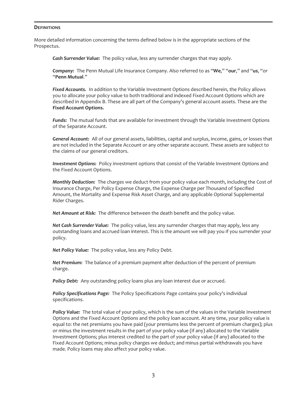#### **DEFINITIONS**

More detailed information concerning the terms defined below is in the appropriate sections of the Prospectus.

*Cash Surrender Value:* The policy value, less any surrender charges that may apply.

*Company:* The Penn Mutual Life Insurance Company. Also referred to as "**We**," "**our**," and "**us**, "or "**Penn Mutual**."

*Fixed Accounts.* In addition to the Variable Investment Options described herein, the Policy allows you to allocate your policy value to both traditional and indexed Fixed Account Options which are described in Appendix B. These are all part of the Company's general account assets. These are the **Fixed Account Options.**

*Funds:* The mutual funds that are available for investment through the Variable Investment Options of the Separate Account.

*General Account:* All of our general assets, liabilities, capital and surplus, income, gains, or losses that are not included in the Separate Account or any other separate account. These assets are subject to the claims of our general creditors.

*Investment Options:* Policy investment options that consist of the Variable Investment Options and the Fixed Account Options.

*Monthly Deduction:* The charges we deduct from your policy value each month, including the Cost of Insurance Charge, Per Policy Expense Charge, the Expense Charge per Thousand of Specified Amount, the Mortality and Expense Risk Asset Charge, and any applicable Optional Supplemental Rider Charges.

*Net Amount at Risk:* The difference between the death benefit and the policy value.

*Net Cash Surrender Value:* The policy value, less any surrender charges that may apply, less any outstanding loans and accrued loan interest. This is the amount we will pay you if you surrender your policy.

*Net Policy Value:* The policy value, less any Policy Debt.

*Net Premium:* The balance of a premium payment after deduction of the percent of premium charge.

Policy Debt: Any outstanding policy loans plus any loan interest due or accrued.

*Policy Specifications Page:* The Policy Specifications Page contains your policy's individual specifications.

*Policy Value:* The total value of your policy, which is the sum of the values in the Variable Investment Options and the Fixed Account Options and the policy loan account. At any time, your policy value is equal to: the net premiums you have paid (your premiums less the percent of premium charges); plus or minus the investment results in the part of your policy value (if any) allocated to the Variable Investment Options; plus interest credited to the part of your policy value (if any) allocated to the Fixed Account Options; minus policy charges we deduct; and minus partial withdrawals you have made. Policy loans may also affect your policy value.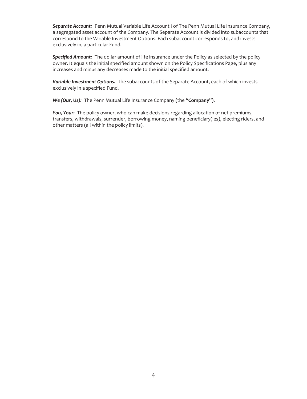*Separate Account:* Penn Mutual Variable Life Account I of The Penn Mutual Life Insurance Company, a segregated asset account of the Company. The Separate Account is divided into subaccounts that correspond to the Variable Investment Options. Each subaccount corresponds to, and invests exclusively in, a particular Fund.

*Specified Amount:* The dollar amount of life insurance under the Policy as selected by the policy owner. It equals the initial specified amount shown on the Policy Specifications Page, plus any increases and minus any decreases made to the initial specified amount.

*Variable Investment Options.* The subaccounts of the Separate Account, each of which invests exclusively in a specified Fund.

*We (Our, Us):* The Penn Mutual Life Insurance Company **(**the **"Company").**

*You, Your:* The policy owner, who can make decisions regarding allocation of net premiums, transfers, withdrawals, surrender, borrowing money, naming beneficiary(ies), electing riders, and other matters (all within the policy limits).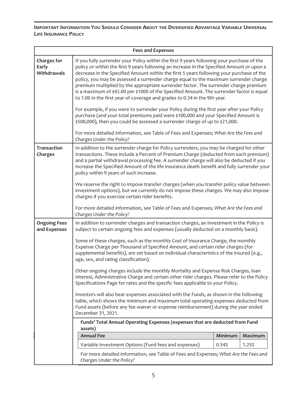**IMPORTANT INFORMATION YOU SHOULD CONSIDER ABOUT THE DIVERSIFIED ADVANTAGE VARIABLE UNIVERSAL LIFE INSURANCE POLICY**

| <b>Fees and Expenses</b>                   |                                                                                                                                                                                                                                                                                                                                                                                                                                                                                                                                                                                                                                                                                                                                             |         |                |  |  |
|--------------------------------------------|---------------------------------------------------------------------------------------------------------------------------------------------------------------------------------------------------------------------------------------------------------------------------------------------------------------------------------------------------------------------------------------------------------------------------------------------------------------------------------------------------------------------------------------------------------------------------------------------------------------------------------------------------------------------------------------------------------------------------------------------|---------|----------------|--|--|
| <b>Charges for</b><br>Early<br>Withdrawals | If you fully surrender your Policy within the first 9 years following your purchase of the<br>policy or within the first 9 years following an increase in the Specified Amount or upon a<br>decrease in the Specified Amount within the first 5 years following your purchase of the<br>policy, you may be assessed a surrender charge equal to the maximum surrender charge<br>premium multiplied by the appropriate surrender factor. The surrender charge premium<br>is a maximum of \$42.00 per \$1000 of the Specified Amount. The surrender factor is equal<br>to 1.00 in the first year of coverage and grades to 0.34 in the 9th year.<br>For example, if you were to surrender your Policy during the first year after your Policy |         |                |  |  |
|                                            | purchase (and your total premiums paid were \$100,000 and your Specified Amount is<br>\$500,000), then you could be assessed a surrender charge of up to \$21,000.                                                                                                                                                                                                                                                                                                                                                                                                                                                                                                                                                                          |         |                |  |  |
|                                            | For more detailed information, see Table of Fees and Expenses; What Are the Fees and<br>Charges Under the Policy?                                                                                                                                                                                                                                                                                                                                                                                                                                                                                                                                                                                                                           |         |                |  |  |
| <b>Transaction</b><br>Charges              | In addition to the surrender charge for Policy surrenders, you may be charged for other<br>transactions. These include a Percent of Premium Charge (deducted from each premium)<br>and a partial withdrawal processing fee. A surrender charge will also be deducted if you<br>increase the Specified Amount of the life insurance death benefit and fully surrender your<br>policy within 9 years of such increase.                                                                                                                                                                                                                                                                                                                        |         |                |  |  |
|                                            | We reserve the right to impose transfer charges (when you transfer policy value between<br>investment options), but we currently do not impose these charges. We may also impose<br>charges if you exercise certain rider benefits.                                                                                                                                                                                                                                                                                                                                                                                                                                                                                                         |         |                |  |  |
|                                            | For more detailed information, see Table of Fees and Expenses; What Are the Fees and<br>Charges Under the Policy?                                                                                                                                                                                                                                                                                                                                                                                                                                                                                                                                                                                                                           |         |                |  |  |
| <b>Ongoing Fees</b><br>and Expenses        | In addition to surrender charges and transaction charges, an investment in the Policy is<br>subject to certain ongoing fees and expenses (usually deducted on a monthly basis).                                                                                                                                                                                                                                                                                                                                                                                                                                                                                                                                                             |         |                |  |  |
|                                            | Some of these charges, such as the monthly Cost of Insurance Charge, the monthly<br>Expense Charge per Thousand of Specified Amount, and certain rider charges (for<br>supplemental benefits), are set based on individual characteristics of the insured (e.g.,<br>age, sex, and rating classification).                                                                                                                                                                                                                                                                                                                                                                                                                                   |         |                |  |  |
|                                            | Other ongoing charges include the monthly Mortality and Expense Risk Charges, loan<br>interest, Administrative Charge and certain other rider charges. Please refer to the Policy<br>Specifications Page for rates and the specific fees applicable to your Policy.                                                                                                                                                                                                                                                                                                                                                                                                                                                                         |         |                |  |  |
|                                            | Investors will also bear expenses associated with the Funds, as shown in the following<br>table, which shows the minimum and maximum total operating expenses deducted from<br>Fund assets (before any fee waiver or expense reimbursement) during the year ended<br>December 31, 2021.                                                                                                                                                                                                                                                                                                                                                                                                                                                     |         |                |  |  |
|                                            | Funds' Total Annual Operating Expenses (expenses that are deducted from Fund<br>assets)                                                                                                                                                                                                                                                                                                                                                                                                                                                                                                                                                                                                                                                     |         |                |  |  |
|                                            | <b>Annual Fee</b>                                                                                                                                                                                                                                                                                                                                                                                                                                                                                                                                                                                                                                                                                                                           | Minimum | <b>Maximum</b> |  |  |
|                                            | Variable Investment Options (Fund fees and expenses)<br>0.34%<br>1.25%                                                                                                                                                                                                                                                                                                                                                                                                                                                                                                                                                                                                                                                                      |         |                |  |  |
|                                            | For more detailed information, see Table of Fees and Expenses; What Are the Fees and<br>Charges Under the Policy?                                                                                                                                                                                                                                                                                                                                                                                                                                                                                                                                                                                                                           |         |                |  |  |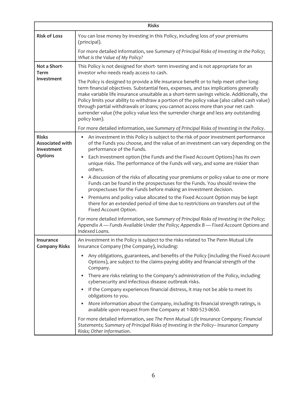| <b>Risks</b>                                         |                                                                                                                                                                                                                                                                                                                                                                                                                                                                                                                                                                            |  |  |  |
|------------------------------------------------------|----------------------------------------------------------------------------------------------------------------------------------------------------------------------------------------------------------------------------------------------------------------------------------------------------------------------------------------------------------------------------------------------------------------------------------------------------------------------------------------------------------------------------------------------------------------------------|--|--|--|
| <b>Risk of Loss</b>                                  | You can lose money by investing in this Policy, including loss of your premiums<br>(principal).                                                                                                                                                                                                                                                                                                                                                                                                                                                                            |  |  |  |
|                                                      | For more detailed information, see Summary of Principal Risks of Investing in the Policy;<br>What is the Value of My Policy?                                                                                                                                                                                                                                                                                                                                                                                                                                               |  |  |  |
| Not a Short-<br><b>Term</b>                          | This Policy is not designed for short-term investing and is not appropriate for an<br>investor who needs ready access to cash.                                                                                                                                                                                                                                                                                                                                                                                                                                             |  |  |  |
| Investment                                           | The Policy is designed to provide a life insurance benefit or to help meet other long-<br>term financial objectives. Substantial fees, expenses, and tax implications generally<br>make variable life insurance unsuitable as a short-term savings vehicle. Additionally, the<br>Policy limits your ability to withdraw a portion of the policy value (also called cash value)<br>through partial withdrawals or loans; you cannot access more than your net cash<br>surrender value (the policy value less the surrender charge and less any outstanding<br>policy loan). |  |  |  |
|                                                      | For more detailed information, see Summary of Principal Risks of Investing in the Policy.                                                                                                                                                                                                                                                                                                                                                                                                                                                                                  |  |  |  |
| <b>Risks</b><br><b>Associated with</b><br>Investment | An investment in this Policy is subject to the risk of poor investment performance<br>$\bullet$<br>of the Funds you choose, and the value of an investment can vary depending on the<br>performance of the Funds.                                                                                                                                                                                                                                                                                                                                                          |  |  |  |
| <b>Options</b>                                       | Each investment option (the Funds and the Fixed Account Options) has its own<br>$\bullet$<br>unique risks. The performance of the Funds will vary, and some are riskier than<br>others.                                                                                                                                                                                                                                                                                                                                                                                    |  |  |  |
|                                                      | A discussion of the risks of allocating your premiums or policy value to one or more<br>Funds can be found in the prospectuses for the Funds. You should review the<br>prospectuses for the Funds before making an investment decision.                                                                                                                                                                                                                                                                                                                                    |  |  |  |
|                                                      | Premiums and policy value allocated to the Fixed Account Option may be kept<br>there for an extended period of time due to restrictions on transfers out of the<br>Fixed Account Option.                                                                                                                                                                                                                                                                                                                                                                                   |  |  |  |
|                                                      | For more detailed information, see Summary of Principal Risks of Investing in the Policy;<br>Appendix A — Funds Available Under the Policy; Appendix B — Fixed Account Options and<br>Indexed Loans.                                                                                                                                                                                                                                                                                                                                                                       |  |  |  |
| Insurance<br><b>Company Risks</b>                    | An investment in the Policy is subject to the risks related to The Penn Mutual Life<br>Insurance Company (the Company), including:                                                                                                                                                                                                                                                                                                                                                                                                                                         |  |  |  |
|                                                      | Any obligations, guarantees, and benefits of the Policy (including the Fixed Account<br>Options), are subject to the claims-paying ability and financial strength of the<br>Company.                                                                                                                                                                                                                                                                                                                                                                                       |  |  |  |
|                                                      | • There are risks relating to the Company's administration of the Policy, including<br>cybersecurity and infectious disease outbreak risks.                                                                                                                                                                                                                                                                                                                                                                                                                                |  |  |  |
|                                                      | If the Company experiences financial distress, it may not be able to meet its<br>obligations to you.                                                                                                                                                                                                                                                                                                                                                                                                                                                                       |  |  |  |
|                                                      | More information about the Company, including its financial strength ratings, is<br>available upon request from the Company at 1-800-523-0650.                                                                                                                                                                                                                                                                                                                                                                                                                             |  |  |  |
|                                                      | For more detailed information, see The Penn Mutual Life Insurance Company; Financial<br>Statements; Summary of Principal Risks of Investing in the Policy-Insurance Company<br>Risks; Other Information.                                                                                                                                                                                                                                                                                                                                                                   |  |  |  |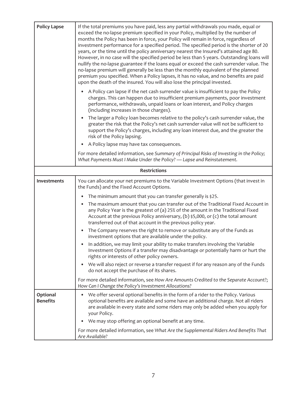| <b>Policy Lapse</b>         | If the total premiums you have paid, less any partial withdrawals you made, equal or<br>exceed the no-lapse premium specified in your Policy, multiplied by the number of<br>months the Policy has been in force, your Policy will remain in force, regardless of<br>investment performance for a specified period. The specified period is the shorter of 20<br>years, or the time until the policy anniversary nearest the Insured's attained age 80.<br>However, in no case will the specified period be less than 5 years. Outstanding loans will<br>nullify the no-lapse guarantee if the loans equal or exceed the cash surrender value. The<br>no-lapse premium will generally be less than the monthly equivalent of the planned<br>premium you specified. When a Policy lapses, it has no value, and no benefits are paid<br>upon the death of the insured. You will also lose the principal invested. |
|-----------------------------|-----------------------------------------------------------------------------------------------------------------------------------------------------------------------------------------------------------------------------------------------------------------------------------------------------------------------------------------------------------------------------------------------------------------------------------------------------------------------------------------------------------------------------------------------------------------------------------------------------------------------------------------------------------------------------------------------------------------------------------------------------------------------------------------------------------------------------------------------------------------------------------------------------------------|
|                             | A Policy can lapse if the net cash surrender value is insufficient to pay the Policy<br>charges. This can happen due to insufficient premium payments, poor investment<br>performance, withdrawals, unpaid loans or loan interest, and Policy charges<br>(including increases in those charges).                                                                                                                                                                                                                                                                                                                                                                                                                                                                                                                                                                                                                |
|                             | The larger a Policy loan becomes relative to the policy's cash surrender value, the<br>greater the risk that the Policy's net cash surrender value will not be sufficient to<br>support the Policy's charges, including any loan interest due, and the greater the<br>risk of the Policy lapsing.                                                                                                                                                                                                                                                                                                                                                                                                                                                                                                                                                                                                               |
|                             | A Policy lapse may have tax consequences.                                                                                                                                                                                                                                                                                                                                                                                                                                                                                                                                                                                                                                                                                                                                                                                                                                                                       |
|                             | For more detailed information, see Summary of Principal Risks of Investing in the Policy;<br>What Payments Must I Make Under the Policy? - Lapse and Reinstatement.                                                                                                                                                                                                                                                                                                                                                                                                                                                                                                                                                                                                                                                                                                                                             |
|                             | <b>Restrictions</b>                                                                                                                                                                                                                                                                                                                                                                                                                                                                                                                                                                                                                                                                                                                                                                                                                                                                                             |
| Investments                 | You can allocate your net premiums to the Variable Investment Options (that invest in<br>the Funds) and the Fixed Account Options.                                                                                                                                                                                                                                                                                                                                                                                                                                                                                                                                                                                                                                                                                                                                                                              |
|                             | The minimum amount that you can transfer generally is \$25.                                                                                                                                                                                                                                                                                                                                                                                                                                                                                                                                                                                                                                                                                                                                                                                                                                                     |
|                             | The maximum amount that you can transfer out of the Traditional Fixed Account in<br>any Policy Year is the greatest of (a) 25% of the amount in the Traditional Fixed<br>Account at the previous Policy anniversary, (b) \$5,000, or (c) the total amount<br>transferred out of that account in the previous policy year.                                                                                                                                                                                                                                                                                                                                                                                                                                                                                                                                                                                       |
|                             | The Company reserves the right to remove or substitute any of the Funds as<br>$\bullet$<br>investment options that are available under the policy.                                                                                                                                                                                                                                                                                                                                                                                                                                                                                                                                                                                                                                                                                                                                                              |
|                             | In addition, we may limit your ability to make transfers involving the Variable<br>Investment Options if a transfer may disadvantage or potentially harm or hurt the<br>rights or interests of other policy owners.                                                                                                                                                                                                                                                                                                                                                                                                                                                                                                                                                                                                                                                                                             |
|                             | We will also reject or reverse a transfer request if for any reason any of the Funds<br>do not accept the purchase of its shares.                                                                                                                                                                                                                                                                                                                                                                                                                                                                                                                                                                                                                                                                                                                                                                               |
|                             | For more detailed information, see How Are Amounts Credited to the Separate Account?;<br>How Can I Change the Policy's Investment Allocations?                                                                                                                                                                                                                                                                                                                                                                                                                                                                                                                                                                                                                                                                                                                                                                  |
| Optional<br><b>Benefits</b> | We offer several optional benefits in the form of a rider to the Policy. Various<br>optional benefits are available and some have an additional charge. Not all riders<br>are available in every state and some riders may only be added when you apply for<br>your Policy.                                                                                                                                                                                                                                                                                                                                                                                                                                                                                                                                                                                                                                     |
|                             | We may stop offering an optional benefit at any time.                                                                                                                                                                                                                                                                                                                                                                                                                                                                                                                                                                                                                                                                                                                                                                                                                                                           |
|                             | For more detailed information, see What Are the Supplemental Riders And Benefits That<br>Are Available?                                                                                                                                                                                                                                                                                                                                                                                                                                                                                                                                                                                                                                                                                                                                                                                                         |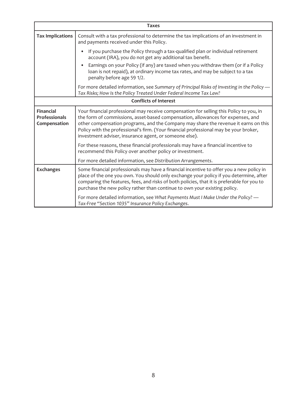| <b>Taxes</b>                                      |                                                                                                                                                                                                                                                                                                                                                                                                                      |  |  |
|---------------------------------------------------|----------------------------------------------------------------------------------------------------------------------------------------------------------------------------------------------------------------------------------------------------------------------------------------------------------------------------------------------------------------------------------------------------------------------|--|--|
| <b>Tax Implications</b>                           | Consult with a tax professional to determine the tax implications of an investment in<br>and payments received under this Policy.                                                                                                                                                                                                                                                                                    |  |  |
|                                                   | If you purchase the Policy through a tax-qualified plan or individual retirement<br>account (IRA), you do not get any additional tax benefit.                                                                                                                                                                                                                                                                        |  |  |
|                                                   | Earnings on your Policy (if any) are taxed when you withdraw them (or if a Policy<br>loan is not repaid), at ordinary income tax rates, and may be subject to a tax<br>penalty before age 59 1/2.                                                                                                                                                                                                                    |  |  |
|                                                   | For more detailed information, see Summary of Principal Risks of Investing in the Policy -<br>Tax Risks; How Is the Policy Treated Under Federal Income Tax Law?                                                                                                                                                                                                                                                     |  |  |
| <b>Conflicts of Interest</b>                      |                                                                                                                                                                                                                                                                                                                                                                                                                      |  |  |
| <b>Financial</b><br>Professionals<br>Compensation | Your financial professional may receive compensation for selling this Policy to you, in<br>the form of commissions, asset-based compensation, allowances for expenses, and<br>other compensation programs, and the Company may share the revenue it earns on this<br>Policy with the professional's firm. (Your financial professional may be your broker,<br>investment adviser, insurance agent, or someone else). |  |  |
|                                                   | For these reasons, these financial professionals may have a financial incentive to<br>recommend this Policy over another policy or investment.                                                                                                                                                                                                                                                                       |  |  |
|                                                   | For more detailed information, see Distribution Arrangements.                                                                                                                                                                                                                                                                                                                                                        |  |  |
| <b>Exchanges</b>                                  | Some financial professionals may have a financial incentive to offer you a new policy in<br>place of the one you own. You should only exchange your policy if you determine, after<br>comparing the features, fees, and risks of both policies, that it is preferable for you to<br>purchase the new policy rather than continue to own your existing policy.                                                        |  |  |
|                                                   | For more detailed information, see What Payments Must I Make Under the Policy? -<br>Tax-Free "Section 1035" Insurance Policy Exchanges.                                                                                                                                                                                                                                                                              |  |  |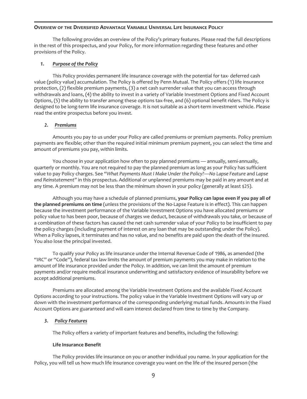## **OVERVIEW OF THE DIVERSIFIED ADVANTAGE VARIABLE UNIVERSAL LIFE INSURANCE POLICY**

The following provides an overview of the Policy's primary features. Please read the full descriptions in the rest of this prospectus, and your Policy, for more information regarding these features and other provisions of the Policy.

## *1. Purpose of the Policy*

This Policy provides permanent life insurance coverage with the potential for tax- deferred cash value (policy value) accumulation. The Policy is offered by Penn Mutual. The Policy offers (1) life insurance protection, (2) flexible premium payments, (3) a net cash surrender value that you can access through withdrawals and loans, (4) the ability to invest in a variety of Variable Investment Options and Fixed Account Options, (5) the ability to transfer among these options tax-free, and (6) optional benefit riders. The Policy is designed to be long-term life insurance coverage. It is not suitable as a short-term investment vehicle. Please read the entire prospectus before you invest.

## *2. Premiums*

Amounts you pay to us under your Policy are called premiums or premium payments. Policy premium payments are flexible; other than the required initial minimum premium payment, you can select the time and amount of premiums you pay, within limits.

You choose in your application how often to pay planned premiums — annually, semi-annually, quarterly or monthly. You are not required to pay the planned premium as long as your Policy has sufficient value to pay Policy charges. See "*What Payments Must I Make Under the Policy?—No Lapse Feature* and *Lapse and Reinstatement"* in this prospectus*.* Additional or unplanned premiums may be paid in any amount and at any time. A premium may not be less than the minimum shown in your policy (generally at least \$25).

Although you may have a schedule of planned premiums, **your Policy can lapse even if you pay all of the planned premiums on time** (unless the provisions of the No-Lapse Feature is in effect). This can happen because the investment performance of the Variable Investment Options you have allocated premiums or policy value to has been poor, because of charges we deduct, because of withdrawals you take, or because of a combination of these factors has caused the net cash surrender value of your Policy to be insufficient to pay the policy charges (including payment of interest on any loan that may be outstanding under the Policy). When a Policy lapses, it terminates and has no value, and no benefits are paid upon the death of the insured. You also lose the principal invested.

To qualify your Policy as life insurance under the Internal Revenue Code of 1986, as amended (the "IRC" or "Code"), federal tax law limits the amount of premium payments you may make in relation to the amount of life insurance provided under the Policy. In addition, we can limit the amount of premium payments and/or require medical insurance underwriting and satisfactory evidence of insurability before we accept additional premiums.

Premiums are allocated among the Variable Investment Options and the available Fixed Account Options according to your instructions. The policy value in the Variable Investment Options will vary up or down with the investment performance of the corresponding underlying mutual funds. Amounts in the Fixed Account Options are guaranteed and will earn interest declared from time to time by the Company.

# *3. Policy Features*

The Policy offers a variety of important features and benefits, including the following:

## **Life Insurance Benefit**

The Policy provides life insurance on you or another individual you name. In your application for the Policy, you will tell us how much life insurance coverage you want on the life of the insured person (the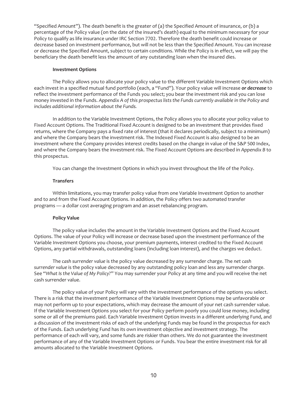"Specified Amount"). The death benefit is the greater of (a) the Specified Amount of insurance, or (b) a percentage of the Policy value (on the date of the insured's death) equal to the minimum necessary for your Policy to qualify as life insurance under IRC Section 7702. Therefore the death benefit could increase or decrease based on investment performance, but will not be less than the Specified Amount. You can increase or decrease the Specified Amount, subject to certain conditions. While the Policy is in effect, we will pay the beneficiary the death benefit less the amount of any outstanding loan when the insured dies.

#### **Investment Options**

The Policy allows you to allocate your policy value to the different Variable Investment Options which each invest in a specified mutual fund portfolio (each, a "Fund"). Your policy value will increase *or decrease* to reflect the investment performance of the Funds you select; you bear the investment risk and you can lose money invested in the Funds. *Appendix A of this prospectus lists the Funds currently available in the Policy and includes additional information about the Funds.*

In addition to the Variable Investment Options, the Policy allows you to allocate your policy value to Fixed Account Options. The Traditional Fixed Account is designed to be an investment that provides fixed returns, where the Company pays a fixed rate of interest (that it declares periodically, subject to a minimum) and where the Company bears the investment risk. The Indexed Fixed Account is also designed to be an investment where the Company provides interest credits based on the change in value of the S&P 500 Index, and where the Company bears the investment risk. The Fixed Account Options are described in *Appendix B* to this prospectus.

You can change the Investment Options in which you invest throughout the life of the Policy.

#### **Transfers**

Within limitations, you may transfer policy value from one Variable Investment Option to another and to and from the Fixed Account Options. In addition, the Policy offers two automated transfer programs — a dollar cost averaging program and an asset rebalancing program.

## **Policy Value**

The policy value includes the amount in the Variable Investment Options and the Fixed Account Options. The value of your Policy will increase or decrease based upon the investment performance of the Variable Investment Options you choose, your premium payments, interest credited to the Fixed Account Options, any partial withdrawals, outstanding loans (including loan interest), and the charges we deduct.

The *cash surrender value* is the policy value decreased by any surrender charge. The *net cash surrender value* is the policy value decreased by any outstanding policy loan and less any surrender charge. See "*What Is the Value of My Policy?*" You may surrender your Policy at any time and you will receive the net cash surrender value.

The policy value of your Policy will vary with the investment performance of the options you select. There is a risk that the investment performance of the Variable Investment Options may be unfavorable or may not perform up to your expectations, which may decrease the amount of your net cash surrender value. If the Variable Investment Options you select for your Policy perform poorly you could lose money, including some or all of the premiums paid. Each Variable Investment Option invests in a different underlying Fund, and a discussion of the investment risks of each of the underlying Funds may be found in the prospectus for each of the Funds. Each underlying Fund has its own investment objective and investment strategy. The performance of each will vary, and some funds are riskier than others. We do not guarantee the investment performance of any of the Variable Investment Options or Funds. You bear the entire investment risk for all amounts allocated to the Variable Investment Options.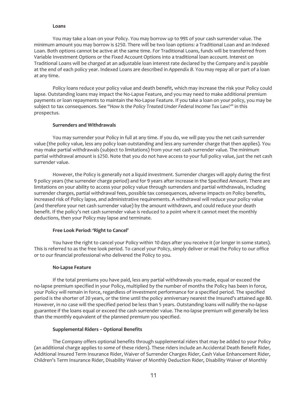#### **Loans**

You may take a loan on your Policy. You may borrow up to 99% of your cash surrender value. The minimum amount you may borrow is \$250. There will be two loan options: a Traditional Loan and an Indexed Loan. Both options cannot be active at the same time. For Traditional Loans, funds will be transferred from Variable Investment Options or the Fixed Account Options into a traditional loan account. Interest on Traditional Loans will be charged at an adjustable loan interest rate declared by the Company and is payable at the end of each policy year. Indexed Loans are described in *Appendix B*. You may repay all or part of a loan at any time.

Policy loans reduce your policy value and death benefit, which may increase the risk your Policy could lapse. Outstanding loans may impact the No-Lapse Feature, and you may need to make additional premium payments or loan repayments to maintain the No-Lapse Feature. If you take a loan on your policy, you may be subject to tax consequences. See "*How Is the Policy Treated Under Federal Income Tax Law?"* in this prospectus.

## **Surrenders and Withdrawals**

You may surrender your Policy in full at any time. If you do, we will pay you the net cash surrender value (the policy value, less any policy loan outstanding and less any surrender charge that then applies). You may make partial withdrawals (subject to limitations) from your net cash surrender value. The minimum partial withdrawal amount is \$250. Note that you do not have access to your full policy value, just the net cash surrender value.

However, the Policy is generally not a liquid investment. Surrender charges will apply during the first 9 policy years (the surrender charge period) and for 9 years after increase in the Specified Amount. There are limitations on your ability to access your policy value through surrenders and partial withdrawals, including surrender charges, partial withdrawal fees, possible tax consequences, adverse impacts on Policy benefits, increased risk of Policy lapse, and administrative requirements. A withdrawal will reduce your policy value (and therefore your net cash surrender value) by the amount withdrawn, and could reduce your death benefit. If the policy's net cash surrender value is reduced to a point where it cannot meet the monthly deductions, then your Policy may lapse and terminate.

# **Free Look Period: 'Right to Cancel'**

You have the right to cancel your Policy within 10 days after you receive it (or longer in some states). This is referred to as the free look period. To cancel your Policy, simply deliver or mail the Policy to our office or to our financial professional who delivered the Policy to you.

## **No-Lapse Feature**

If the total premiums you have paid, less any partial withdrawals you made, equal or exceed the no-lapse premium specified in your Policy, multiplied by the number of months the Policy has been in force, your Policy will remain in force, regardless of investment performance for a specified period. The specified period is the shorter of 20 years, or the time until the policy anniversary nearest the Insured's attained age 80. However, in no case will the specified period be less than 5 years. Outstanding loans will nullify the no-lapse guarantee if the loans equal or exceed the cash surrender value. The no-lapse premium will generally be less than the monthly equivalent of the planned premium you specified.

## **Supplemental Riders – Optional Benefits**

The Company offers optional benefits through supplemental riders that may be added to your Policy (an additional charge applies to *some* of these riders). These riders include an Accidental Death Benefit Rider, Additional Insured Term Insurance Rider, Waiver of Surrender Charges Rider, Cash Value Enhancement Rider, Children's Term Insurance Rider, Disability Waiver of Monthly Deduction Rider, Disability Waiver of Monthly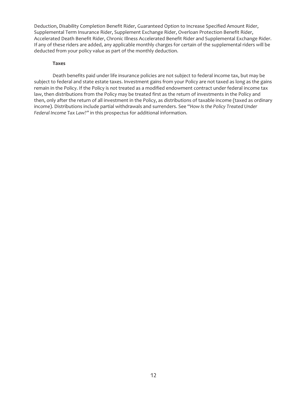Deduction, Disability Completion Benefit Rider, Guaranteed Option to Increase Specified Amount Rider, Supplemental Term Insurance Rider, Supplement Exchange Rider, Overloan Protection Benefit Rider, Accelerated Death Benefit Rider, Chronic Illness Accelerated Benefit Rider and Supplemental Exchange Rider. If any of these riders are added, any applicable monthly charges for certain of the supplemental riders will be deducted from your policy value as part of the monthly deduction.

#### **Taxes**

Death benefits paid under life insurance policies are not subject to federal income tax, but may be subject to federal and state estate taxes. Investment gains from your Policy are not taxed as long as the gains remain in the Policy. If the Policy is *not* treated as a modified endowment contract under federal income tax law, then distributions from the Policy may be treated first as the return of investments in the Policy and then, only after the return of all investment in the Policy, as distributions of taxable income (taxed as ordinary income). Distributions include partial withdrawals and surrenders. See "*How Is the Policy Treated Under Federal Income Tax Law?"* in this prospectus for additional information.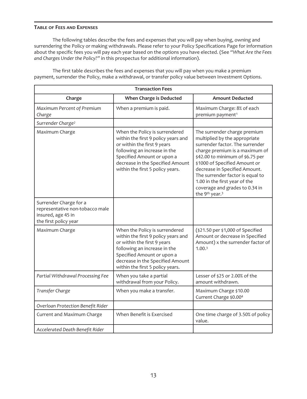# **TABLE OF FEES AND EXPENSES**

The following tables describe the fees and expenses that you will pay when buying, owning and surrendering the Policy or making withdrawals. Please refer to your Policy Specifications Page for information about the specific fees you will pay each year based on the options you have elected. (See *"What Are the Fees and Charges Under the Policy?"* in this prospectus for additional information).

| <b>Transaction Fees</b>                                                                                  |                                                                                                                                                                                                                                            |                                                                                                                                                                                                                                                                                                                                                                                           |  |
|----------------------------------------------------------------------------------------------------------|--------------------------------------------------------------------------------------------------------------------------------------------------------------------------------------------------------------------------------------------|-------------------------------------------------------------------------------------------------------------------------------------------------------------------------------------------------------------------------------------------------------------------------------------------------------------------------------------------------------------------------------------------|--|
| Charge                                                                                                   | When Charge is Deducted                                                                                                                                                                                                                    | <b>Amount Deducted</b>                                                                                                                                                                                                                                                                                                                                                                    |  |
| Maximum Percent of Premium<br>Charge                                                                     | When a premium is paid.                                                                                                                                                                                                                    | Maximum Charge: 8% of each<br>premium payment <sup>1</sup>                                                                                                                                                                                                                                                                                                                                |  |
| Surrender Charge <sup>2</sup>                                                                            |                                                                                                                                                                                                                                            |                                                                                                                                                                                                                                                                                                                                                                                           |  |
| Maximum Charge                                                                                           | When the Policy is surrendered<br>within the first 9 policy years and<br>or within the first 9 years<br>following an increase in the<br>Specified Amount or upon a<br>decrease in the Specified Amount<br>within the first 5 policy years. | The surrender charge premium<br>multiplied by the appropriate<br>surrender factor. The surrender<br>charge premium is a maximum of<br>\$42.00 to minimum of \$6.75 per<br>\$1000 of Specified Amount or<br>decrease in Specified Amount.<br>The surrender factor is equal to<br>1.00 in the first year of the<br>coverage and grades to 0.34 in<br>the 9 <sup>th</sup> year. <sup>3</sup> |  |
| Surrender Charge for a<br>representative non-tobacco male<br>insured, age 45 in<br>the first policy year |                                                                                                                                                                                                                                            |                                                                                                                                                                                                                                                                                                                                                                                           |  |
| Maximum Charge                                                                                           | When the Policy is surrendered<br>within the first 9 policy years and<br>or within the first 9 years<br>following an increase in the<br>Specified Amount or upon a<br>decrease in the Specified Amount<br>within the first 5 policy years. | (\$21.50 per \$1,000 of Specified<br>Amount or decrease in Specified<br>Amount) x the surrender factor of<br>1.00 <sup>3</sup>                                                                                                                                                                                                                                                            |  |
| Partial Withdrawal Processing Fee                                                                        | When you take a partial<br>withdrawal from your Policy.                                                                                                                                                                                    | Lesser of \$25 or 2.00% of the<br>amount withdrawn.                                                                                                                                                                                                                                                                                                                                       |  |
| Transfer Charge                                                                                          | When you make a transfer.                                                                                                                                                                                                                  | Maximum Charge \$10.00<br>Current Charge \$0.00 <sup>4</sup>                                                                                                                                                                                                                                                                                                                              |  |
| Overloan Protection Benefit Rider                                                                        |                                                                                                                                                                                                                                            |                                                                                                                                                                                                                                                                                                                                                                                           |  |
| Current and Maximum Charge                                                                               | When Benefit is Exercised                                                                                                                                                                                                                  | One time charge of 3.50% of policy<br>value.                                                                                                                                                                                                                                                                                                                                              |  |
| Accelerated Death Benefit Rider                                                                          |                                                                                                                                                                                                                                            |                                                                                                                                                                                                                                                                                                                                                                                           |  |

The first table describes the fees and expenses that you will pay when you make a premium payment, surrender the Policy, make a withdrawal, or transfer policy value between Investment Options.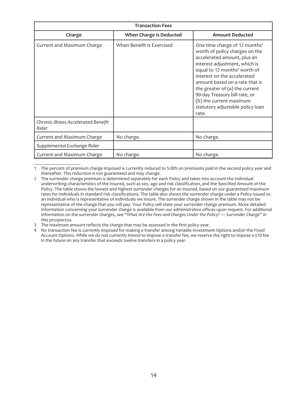| <b>Transaction Fees</b>                      |                           |                                                                                                                                                                                                                                                                                                                                                                               |  |
|----------------------------------------------|---------------------------|-------------------------------------------------------------------------------------------------------------------------------------------------------------------------------------------------------------------------------------------------------------------------------------------------------------------------------------------------------------------------------|--|
| Charge                                       | When Charge is Deducted   | <b>Amount Deducted</b>                                                                                                                                                                                                                                                                                                                                                        |  |
| Current and Maximum Charge                   | When Benefit is Exercised | One time charge of 12 months'<br>worth of policy charges on the<br>accelerated amount, plus an<br>interest adjustment, which is<br>equal to 12 months' worth of<br>interest on the accelerated<br>amount based on a rate that is<br>the greater of $(a)$ the current<br>90-day Treasury bill rate, or<br>(b) the current maximum<br>statutory adjustable policy loan<br>rate. |  |
| Chronic Illness Accelerated Benefit<br>Rider |                           |                                                                                                                                                                                                                                                                                                                                                                               |  |
| Current and Maximum Charge                   | No charge.                | No charge.                                                                                                                                                                                                                                                                                                                                                                    |  |
| Supplemental Exchange Rider                  |                           |                                                                                                                                                                                                                                                                                                                                                                               |  |
| Current and Maximum Charge                   | No charge.                | No charge.                                                                                                                                                                                                                                                                                                                                                                    |  |

1 The percent of premium charge imposed is currently reduced to 5.00% on premiums paid in the second policy year and thereafter. This reduction is not guaranteed and may change.

<sup>2</sup> The surrender charge premium is determined separately for each Policy and takes into account the individual underwriting characteristics of the insured, such as sex, age and risk classification, and the Specified Amount of the Policy. The table shows the lowest and highest surrender charges for an insured, based on our guaranteed maximum rates for individuals in standard risk classifications. The table also shows the surrender charge under a Policy issued to an individual who is representative of individuals we insure. The surrender charge shown in the table may not be representative of the charge that you will pay. Your Policy will state your surrender charge premium. More detailed information concerning your surrender charge is available from our administrative offices upon request. For additional information on the surrender charges, see "*What Are the Fees and Charges Under the Policy? — Surrender Charge"* in this prospectus.

<sup>3</sup> The maximum amount reflects the charge that may be assessed in the first policy year.

<sup>4</sup> No transaction fee is currently imposed for making a transfer among Variable Investment Options and/or the Fixed Account Options. While we do not currently intend to impose a transfer fee, we reserve the right to impose a \$10 fee in the future on any transfer that exceeds twelve transfers in a policy year.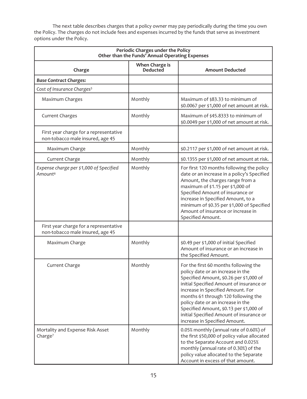The next table describes charges that a policy owner may pay periodically during the time you own the Policy. The charges do not include fees and expenses incurred by the funds that serve as investment options under the Policy.

| Periodic Charges under the Policy<br>Other than the Funds' Annual Operating Expenses |                                   |                                                                                                                                                                                                                                                                                                                                                                                                            |
|--------------------------------------------------------------------------------------|-----------------------------------|------------------------------------------------------------------------------------------------------------------------------------------------------------------------------------------------------------------------------------------------------------------------------------------------------------------------------------------------------------------------------------------------------------|
| Charge                                                                               | When Charge is<br><b>Deducted</b> | <b>Amount Deducted</b>                                                                                                                                                                                                                                                                                                                                                                                     |
| <b>Base Contract Charges:</b>                                                        |                                   |                                                                                                                                                                                                                                                                                                                                                                                                            |
| Cost of Insurance Charges <sup>5</sup>                                               |                                   |                                                                                                                                                                                                                                                                                                                                                                                                            |
| Maximum Charges                                                                      | Monthly                           | Maximum of \$83.33 to minimum of<br>\$0.0067 per \$1,000 of net amount at risk.                                                                                                                                                                                                                                                                                                                            |
| <b>Current Charges</b>                                                               | Monthly                           | Maximum of \$45.8333 to minimum of<br>\$0.0049 per \$1,000 of net amount at risk.                                                                                                                                                                                                                                                                                                                          |
| First year charge for a representative<br>non-tobacco male insured, age 45           |                                   |                                                                                                                                                                                                                                                                                                                                                                                                            |
| Maximum Charge                                                                       | Monthly                           | \$0.2117 per \$1,000 of net amount at risk.                                                                                                                                                                                                                                                                                                                                                                |
| Current Charge                                                                       | Monthly                           | \$0.1355 per \$1,000 of net amount at risk.                                                                                                                                                                                                                                                                                                                                                                |
| Expense charge per \$1,000 of Specified<br>Amount <sup>6</sup>                       | Monthly                           | For first 120 months following the policy<br>date or an increase in a policy's Specified<br>Amount, the charges range from a<br>maximum of \$1.15 per \$1,000 of<br>Specified Amount of insurance or<br>increase in Specified Amount, to a<br>minimum of \$0.35 per \$1,000 of Specified<br>Amount of insurance or increase in<br>Specified Amount.                                                        |
| First year charge for a representative<br>non-tobacco male insured, age 45           |                                   |                                                                                                                                                                                                                                                                                                                                                                                                            |
| Maximum Charge                                                                       | Monthly                           | \$0.49 per \$1,000 of initial Specified<br>Amount of insurance or an increase in<br>the Specified Amount.                                                                                                                                                                                                                                                                                                  |
| Current Charge                                                                       | Monthly                           | For the first 60 months following the<br>policy date or an increase in the<br>Specified Amount, \$0.26 per \$1,000 of<br>initial Specified Amount of insurance or<br>increase in Specified Amount. For<br>months 61 through 120 following the<br>policy date or an increase in the<br>Specified Amount, \$0.13 per \$1,000 of<br>initial Specified Amount of insurance or<br>increase in Specified Amount. |
| Mortality and Expense Risk Asset<br>Charge <sup>7</sup>                              | Monthly                           | 0.05% monthly (annual rate of 0.60%) of<br>the first \$50,000 of policy value allocated<br>to the Separate Account and 0.025%<br>monthly (annual rate of 0.30%) of the<br>policy value allocated to the Separate<br>Account in excess of that amount.                                                                                                                                                      |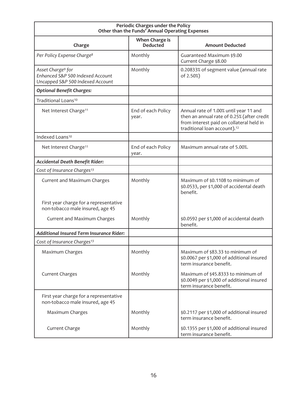| Periodic Charges under the Policy<br>Other than the Funds' Annual Operating Expenses                  |                                   |                                                                                                                                                                              |  |
|-------------------------------------------------------------------------------------------------------|-----------------------------------|------------------------------------------------------------------------------------------------------------------------------------------------------------------------------|--|
| Charge                                                                                                | When Charge is<br><b>Deducted</b> | <b>Amount Deducted</b>                                                                                                                                                       |  |
| Per Policy Expense Charge <sup>8</sup>                                                                | Monthly                           | Guaranteed Maximum \$9.00<br>Current Charge \$8.00                                                                                                                           |  |
| Asset Charge <sup>9</sup> for<br>Enhanced S&P 500 Indexed Account<br>Uncapped S&P 500 Indexed Account | Monthly                           | 0.20833% of segment value (annual rate<br>of 2.50%)                                                                                                                          |  |
| <b>Optional Benefit Charges:</b>                                                                      |                                   |                                                                                                                                                                              |  |
| Traditional Loans <sup>10</sup>                                                                       |                                   |                                                                                                                                                                              |  |
| Net Interest Charge <sup>11</sup>                                                                     | End of each Policy<br>year.       | Annual rate of 1.00% until year 11 and<br>then an annual rate of 0.25% (after credit<br>from interest paid on collateral held in<br>traditional loan account). <sup>12</sup> |  |
| Indexed Loans <sup>10</sup>                                                                           |                                   |                                                                                                                                                                              |  |
| Net Interest Charge <sup>11</sup>                                                                     | End of each Policy<br>year.       | Maximum annual rate of 5.00%.                                                                                                                                                |  |
| Accidental Death Benefit Rider:                                                                       |                                   |                                                                                                                                                                              |  |
| Cost of Insurance Charges <sup>13</sup>                                                               |                                   |                                                                                                                                                                              |  |
| Current and Maximum Charges                                                                           | Monthly                           | Maximum of \$0.1108 to minimum of<br>\$0.0533, per \$1,000 of accidental death<br>henefit.                                                                                   |  |
| First year charge for a representative<br>non-tobacco male insured, age 45                            |                                   |                                                                                                                                                                              |  |
| Current and Maximum Charges                                                                           | Monthly                           | \$0.0592 per \$1,000 of accidental death<br>benefit.                                                                                                                         |  |
| <b>Additional Insured Term Insurance Rider:</b>                                                       |                                   |                                                                                                                                                                              |  |
| Cost of Insurance Charges <sup>13</sup>                                                               |                                   |                                                                                                                                                                              |  |
| Maximum Charges                                                                                       | Monthly                           | Maximum of \$83.33 to minimum of<br>\$0.0067 per \$1,000 of additional insured<br>term insurance benefit.                                                                    |  |
| <b>Current Charges</b>                                                                                | Monthly                           | Maximum of \$45.8333 to minimum of<br>\$0.0049 per \$1,000 of additional insured<br>term insurance benefit.                                                                  |  |
| First year charge for a representative<br>non-tobacco male insured, age 45                            |                                   |                                                                                                                                                                              |  |
| Maximum Charges                                                                                       | Monthly                           | \$0.2117 per \$1,000 of additional insured<br>term insurance benefit.                                                                                                        |  |
| Current Charge                                                                                        | Monthly                           | \$0.1355 per \$1,000 of additional insured<br>term insurance benefit.                                                                                                        |  |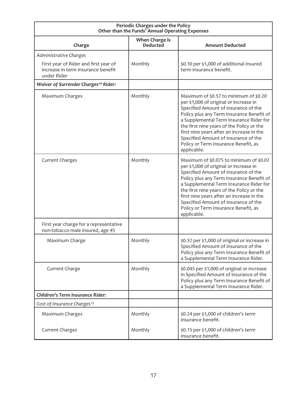| Periodic Charges under the Policy<br>Other than the Funds' Annual Operating Expenses       |                                   |                                                                                                                                                                                                                                                                                                                                                                                                            |
|--------------------------------------------------------------------------------------------|-----------------------------------|------------------------------------------------------------------------------------------------------------------------------------------------------------------------------------------------------------------------------------------------------------------------------------------------------------------------------------------------------------------------------------------------------------|
| Charge                                                                                     | When Charge is<br><b>Deducted</b> | <b>Amount Deducted</b>                                                                                                                                                                                                                                                                                                                                                                                     |
| Administrative Charges                                                                     |                                   |                                                                                                                                                                                                                                                                                                                                                                                                            |
| First year of Rider and first year of<br>increase in term insurance benefit<br>under Rider | Monthly                           | \$0.10 per \$1,000 of additional insured<br>term insurance benefit.                                                                                                                                                                                                                                                                                                                                        |
| Waiver of Surrender Charges <sup>14</sup> Rider:                                           |                                   |                                                                                                                                                                                                                                                                                                                                                                                                            |
| Maximum Charges                                                                            | Monthly                           | Maximum of \$0.57 to minimum of \$0.20<br>per \$1,000 of original or increase in<br>Specified Amount of insurance of the<br>Policy plus any Term Insurance Benefit of<br>a Supplemental Term Insurance Rider for<br>the first nine years of the Policy or the<br>first nine years after an increase in the<br>Specified Amount of insurance of the<br>Policy or Term Insurance Benefit, as<br>applicable.  |
| <b>Current Charges</b>                                                                     | Monthly                           | Maximum of \$0.075 to minimum of \$0.02<br>per \$1,000 of original or increase in<br>Specified Amount of insurance of the<br>Policy plus any Term Insurance Benefit of<br>a Supplemental Term Insurance Rider for<br>the first nine years of the Policy or the<br>first nine years after an increase in the<br>Specified Amount of insurance of the<br>Policy or Term Insurance Benefit, as<br>applicable. |
| First year charge for a representative<br>non-tobacco male insured, age 45                 |                                   |                                                                                                                                                                                                                                                                                                                                                                                                            |
| Maximum Charge                                                                             | Monthly                           | \$0.32 per \$1,000 of original or increase in<br>Specified Amount of insurance of the<br>Policy plus any Term Insurance Benefit of<br>a Supplemental Term Insurance Rider.                                                                                                                                                                                                                                 |
| Current Charge                                                                             | Monthly                           | \$0.045 per \$1,000 of original or increase<br>in Specified Amount of insurance of the<br>Policy plus any Term Insurance Benefit of<br>a Supplemental Term Insurance Rider.                                                                                                                                                                                                                                |
| Children's Term Insurance Rider:                                                           |                                   |                                                                                                                                                                                                                                                                                                                                                                                                            |
| Cost of Insurance Charges <sup>13</sup>                                                    |                                   |                                                                                                                                                                                                                                                                                                                                                                                                            |
| Maximum Charges                                                                            | Monthly                           | \$0.24 per \$1,000 of children's term<br>insurance benefit.                                                                                                                                                                                                                                                                                                                                                |
| <b>Current Charges</b>                                                                     | Monthly                           | \$0.15 per \$1,000 of children's term<br>insurance benefit.                                                                                                                                                                                                                                                                                                                                                |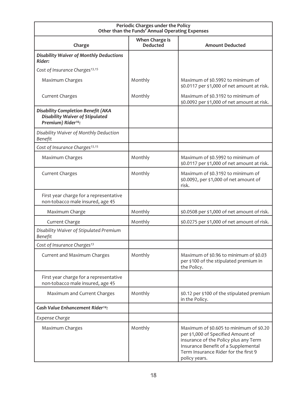| Periodic Charges under the Policy<br>Other than the Funds' Annual Operating Expenses                                  |                                   |                                                                                                                                                                                                                        |  |
|-----------------------------------------------------------------------------------------------------------------------|-----------------------------------|------------------------------------------------------------------------------------------------------------------------------------------------------------------------------------------------------------------------|--|
| Charge                                                                                                                | When Charge is<br><b>Deducted</b> | <b>Amount Deducted</b>                                                                                                                                                                                                 |  |
| <b>Disability Waiver of Monthly Deductions</b><br>Rider:                                                              |                                   |                                                                                                                                                                                                                        |  |
| Cost of Insurance Charges <sup>13,15</sup>                                                                            |                                   |                                                                                                                                                                                                                        |  |
| Maximum Charges                                                                                                       | Monthly                           | Maximum of \$0.5992 to minimum of<br>\$0.0117 per \$1,000 of net amount at risk.                                                                                                                                       |  |
| <b>Current Charges</b>                                                                                                | Monthly                           | Maximum of \$0.3192 to minimum of<br>\$0.0092 per \$1,000 of net amount at risk.                                                                                                                                       |  |
| <b>Disability Completion Benefit (AKA</b><br><b>Disability Waiver of Stipulated</b><br>Premium) Rider <sup>16</sup> : |                                   |                                                                                                                                                                                                                        |  |
| Disability Waiver of Monthly Deduction<br>Benefit                                                                     |                                   |                                                                                                                                                                                                                        |  |
| Cost of Insurance Charges <sup>13,15</sup>                                                                            |                                   |                                                                                                                                                                                                                        |  |
| Maximum Charges                                                                                                       | Monthly                           | Maximum of \$0.5992 to minimum of<br>\$0.0117 per \$1,000 of net amount at risk.                                                                                                                                       |  |
| <b>Current Charges</b>                                                                                                | Monthly                           | Maximum of \$0.3192 to minimum of<br>\$0.0092, per \$1,000 of net amount of<br>risk.                                                                                                                                   |  |
| First year charge for a representative<br>non-tobacco male insured, age 45                                            |                                   |                                                                                                                                                                                                                        |  |
| Maximum Charge                                                                                                        | Monthly                           | \$0.0508 per \$1,000 of net amount of risk.                                                                                                                                                                            |  |
| Current Charge                                                                                                        | Monthly                           | \$0.0275 per \$1,000 of net amount of risk.                                                                                                                                                                            |  |
| Disability Waiver of Stipulated Premium<br>Benefit                                                                    |                                   |                                                                                                                                                                                                                        |  |
| Cost of Insurance Charges <sup>13</sup>                                                                               |                                   |                                                                                                                                                                                                                        |  |
| Current and Maximum Charges                                                                                           | Monthly                           | Maximum of \$0.96 to minimum of \$0.03<br>per \$100 of the stipulated premium in<br>the Policy.                                                                                                                        |  |
| First year charge for a representative<br>non-tobacco male insured, age 45                                            |                                   |                                                                                                                                                                                                                        |  |
| Maximum and Current Charges                                                                                           | Monthly                           | \$0.12 per \$100 of the stipulated premium<br>in the Policy.                                                                                                                                                           |  |
| Cash Value Enhancement Rider <sup>14</sup> :                                                                          |                                   |                                                                                                                                                                                                                        |  |
| Expense Charge                                                                                                        |                                   |                                                                                                                                                                                                                        |  |
| Maximum Charges                                                                                                       | Monthly                           | Maximum of \$0.605 to minimum of \$0.20<br>per \$1,000 of Specified Amount of<br>insurance of the Policy plus any Term<br>Insurance Benefit of a Supplemental<br>Term Insurance Rider for the first 9<br>policy years. |  |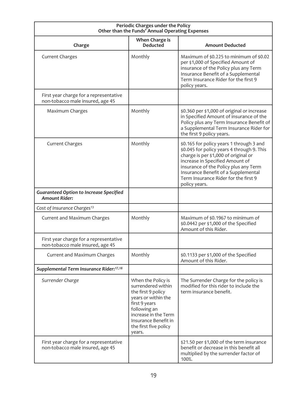| Periodic Charges under the Policy<br>Other than the Funds' Annual Operating Expenses |                                                                                                                                                                                                           |                                                                                                                                                                                                                                                                                                            |  |
|--------------------------------------------------------------------------------------|-----------------------------------------------------------------------------------------------------------------------------------------------------------------------------------------------------------|------------------------------------------------------------------------------------------------------------------------------------------------------------------------------------------------------------------------------------------------------------------------------------------------------------|--|
| Charge                                                                               | When Charge is<br><b>Deducted</b>                                                                                                                                                                         | <b>Amount Deducted</b>                                                                                                                                                                                                                                                                                     |  |
| <b>Current Charges</b>                                                               | Monthly                                                                                                                                                                                                   | Maximum of \$0.225 to minimum of \$0.02<br>per \$1,000 of Specified Amount of<br>insurance of the Policy plus any Term<br>Insurance Benefit of a Supplemental<br>Term Insurance Rider for the first 9<br>policy years.                                                                                     |  |
| First year charge for a representative<br>non-tobacco male insured, age 45           |                                                                                                                                                                                                           |                                                                                                                                                                                                                                                                                                            |  |
| Maximum Charges                                                                      | Monthly                                                                                                                                                                                                   | \$0.360 per \$1,000 of original or increase<br>in Specified Amount of insurance of the<br>Policy plus any Term Insurance Benefit of<br>a Supplemental Term Insurance Rider for<br>the first 9 policy years.                                                                                                |  |
| <b>Current Charges</b>                                                               | Monthly                                                                                                                                                                                                   | \$0.165 for policy years 1 through 3 and<br>\$0.045 for policy years 4 through 9. This<br>charge is per \$1,000 of original or<br>increase in Specified Amount of<br>insurance of the Policy plus any Term<br>Insurance Benefit of a Supplemental<br>Term Insurance Rider for the first 9<br>policy years. |  |
| <b>Guaranteed Option to Increase Specified</b><br><b>Amount Rider:</b>               |                                                                                                                                                                                                           |                                                                                                                                                                                                                                                                                                            |  |
| Cost of Insurance Charges <sup>13</sup>                                              |                                                                                                                                                                                                           |                                                                                                                                                                                                                                                                                                            |  |
| Current and Maximum Charges                                                          | Monthly                                                                                                                                                                                                   | Maximum of \$0.1967 to minimum of<br>\$0.0442 per \$1,000 of the Specified<br>Amount of this Rider.                                                                                                                                                                                                        |  |
| First year charge for a representative<br>non-tobacco male insured, age 45           |                                                                                                                                                                                                           |                                                                                                                                                                                                                                                                                                            |  |
| Current and Maximum Charges                                                          | Monthly                                                                                                                                                                                                   | \$0.1133 per \$1,000 of the Specified<br>Amount of this Rider.                                                                                                                                                                                                                                             |  |
| Supplemental Term Insurance Rider:17,18                                              |                                                                                                                                                                                                           |                                                                                                                                                                                                                                                                                                            |  |
| Surrender Charge                                                                     | When the Policy is<br>surrendered within<br>the first 9 policy<br>years or within the<br>first 9 years<br>following an<br>increase in the Term<br>Insurance Benefit in<br>the first five policy<br>years. | The Surrender Charge for the policy is<br>modified for this rider to include the<br>term insurance benefit.                                                                                                                                                                                                |  |
| First year charge for a representative<br>non-tobacco male insured, age 45           |                                                                                                                                                                                                           | \$21.50 per \$1,000 of the term insurance<br>benefit or decrease in this benefit all<br>multiplied by the surrender factor of<br>100%.                                                                                                                                                                     |  |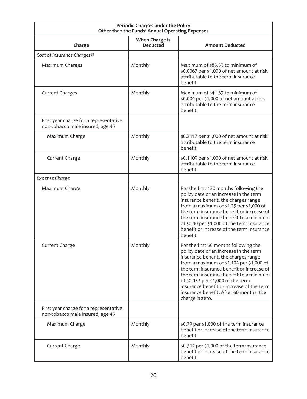| Periodic Charges under the Policy<br>Other than the Funds' Annual Operating Expenses |                                   |                                                                                                                                                                                                                                                                                                                                                                                                              |
|--------------------------------------------------------------------------------------|-----------------------------------|--------------------------------------------------------------------------------------------------------------------------------------------------------------------------------------------------------------------------------------------------------------------------------------------------------------------------------------------------------------------------------------------------------------|
| Charge                                                                               | When Charge is<br><b>Deducted</b> | <b>Amount Deducted</b>                                                                                                                                                                                                                                                                                                                                                                                       |
| Cost of Insurance Charges <sup>13</sup>                                              |                                   |                                                                                                                                                                                                                                                                                                                                                                                                              |
| Maximum Charges                                                                      | Monthly                           | Maximum of \$83.33 to minimum of<br>\$0.0067 per \$1,000 of net amount at risk<br>attributable to the term insurance<br>benefit.                                                                                                                                                                                                                                                                             |
| <b>Current Charges</b>                                                               | Monthly                           | Maximum of \$41.67 to minimum of<br>\$0.004 per \$1,000 of net amount at risk<br>attributable to the term insurance<br>benefit.                                                                                                                                                                                                                                                                              |
| First year charge for a representative<br>non-tobacco male insured, age 45           |                                   |                                                                                                                                                                                                                                                                                                                                                                                                              |
| Maximum Charge                                                                       | Monthly                           | \$0.2117 per \$1,000 of net amount at risk<br>attributable to the term insurance<br>henefit.                                                                                                                                                                                                                                                                                                                 |
| Current Charge                                                                       | Monthly                           | \$0.1109 per \$1,000 of net amount at risk<br>attributable to the term insurance<br>benefit.                                                                                                                                                                                                                                                                                                                 |
| Expense Charge                                                                       |                                   |                                                                                                                                                                                                                                                                                                                                                                                                              |
| Maximum Charge                                                                       | Monthly                           | For the first 120 months following the<br>policy date or an increase in the term<br>insurance benefit, the charges range<br>from a maximum of \$1.25 per \$1,000 of<br>the term insurance benefit or increase of<br>the term insurance benefit to a minimum<br>of \$0.40 per \$1,000 of the term insurance<br>benefit or increase of the term insurance<br>henefit                                           |
| Current Charge                                                                       | Monthly                           | For the first 60 months following the<br>policy date or an increase in the term<br>insurance benefit, the charges range<br>from a maximum of \$1.104 per \$1,000 of<br>the term insurance benefit or increase of<br>the term insurance benefit to a minimum<br>of \$0.132 per \$1,000 of the term<br>insurance benefit or increase of the term<br>insurance benefit. After 60 months, the<br>charge is zero. |
| First year charge for a representative<br>non-tobacco male insured, age 45           |                                   |                                                                                                                                                                                                                                                                                                                                                                                                              |
| Maximum Charge                                                                       | Monthly                           | \$0.79 per \$1,000 of the term insurance<br>benefit or increase of the term insurance<br>benefit.                                                                                                                                                                                                                                                                                                            |
| Current Charge                                                                       | Monthly                           | \$0.312 per \$1,000 of the term insurance<br>benefit or increase of the term insurance<br>benefit.                                                                                                                                                                                                                                                                                                           |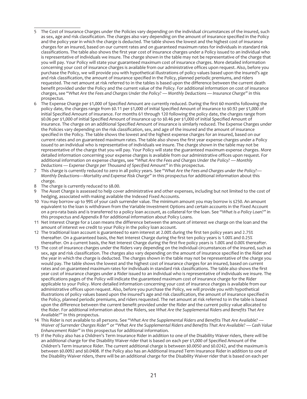- 5 The Cost of Insurance Charges under the Policies vary depending on the individual circumstances of the insured, such as sex, age and risk classification. The charges also vary depending on the amount of insurance specified in the Policy and the policy year in which the charge is deducted. The table shows the lowest and the highest cost of insurance charges for an insured, based on our current rates and on guaranteed maximum rates for individuals in standard risk classifications. The table also shows the first year cost of insurance charges under a Policy issued to an individual who is representative of individuals we insure. The charge shown in the table may not be representative of the charge that you will pay. Your Policy will state your guaranteed maximum cost of insurance charges. More detailed information concerning your cost of insurance charges is available from our administrative offices upon request. Also, before you purchase the Policy, we will provide you with hypothetical illustrations of policy values based upon the insured's age and risk classification, the amount of insurance specified in the Policy, planned periodic premiums, and riders requested. The net amount at risk referred to in the tables is based upon the difference between the current death benefit provided under the Policy and the current value of the Policy. For additional information on cost of insurance charges, see "*What Are the Fees and Charges Under the Policy? — Monthly Deductions — Insurance Charge"* in this prospectus.
- 6 The Expense Charge per \$1,000 of Specified Amount are currently reduced. During the first 60 months following the policy date, the charges range from \$0.11 per \$1,000 of initial Specified Amount of insurance to \$0.92 per \$1,000 of initial Specified Amount of insurance. For months 61 through 120 following the policy date, the charges range from \$0.06 per \$1,000 of initial Specified Amount of insurance up to \$0.46 per \$1,000 of initial Specified Amount of insurance. The charge on an additional Specified Amount of insurance is similarly reduced. The Expense Charges under the Policies vary depending on the risk classification, sex, and age of the insured and the amount of insurance specified in the Policy. The table shows the lowest and the highest expense charges for an insured, based on our current rates and on guaranteed maximum rates. The table also shows the first year expense charges under a Policy issued to an individual who is representative of individuals we insure. The charge shown in the table may not be representative of the charge that you will pay. Your Policy will state the guaranteed maximum expense charges. More detailed information concerning your expense charges is available from our administrative offices upon request. For additional information on expense charges, see "*What Are the Fees and Charges Under the Policy? — Monthly Deductions — Expense Charge per Thousand of Specified Amount"* in this prospectus.
- 7 This charge is currently reduced to zero in all policy years. See "*What Are the Fees and Charges under the Policy?— Monthly Deductions—Mortality and Expense Risk Charge"* in this prospectus for additional information about this charge.
- 8 The charge is currently reduced to \$8.00.
- 9 The Asset Charge is assessed to help cover administrative and other expenses, including but not limited to the cost of hedging, associated with making available the Indexed Fixed Accounts.
- 10 You may borrow up to 99% of your cash surrender value. The minimum amount you may borrow is \$250. An amount equivalent to the loan is withdrawn from the Variable Investment Options and certain accounts in the Fixed Account on a pro-rata basis and is transferred to a policy loan account, as collateral for the loan. See "*What Is a Policy Loan?"* in this prospectus and *Appendix B* for additional information about Policy Loans.
- 11 Net Interest Charge for a Loan means the difference between the amount of interest we charge on the loan and the amount of interest we credit to your Policy in the policy loan account.
- 12 The traditional loan account is guaranteed to earn interest at 2.00% during the first ten policy years and 2.75% thereafter. On a guaranteed basis, the Net Interest Charge during the first ten policy years is 1.00% and 0.25% thereafter. On a current basis, the Net Interest Charge during the first five policy years is 1.00% and 0.00% thereafter.
- 13 The cost of insurance charges under the Riders vary depending on the individual circumstances of the insured, such as sex, age and risk classification. The charges also vary depending on the amount of insurance specified in the Rider and the year in which the charge is deducted. The charges shown in the table may not be representative of the charge you would pay. The table shows the lowest and the highest cost of insurance charges for an insured, based on current rates and on guaranteed maximum rates for individuals in standard risk classifications. The table also shows the first year cost of insurance charges under a Rider issued to an individual who is representative of individuals we insure. The specifications pages of the Policy will indicate the guaranteed maximum cost of insurance charge for the Rider applicable to your Policy. More detailed information concerning your cost of insurance charges is available from our administrative offices upon request. Also, before you purchase the Policy, we will provide you with hypothetical illustrations of policy values based upon the insured's age and risk classification, the amount of insurance specified in the Policy, planned periodic premiums, and riders requested. The net amount at risk referred to in the table is based upon the difference between the current benefit provided under the Rider and the current policy value allocated to the Rider. For additional information about the Riders, see *What Are the Supplemental Riders and Benefits That Are Available?"* In this prospectus.
- 14 This Rider is not available to all persons. See "*What Are the Supplemental Riders and Benefits That Are Available? — Waiver of Surrender Charges Rider"* or *"What Are the Supplemental Riders and Benefits That Are Available? — Cash Value Enhancement Rider"* in this prospectus for additional information.
- 15 If the Policy also has a Children's Term Insurance Rider in addition to one of the Disability Waiver riders, there will be an additional charge for the Disability Waiver rider that is based on each per \$1,000 of Specified Amount of the Children's Term Insurance Rider. The current additional charge is between \$0.0050 and \$0.0242, and the maximum is between \$0.0092 and \$0.0408. If the Policy also has an Additional Insured Term Insurance Rider in addition to one of the Disability Waiver riders, there will be an additional charge for the Disability Waiver rider that is based on each per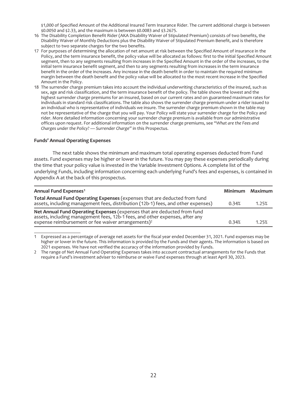\$1,000 of Specified Amount of the Additional Insured Term Insurance Rider. The current additional charge is between \$0.0050 and \$2.33, and the maximum is between \$0.0083 and \$3.2675.

- 16 The Disability Completion Benefit Rider (AKA Disability Waiver of Stipulated Premium) consists of two benefits, the Disability Waiver of Monthly Deductions plus the Disability Waiver of Stipulated Premium Benefit, and is therefore subject to two separate charges for the two benefits.
- 17 For purposes of determining the allocation of net amount at risk between the Specified Amount of insurance in the Policy, and the term insurance benefit, the policy value will be allocated as follows: first to the initial Specified Amount segment, then to any segments resulting from increases in the Specified Amount in the order of the increases, to the initial term insurance benefit segment, and then to any segments resulting from increases in the term insurance benefit in the order of the increases. Any increase in the death benefit in order to maintain the required minimum margin between the death benefit and the policy value will be allocated to the most recent increase in the Specified Amount in the Policy.
- 18 The surrender charge premium takes into account the individual underwriting characteristics of the insured, such as sex, age and risk classification, and the term insurance benefit of the policy. The table shows the lowest and the highest surrender charge premiums for an insured, based on our current rates and on guaranteed maximum rates for individuals in standard risk classifications. The table also shows the surrender charge premium under a rider issued to an individual who is representative of individuals we insure. The surrender charge premium shown in the table may not be representative of the charge that you will pay. Your Policy will state your surrender charge for the Policy and rider. More detailed information concerning your surrender charge premium is available from our administrative offices upon request. For additional information on the surrender charge premiums, see "*What are the Fees and Charges under the Policy? — Surrender Charge"* in this Prospectus.

#### **Funds' Annual Operating Expenses**

The next table shows the minimum and maximum total operating expenses deducted from Fund assets. Fund expenses may be higher or lower in the future. You may pay these expenses periodically during the time that your policy value is invested in the Variable Investment Options. A complete list of the underlying Funds, including information concerning each underlying Fund's fees and expenses, is contained in Appendix A at the back of this prospectus.

| Annual Fund Expenses <sup>1</sup>                                                                                                                                                                                          |       | Minimum Maximum |
|----------------------------------------------------------------------------------------------------------------------------------------------------------------------------------------------------------------------------|-------|-----------------|
| Total Annual Fund Operating Expenses (expenses that are deducted from fund<br>assets, including management fees, distribution (12b-1) fees, and other expenses)                                                            | 0.34% | 1.25%           |
| Net Annual Fund Operating Expenses (expenses that are deducted from fund<br>assets, including management fees, 12b-1 fees, and other expenses, after any<br>expense reimbursement or fee waiver arrangements) <sup>2</sup> | 0.34% | 1.25%           |

1 Expressed as a percentage of average net assets for the fiscal year ended December 31, 2021. Fund expenses may be higher or lower in the future. This information is provided by the Funds and their agents. The information is based on 2021 expenses. We have not verified the accuracy of the information provided by Funds.

2 The range of Net Annual Fund Operating Expenses takes into account contractual arrangements for the Funds that require a Fund's investment adviser to reimburse or waive Fund expenses through at least April 30, 2023.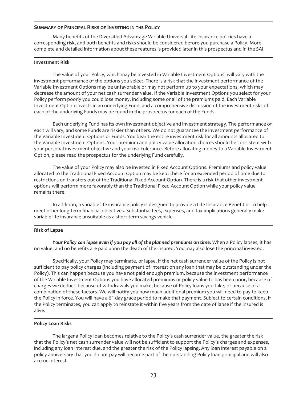#### **SUMMARY OF PRINCIPAL RISKS OF INVESTING IN THE POLICY**

Many benefits of the Diversified Advantage Variable Universal Life insurance policies have a corresponding risk, and both benefits and risks should be considered before you purchase a Policy. More complete and detailed information about these features is provided later in this prospectus and in the SAI.

#### **Investment Risk**

The value of your Policy, which may be invested in Variable Investment Options, will vary with the investment performance of the options you select. There is a risk that the investment performance of the Variable Investment Options may be unfavorable or may not perform up to your expectations, which may decrease the amount of your net cash surrender value. If the Variable Investment Options you select for your Policy perform poorly you could lose money, including some or all of the premiums paid. Each Variable Investment Option invests in an underlying Fund, and a comprehensive discussion of the investment risks of each of the underlying Funds may be found in the prospectus for each of the Funds.

Each underlying Fund has its own investment objective and investment strategy. The performance of each will vary, and some Funds are riskier than others. We do not guarantee the investment performance of the Variable Investment Options or Funds. You bear the entire investment risk for all amounts allocated to the Variable Investment Options. Your premium and policy value allocation choices should be consistent with your personal investment objective and your risk tolerance. Before allocating money to a Variable Investment Option, please read the prospectus for the underlying Fund carefully.

The value of your Policy may also be invested in Fixed Account Options. Premiums and policy value allocated to the Traditional Fixed Account Option may be kept there for an extended period of time due to restrictions on transfers out of the Traditional Fixed Account Option. There is a risk that other investment options will perform more favorably than the Traditional Fixed Account Option while your policy value remains there.

In addition, a variable life insurance policy is designed to provide a Life Insurance Benefit or to help meet other long-term financial objectives. Substantial fees, expenses, and tax implications generally make variable life insurance unsuitable as a short-term savings vehicle.

## **Risk of Lapse**

*Your Policy can lapse even if you pay all of the planned premiums on time.* When a Policy lapses, it has no value, and no benefits are paid upon the death of the insured. You may also lose the principal invested.

Specifically, your Policy may terminate, or lapse, if the net cash surrender value of the Policy is not sufficient to pay policy charges (including payment of interest on any loan that may be outstanding under the Policy). This can happen because you have not paid enough premium, because the investment performance of the Variable Investment Options you have allocated premiums or policy value to has been poor, because of charges we deduct, because of withdrawals you make, because of Policy loans you take, or because of a combination of these factors. We will notify you how much additional premium you will need to pay to keep the Policy in force. You will have a 61 day grace period to make that payment. Subject to certain conditions, if the Policy terminates, you can apply to reinstate it within five years from the date of lapse if the insured is alive.

## **Policy Loan Risks**

The larger a Policy loan becomes relative to the Policy's cash surrender value, the greater the risk that the Policy's net cash surrender value will not be sufficient to support the Policy's charges and expenses, including any loan interest due, and the greater the risk of the Policy lapsing. Any loan interest payable on a policy anniversary that you do not pay will become part of the outstanding Policy loan principal and will also accrue interest.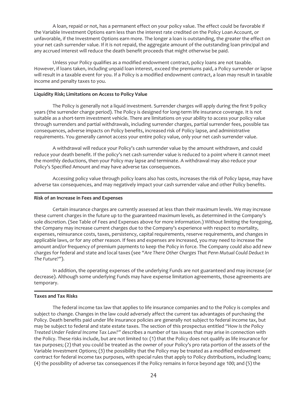A loan, repaid or not, has a permanent effect on your policy value. The effect could be favorable if the Variable Investment Options earn less than the interest rate credited on the Policy Loan Account, or unfavorable, if the Investment Options earn more. The longer a loan is outstanding, the greater the effect on your net cash surrender value. If it is not repaid, the aggregate amount of the outstanding loan principal and any accrued interest will reduce the death benefit proceeds that might otherwise be paid.

Unless your Policy qualifies as a modified endowment contract, policy loans are not taxable. However, if loans taken, including unpaid loan interest, exceed the premiums paid, a Policy surrender or lapse will result in a taxable event for you. If a Policy is a modified endowment contract, a loan may result in taxable income and penalty taxes to you.

## **Liquidity Risk; Limitations on Access to Policy Value**

The Policy is generally not a liquid investment. Surrender charges will apply during the first 9 policy years (the surrender charge period). The Policy is designed for long-term life insurance coverage. It is not suitable as a short-term investment vehicle. There are limitations on your ability to access your policy value through surrenders and partial withdrawals, including surrender charges, partial surrender fees, possible tax consequences, adverse impacts on Policy benefits, increased risk of Policy lapse, and administrative requirements. You generally cannot access your entire policy value, only your net cash surrender value.

A withdrawal will reduce your Policy's cash surrender value by the amount withdrawn, and could reduce your death benefit. If the policy's net cash surrender value is reduced to a point where it cannot meet the monthly deductions, then your Policy may lapse and terminate. A withdrawal may also reduce your Policy's Specified Amount and may have adverse tax consequences.

Accessing policy value through policy loans also has costs, increases the risk of Policy lapse, may have adverse tax consequences, and may negatively impact your cash surrender value and other Policy benefits.

## **Risk of an Increase in Fees and Expenses**

Certain insurance charges are currently assessed at less than their maximum levels. We may increase these current charges in the future up to the guaranteed maximum levels, as determined in the Company's sole discretion. (See Table of Fees and Expenses above for more information.) Without limiting the foregoing, the Company may increase current charges due to the Company's experience with respect to mortality, expenses, reinsurance costs, taxes, persistency, capital requirements, reserve requirements, and changes in applicable laws, or for any other reason. If fees and expenses are increased, you may need to increase the amount and/or frequency of premium payments to keep the Policy in force. The Company could also add new charges for federal and state and local taxes (see *"Are There Other Charges That Penn Mutual Could Deduct In The Future?*").

In addition, the operating expenses of the underlying Funds are not guaranteed and may increase (or decrease). Although some underlying Funds may have expense limitation agreements, those agreements are temporary.

# **Taxes and Tax Risks**

The federal income tax law that applies to life insurance companies and to the Policy is complex and subject to change. Changes in the law could adversely affect the current tax advantages of purchasing the Policy. Death benefits paid under life insurance policies are generally not subject to federal income tax, but may be subject to federal and state estate taxes. The section of this prospectus entitled *"How Is the Policy Treated Under Federal Income Tax Law?"* describes a number of tax issues that may arise in connection with the Policy. These risks include, but are not limited to: (1) that the Policy does not qualify as life insurance for tax purposes; (2) that you could be treated as the owner of your Policy's pro rata portion of the assets of the Variable Investment Options; (3) the possibility that the Policy may be treated as a modified endowment contract for federal income tax purposes, with special rules that apply to Policy distributions, including loans; (4) the possibility of adverse tax consequences if the Policy remains in force beyond age 100; and (5) the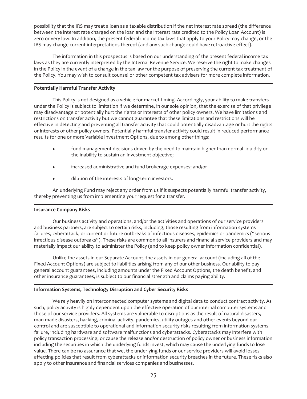possibility that the IRS may treat a loan as a taxable distribution if the net interest rate spread (the difference between the interest rate charged on the loan and the interest rate credited to the Policy Loan Account) is zero or very low. In addition, the present federal income tax laws that apply to your Policy may change, or the IRS may change current interpretations thereof (and any such change could have retroactive effect).

The information in this prospectus is based on our understanding of the present federal income tax laws as they are currently interpreted by the Internal Revenue Service. We reserve the right to make changes in the Policy in the event of a change in the tax law for the purpose of preserving the current tax treatment of the Policy. You may wish to consult counsel or other competent tax advisers for more complete information.

## **Potentially Harmful Transfer Activity**

This Policy is not designed as a vehicle for market timing. Accordingly, your ability to make transfers under the Policy is subject to limitation if we determine, in our sole opinion, that the exercise of that privilege may disadvantage or potentially hurt the rights or interests of other policy owners. We have limitations and restrictions on transfer activity but we cannot guarantee that these limitations and restrictions will be effective in detecting and preventing all transfer activity that could potentially disadvantage or hurt the rights or interests of other policy owners. Potentially harmful transfer activity could result in reduced performance results for one or more Variable Investment Options, due to among other things:

- fund management decisions driven by the need to maintain higher than normal liquidity or the inability to sustain an investment objective;
- $\bullet$  increased administrative and fund brokerage expenses; and/or
- dilution of the interests of long-term investors.

An underlying Fund may reject any order from us if it suspects potentially harmful transfer activity, thereby preventing us from implementing your request for a transfer.

## **Insurance Company Risks**

Our business activity and operations, and/or the activities and operations of our service providers and business partners, are subject to certain risks, including, those resulting from information systems failures, cyberattack, or current or future outbreaks of infectious diseases, epidemics or pandemics ("serious infectious disease outbreaks"). These risks are common to all insurers and financial service providers and may materially impact our ability to administer the Policy (and to keep policy owner information confidential).

Unlike the assets in our Separate Account, the assets in our general account (including all of the Fixed Account Options) are subject to liabilities arising from any of our other business. Our ability to pay general account guarantees, including amounts under the Fixed Account Options, the death benefit, and other insurance guarantees, is subject to our financial strength and claims paying ability.

# **Information Systems, Technology Disruption and Cyber Security Risks**

We rely heavily on interconnected computer systems and digital data to conduct contract activity. As such, policy activity is highly dependent upon the effective operation of our internal computer systems and those of our service providers. All systems are vulnerable to disruptions as the result of natural disasters, man-made disasters, hacking, criminal activity, pandemics, utility outages and other events beyond our control and are susceptible to operational and information security risks resulting from information systems failure, including hardware and software malfunctions and cyberattacks. Cyberattacks may interfere with policy transaction processing, or cause the release and/or destruction of policy owner or business information including the securities in which the underlying funds invest, which may cause the underlying funds to lose value. There can be no assurance that we, the underlying funds or our service providers will avoid losses affecting policies that result from cyberattacks or information security breaches in the future. These risks also apply to other insurance and financial services companies and businesses.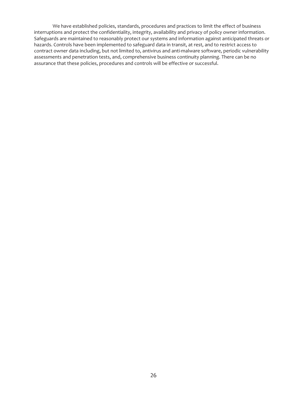We have established policies, standards, procedures and practices to limit the effect of business interruptions and protect the confidentiality, integrity, availability and privacy of policy owner information. Safeguards are maintained to reasonably protect our systems and information against anticipated threats or hazards. Controls have been implemented to safeguard data in transit, at rest, and to restrict access to contract owner data including, but not limited to, antivirus and anti-malware software, periodic vulnerability assessments and penetration tests, and, comprehensive business continuity planning. There can be no assurance that these policies, procedures and controls will be effective or successful.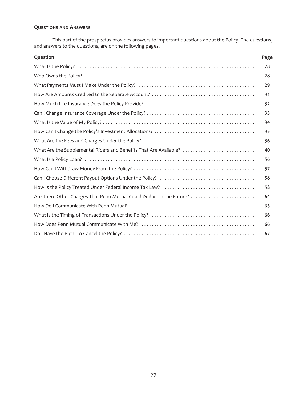# **QUESTIONS AND ANSWERS**

This part of the prospectus provides answers to important questions about the Policy. The questions, and answers to the questions, are on the following pages.

| Question                                                             | Page |
|----------------------------------------------------------------------|------|
|                                                                      | 28   |
|                                                                      | 28   |
|                                                                      | 29   |
|                                                                      | 31   |
|                                                                      | 32   |
|                                                                      | 33   |
|                                                                      | 34   |
|                                                                      | 35   |
|                                                                      | 36   |
| What Are the Supplemental Riders and Benefits That Are Available?    | 40   |
|                                                                      | 56   |
|                                                                      | 57   |
|                                                                      | 58   |
|                                                                      | 58   |
| Are There Other Charges That Penn Mutual Could Deduct in the Future? | 64   |
|                                                                      | 65   |
|                                                                      | 66   |
|                                                                      | 66   |
|                                                                      | 67   |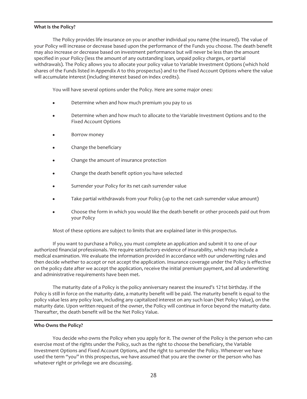## <span id="page-28-0"></span>**What Is the Policy?**

The Policy provides life insurance on you or another individual you name (the insured). The value of your Policy will increase or decrease based upon the performance of the Funds you choose. The death benefit may also increase or decrease based on investment performance but will never be less than the amount specified in your Policy (less the amount of any outstanding loan, unpaid policy charges, or partial withdrawals). The Policy allows you to allocate your policy value to Variable Investment Options (which hold shares of the Funds listed in *Appendix A* to this prospectus) and to the Fixed Account Options where the value will accumulate interest (including interest based on index credits).

You will have several options under the Policy. Here are some major ones:

- Determine when and how much premium you pay to us
- Determine when and how much to allocate to the Variable Investment Options and to the Fixed Account Options
- Borrow money
- Change the beneficiary
- Change the amount of insurance protection
- Change the death benefit option you have selected
- Surrender your Policy for its net cash surrender value
- Take partial withdrawals from your Policy (up to the net cash surrender value amount)
- Choose the form in which you would like the death benefit or other proceeds paid out from your Policy

Most of these options are subject to limits that are explained later in this prospectus.

If you want to purchase a Policy, you must complete an application and submit it to one of our authorized financial professionals. We require satisfactory evidence of insurability, which may include a medical examination. We evaluate the information provided in accordance with our underwriting rules and then decide whether to accept or not accept the application. Insurance coverage under the Policy is effective on the policy date after we accept the application, receive the initial premium payment, and all underwriting and administrative requirements have been met.

The maturity date of a Policy is the policy anniversary nearest the insured's 121st birthday. If the Policy is still in force on the maturity date, a maturity benefit will be paid. The maturity benefit is equal to the policy value less any policy loan, including any capitalized interest on any such loan (Net Policy Value), on the maturity date. Upon written request of the owner, the Policy will continue in force beyond the maturity date. Thereafter, the death benefit will be the Net Policy Value.

# <span id="page-28-1"></span>**Who Owns the Policy?**

You decide who owns the Policy when you apply for it. The owner of the Policy is the person who can exercise most of the rights under the Policy, such as the right to choose the beneficiary, the Variable Investment Options and Fixed Account Options, and the right to surrender the Policy. Whenever we have used the term "you" in this prospectus, we have assumed that you are the owner or the person who has whatever right or privilege we are discussing.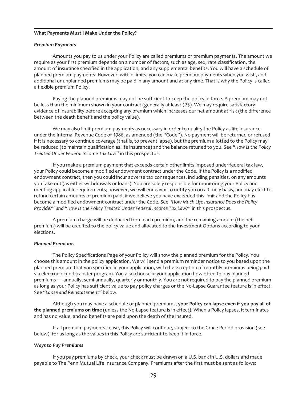#### <span id="page-29-0"></span>**What Payments Must I Make Under the Policy?**

#### *Premium Payments*

Amounts you pay to us under your Policy are called premiums or premium payments. The amount we require as your first premium depends on a number of factors, such as age, sex, rate classification, the amount of insurance specified in the application, and any supplemental benefits. You will have a schedule of planned premium payments. However, within limits, you can make premium payments when you wish, and additional or unplanned premiums may be paid in any amount and at any time. That is why the Policy is called a flexible premium Policy.

Paying the planned premiums may not be sufficient to keep the policy in force. A premium may not be less than the minimum shown in your contract (generally at least \$25). We may require satisfactory evidence of insurability before accepting any premium which increases our net amount at risk (the difference between the death benefit and the policy value).

We may also limit premium payments as necessary in order to qualify the Policy as life insurance under the Internal Revenue Code of 1986, as amended (the "Code"). No payment will be returned or refused if it is necessary to continue coverage (that is, to prevent lapse), but the premium allotted to the Policy may be reduced (to maintain qualification as life insurance) and the balance retuned to you. See "*How Is the Policy Treated Under Federal Income Tax Law"* in this prospectus.

If you make a premium payment that exceeds certain other limits imposed under federal tax law, your Policy could become a modified endowment contract under the Code. If the Policy is a modified endowment contract, then you could incur adverse tax consequences, including penalties, on any amounts you take out (as either withdrawals or loans). You are solely responsible for monitoring your Policy and meeting applicable requirements; however, we will endeavor to notify you on a timely basis, and may elect to refund certain amounts of premium paid, if we believe you have exceeded this limit and the Policy has become a modified endowment contract under the Code. See "*How Much Life Insurance Does the Policy Provide?" and "How Is the Policy Treated Under Federal Income Tax Law?"* in this prospectus.

A premium charge will be deducted from each premium, and the remaining amount (the net premium) will be credited to the policy value and allocated to the Investment Options according to your elections.

## *Planned Premiums*

The Policy Specifications Page of your Policy will show the planned premium for the Policy. You choose this amount in the policy application. We will send a premium reminder notice to you based upon the planned premium that you specified in your application, with the exception of monthly premiums being paid via electronic fund transfer program. You also choose in your application how often to pay planned premiums — annually, semi-annually, quarterly or monthly. You are not required to pay the planned premium as long as your Policy has sufficient value to pay policy charges or the No-Lapse Guarantee feature is in effect. See "*Lapse and Reinstatement"* below.

Although you may have a schedule of planned premiums, **your Policy can lapse even if you pay all of the planned premiums on time** (unless the No-Lapse feature is in effect). When a Policy lapses, it terminates and has no value, and no benefits are paid upon the death of the insured.

If all premium payments cease, this Policy will continue, subject to the Grace Period provision (see below), for as long as the values in this Policy are sufficient to keep it in force.

## *Ways to Pay Premiums*

If you pay premiums by check, your check must be drawn on a U.S. bank in U.S. dollars and made payable to The Penn Mutual Life Insurance Company. Premiums after the first must be sent as follows: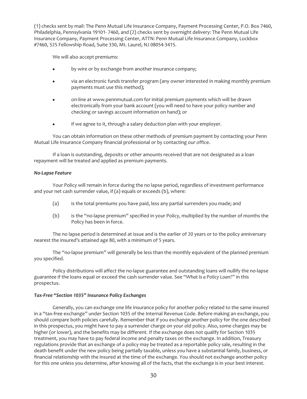(1) checks sent by mail: The Penn Mutual Life Insurance Company, Payment Processing Center, P.O. Box 7460, Philadelphia, Pennsylvania 19101- 7460, and (2) checks sent by overnight delivery: The Penn Mutual Life Insurance Company, Payment Processing Center, ATTN: Penn Mutual Life Insurance Company, Lockbox #7460, 525 Fellowship Road, Suite 330, Mt. Laurel, NJ 08054-3415.

We will also accept premiums:

- by wire or by exchange from another insurance company;
- via an electronic funds transfer program (any owner interested in making monthly premium payments must use this method);
- on-line at www.pennmutual.com for initial premium payments which will be drawn electronically from your bank account (you will need to have your policy number and checking or savings account information on hand); or
- if we agree to it, through a salary deduction plan with your employer.

You can obtain information on these other methods of premium payment by contacting your Penn Mutual Life Insurance Company financial professional or by contacting our office.

If a loan is outstanding, deposits or other amounts received that are not designated as a loan repayment will be treated and applied as premium payments.

## *No-Lapse Feature*

Your Policy will remain in force during the no lapse period, regardless of investment performance and your net cash surrender value, if (a) equals or exceeds (b), where:

- (a) is the total premiums you have paid, less any partial surrenders you made; and
- (b) is the "no-lapse premium" specified in your Policy, multiplied by the number of months the Policy has been in force.

The no lapse period is determined at issue and is the earlier of 20 years or to the policy anniversary nearest the insured's attained age 80, with a minimum of 5 years.

The "no-lapse premium" will generally be less than the monthly equivalent of the planned premium you specified.

Policy distributions will affect the no-lapse guarantee and outstanding loans will nullify the no-lapse guarantee if the loans equal or exceed the cash surrender value. See "*What Is a Policy Loan?"* in this prospectus.

# *Tax-Free "Section 1035" Insurance Policy Exchanges*

Generally, you can exchange one life insurance policy for another policy related to the same insured in a "tax-free exchange" under Section 1035 of the Internal Revenue Code. Before making an exchange, you should compare both policies carefully. Remember that if you exchange another policy for the one described in this prospectus, you might have to pay a surrender charge on your old policy. Also, some charges may be higher (or lower), and the benefits may be different. If the exchange does not qualify for Section 1035 treatment, you may have to pay federal income and penalty taxes on the exchange. In addition, Treasury regulations provide that an exchange of a policy may be treated as a reportable policy sale, resulting in the death benefit under the new policy being partially taxable, unless you have a substantial family, business, or financial relationship with the insured at the time of the exchange. You should not exchange another policy for this one unless you determine, after knowing all of the facts, that the exchange is in your best interest.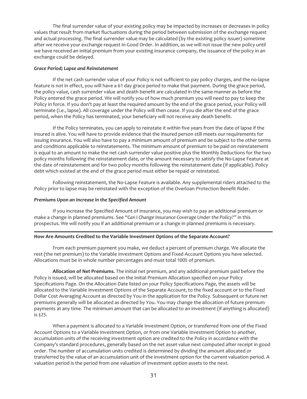The final surrender value of your existing policy may be impacted by increases or decreases in policy values that result from market fluctuations during the period between submission of the exchange request and actual processing. The final surrender value may be calculated (by the existing policy issuer) sometime after we receive your exchange request in Good Order. In addition, as we will not issue the new policy until we have received an initial premium from your existing insurance company, the issuance of the policy in an exchange could be delayed.

#### *Grace Period; Lapse and Reinstatement*

If the net cash surrender value of your Policy is not sufficient to pay policy charges, and the no-lapse feature is not in effect, you will have a 61 day grace period to make that payment. During the grace period, the policy value, cash surrender value and death benefit are calculated in the same manner as before the Policy entered the grace period. We will notify you of how much premium you will need to pay to keep the Policy in force. If you don't pay at least the required amount by the end of the grace period, your Policy will terminate (i.e., lapse). All coverage under the Policy will then cease. If you die after the end of the grace period, when the Policy has terminated, your beneficiary will not receive any death benefit.

If the Policy terminates, you can apply to reinstate it within five years from the date of lapse if the insured is alive. You will have to provide evidence that the insured person still meets our requirements for issuing insurance. You will also have to pay a minimum amount of premium and be subject to the other terms and conditions applicable to reinstatements. The minimum amount of premium to be paid on reinstatement is equal to an amount to make the net cash surrender value positive plus the Monthly Deductions for the two policy months following the reinstatement date, or the amount necessary to satisfy the No-Lapse Feature at the date of reinstatement and for two policy months following the reinstatement date (if applicable). Policy debt which existed at the end of the grace period must either be repaid or reinstated.

Following reinstatement, the No-Lapse Feature is available. Any supplemental riders attached to the Policy prior to lapse may be reinstated with the exception of the Overloan Protection Benefit Rider.

#### *Premiums Upon an Increase in the Specified Amount*

If you increase the Specified Amount of insurance, you may wish to pay an additional premium or make a change in planned premiums. See "*Can I Change Insurance Coverage Under the Policy?"* in this prospectus. We will notify you if an additional premium or a change in planned premiums is necessary.

#### <span id="page-31-0"></span>**How Are Amounts Credited to the Variable Investment Options of the Separate Account?**

From each premium payment you make, we deduct a percent of premium charge. We allocate the rest (the net premium) to the Variable Investment Options and Fixed Account Options you have selected. Allocations must be in whole number percentages and must total 100% of premium.

**Allocation of Net Premiums.** The initial net premium, and any additional premium paid before the Policy is issued, will be allocated based on the Initial Premium Allocation specified on your Policy Specifications Page. On the Allocation Date listed on your Policy Specifications Page, the assets will be allocated to the Variable Investment Options of the Separate Account, to the fixed account or to the Fixed Dollar Cost Averaging Account as directed by You in the application for the Policy. Subsequent or future net premiums generally will be allocated as directed by You. You may change the allocation of future premium payments at any time. The minimum amount that can be allocated to an investment (if anything is allocated) is \$25.

When a payment is allocated to a Variable Investment Option, or transferred from one of the Fixed Account Options to a Variable Investment Option, or from one Variable Investment Option to another, accumulation units of the receiving investment option are credited to the Policy in accordance with the Company's standard procedures, generally based on the net asset value next computed after receipt in good order. The number of accumulation units credited is determined by dividing the amount allocated or transferred by the value of an accumulation unit of the investment option for the current valuation period. A valuation period is the period from one valuation of investment option assets to the next.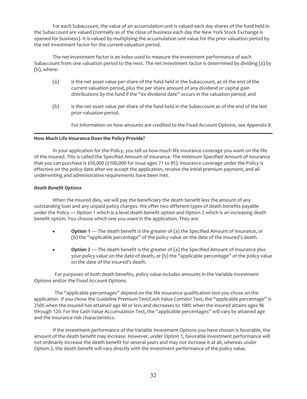For each Subaccount, the value of an accumulation unit is valued each day shares of the fund held in the Subaccount are valued (normally as of the close of business each day the New York Stock Exchange is opened for business). It is valued by multiplying the accumulation unit value for the prior valuation period by the net investment factor for the current valuation period.

The net investment factor is an index used to measure the investment performance of each Subaccount from one valuation period to the next. The net investment factor is determined by dividing (a) by (b), where:

- (a) is the net asset value per share of the fund held in the Subaccount, as of the end of the current valuation period, plus the per share amount of any dividend or capital gain distributions by the fund if the "ex-dividend date" occurs in the valuation period; and
- (b) is the net asset value per share of the fund held in the Subaccount as of the end of the last prior valuation period.

For information on how amounts are credited to the Fixed Account Options, see *Appendix B*.

## <span id="page-32-0"></span>**How Much Life Insurance Does the Policy Provide?**

In your application for the Policy, you tell us how much life insurance coverage you want on the life of the insured. This is called the Specified Amount of insurance. The minimum Specified Amount of insurance that you can purchase is \$50,000 (\$100,000 for issue ages 71 to 85). Insurance coverage under the Policy is effective on the policy date after we accept the application, receive the initial premium payment, and all underwriting and administrative requirements have been met.

# *Death Benefit Options*

When the insured dies, we will pay the beneficiary the death benefit less the amount of any outstanding loan and any unpaid policy charges. We offer two different types of death benefits payable under the Policy — Option 1 which is a level death benefit option and Option 2 which is an increasing death benefit option. You choose which one you want in the application. They are:

- **Option 1** The death benefit is the greater of (a) the Specified Amount of insurance, or (b) the "applicable percentage" of the policy value on the date of the insured's death.
- **Option 2** The death benefit is the greater of (a) the Specified Amount of insurance plus your policy value on the date of death, or (b) the "applicable percentage" of the policy value on the date of the insured's death.

For purposes of both death benefits, policy value includes amounts in the Variable Investment Options and/or the Fixed Account Options.

The "applicable percentages" depend on the life insurance qualification test you chose on the application. If you chose the Guideline Premium Test/Cash Value Corridor Test, the "applicable percentage" is 250% when the insured has attained age 40 or less and decreases to 100% when the insured attains ages 96 through 120. For the Cash Value Accumulation Test, the "applicable percentages" will vary by attained age and the insurance risk characteristics.

If the investment performance of the Variable Investment Options you have chosen is favorable, the amount of the death benefit may increase. However, under Option 1, favorable investment performance will not ordinarily increase the death benefit for several years and may not increase it at all, whereas under Option 2, the death benefit will vary directly with the investment performance of the policy value.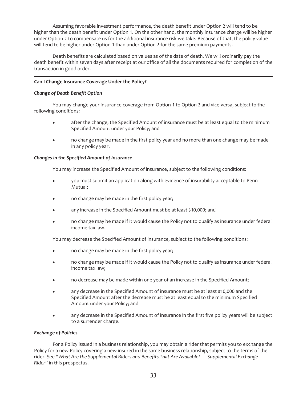Assuming favorable investment performance, the death benefit under Option 2 will tend to be higher than the death benefit under Option 1. On the other hand, the monthly insurance charge will be higher under Option 2 to compensate us for the additional insurance risk we take. Because of that, the policy value will tend to be higher under Option 1 than under Option 2 for the same premium payments.

Death benefits are calculated based on values as of the date of death. We will ordinarily pay the death benefit within seven days after receipt at our office of all the documents required for completion of the transaction in good order.

# <span id="page-33-0"></span>**Can I Change Insurance Coverage Under the Policy?**

## *Change of Death Benefit Option*

You may change your insurance coverage from Option 1 to Option 2 and vice-versa, subject to the following conditions:

- after the change, the Specified Amount of insurance must be at least equal to the minimum Specified Amount under your Policy; and
- no change may be made in the first policy year and no more than one change may be made in any policy year.

## *Changes in the Specified Amount of Insurance*

You may increase the Specified Amount of insurance, subject to the following conditions:

- you must submit an application along with evidence of insurability acceptable to Penn Mutual;
- no change may be made in the first policy year;
- any increase in the Specified Amount must be at least \$10,000; and
- no change may be made if it would cause the Policy not to qualify as insurance under federal income tax law.

You may decrease the Specified Amount of insurance, subject to the following conditions:

- no change may be made in the first policy year;
- no change may be made if it would cause the Policy not to qualify as insurance under federal income tax law;
- no decrease may be made within one year of an increase in the Specified Amount;
- any decrease in the Specified Amount of insurance must be at least \$10,000 and the Specified Amount after the decrease must be at least equal to the minimum Specified Amount under your Policy; and
- any decrease in the Specified Amount of insurance in the first five policy years will be subject to a surrender charge.

## *Exchange of Policies*

For a Policy issued in a business relationship, you may obtain a rider that permits you to exchange the Policy for a new Policy covering a new insured in the same business relationship, subject to the terms of the rider. See "*What Are the Supplemental Riders and Benefits That Are Available? — Supplemental Exchange Rider"* in this prospectus.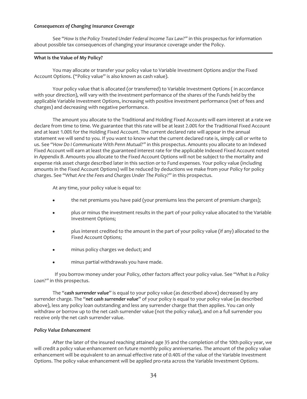#### *Consequences of Changing Insurance Coverage*

See "*How Is the Policy Treated Under Federal Income Tax Law?"* in this prospectus for information about possible tax consequences of changing your insurance coverage under the Policy.

## <span id="page-34-0"></span>**What Is the Value of My Policy?**

You may allocate or transfer your policy value to Variable Investment Options and/or the Fixed Account Options. ("Policy value" is also known as cash value).

Your policy value that is allocated (or transferred) to Variable Investment Options ( in accordance with your direction), will vary with the investment performance of the shares of the Funds held by the applicable Variable Investment Options, increasing with positive investment performance (net of fees and charges) and decreasing with negative performance.

The amount you allocate to the Traditional and Holding Fixed Accounts will earn interest at a rate we declare from time to time. We guarantee that this rate will be at least 2.00% for the Traditional Fixed Account and at least 1.00% for the Holding Fixed Account. The current declared rate will appear in the annual statement we will send to you. If you want to know what the current declared rate is, simply call or write to us. See "*How Do I Communicate With Penn Mutual?"* in this prospectus. Amounts you allocate to an Indexed Fixed Account will earn at least the guaranteed interest rate for the applicable Indexed Fixed Account noted in *Appendix B*. Amounts you allocate to the Fixed Account Options will not be subject to the mortality and expense risk asset charge described later in this section or to Fund expenses. Your policy value (including amounts in the Fixed Account Options) will be reduced by deductions we make from your Policy for policy charges. See "*What Are the Fees and Charges Under The Policy?*" in this prospectus.

At any time, your policy value is equal to:

- the net premiums you have paid (your premiums less the percent of premium charges);
- plus or minus the investment results in the part of your policy value allocated to the Variable Investment Options;
- plus interest credited to the amount in the part of your policy value (if any) allocated to the Fixed Account Options;
- minus policy charges we deduct; and
- minus partial withdrawals you have made.

If you borrow money under your Policy, other factors affect your policy value. See "*What Is a Policy Loan?"* in this prospectus.

The "*cash surrender value*" is equal to your policy value (as described above) decreased by any surrender charge. The "*net cash surrender value*" of your policy is equal to your policy value (as described above), less any policy loan outstanding and less any surrender charge that then applies. You can only withdraw or borrow up to the net cash surrender value (not the policy value), and on a full surrender you receive only the net cash surrender value.

## *Policy Value Enhancement*

After the later of the insured reaching attained age 35 and the completion of the 10th policy year, we will credit a policy value enhancement on future monthly policy anniversaries. The amount of the policy value enhancement will be equivalent to an annual effective rate of 0.40% of the value of the Variable Investment Options. The policy value enhancement will be applied pro-rata across the Variable Investment Options.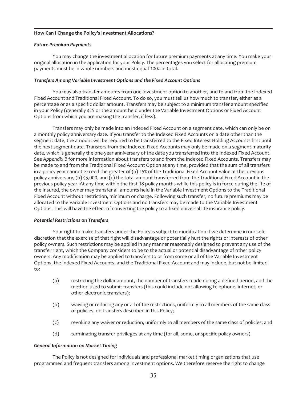## <span id="page-35-0"></span>**How Can I Change the Policy's Investment Allocations?**

#### *Future Premium Payments*

You may change the investment allocation for future premium payments at any time. You make your original allocation in the application for your Policy. The percentages you select for allocating premium payments must be in whole numbers and must equal 100% in total.

## *Transfers Among Variable Investment Options and the Fixed Account Options*

You may also transfer amounts from one investment option to another, and to and from the Indexed Fixed Account and Traditional Fixed Account. To do so, you must tell us how much to transfer, either as a percentage or as a specific dollar amount. Transfers may be subject to a minimum transfer amount specified in your Policy (generally \$25 or the amount held under the Variable Investment Options or Fixed Account Options from which you are making the transfer, if less).

Transfers may only be made into an Indexed Fixed Account on a segment date, which can only be on a monthly policy anniversary date. If you transfer to the Indexed Fixed Accounts on a date other than the segment date, the amount will be required to be transferred to the Fixed Interest Holding Accounts first until the next segment date. Transfers from the Indexed Fixed Accounts may only be made on a segment maturity date, which is generally the one-year anniversary of the date you transferred into the Indexed Fixed Account. See *Appendix B* for more information about transfers to and from the Indexed Fixed Accounts. Transfers may be made to and from the Traditional Fixed Account Option at any time, provided that the sum of all transfers in a policy year cannot exceed the greater of (a) 25% of the Traditional Fixed Account value at the previous policy anniversary, (b) \$5,000, and (c) the total amount transferred from the Traditional Fixed Account in the previous policy year. At any time within the first 18 policy months while this policy is in force during the life of the Insured, the owner may transfer all amounts held in the Variable Investment Options to the Traditional Fixed Account without restriction, minimum or charge. Following such transfer, no future premiums may be allocated to the Variable Investment Options and no transfers may be made to the Variable Investment Options. This will have the effect of converting the policy to a fixed universal life insurance policy.

## *Potential Restrictions on Transfers*

Your right to make transfers under the Policy is subject to modification if we determine in our sole discretion that the exercise of that right will disadvantage or potentially hurt the rights or interests of other policy owners. Such restrictions may be applied in any manner reasonably designed to prevent any use of the transfer right, which the Company considers to be to the actual or potential disadvantage of other policy owners. Any modification may be applied to transfers to or from some or all of the Variable Investment Options, the Indexed Fixed Accounts, and the Traditional Fixed Account and may include, but not be limited to:

- (a) restricting the dollar amount, the number of transfers made during a defined period, and the method used to submit transfers (this could include not allowing telephone, internet, or other electronic transfers);
- (b) waiving or reducing any or all of the restrictions, uniformly to all members of the same class of policies, on transfers described in this Policy;
- (c) revoking any waiver or reduction, uniformly to all members of the same class of policies; and
- (d) terminating transfer privileges at any time (for all, some, or specific policy owners).

## *General Information on Market Timing*

The Policy is not designed for individuals and professional market timing organizations that use programmed and frequent transfers among investment options. We therefore reserve the right to change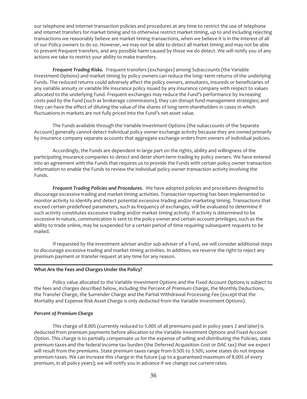our telephone and internet transaction policies and procedures at any time to restrict the use of telephone and internet transfers for market timing and to otherwise restrict market timing, up to and including rejecting transactions we reasonably believe are market timing transactions, when we believe it is in the interest of all of our Policy owners to do so. However, we may not be able to detect all market timing and may not be able to prevent frequent transfers, and any possible harm caused by those we do detect. We will notify you of any actions we take to restrict your ability to make transfers.

*Frequent Trading Risks.* Frequent transfers (exchanges) among Subaccounts (the Variable Investment Options) and market timing by policy owners can reduce the long–term returns of the underlying Funds. The reduced returns could adversely affect the policy owners, annuitants, insureds or beneficiaries of any variable annuity or variable life insurance policy issued by any insurance company with respect to values allocated to the underlying Fund. Frequent exchanges may reduce the Fund's performance by increasing costs paid by the Fund (such as brokerage commissions); they can disrupt fund management strategies; and they can have the effect of diluting the value of the shares of long term shareholders in cases in which fluctuations in markets are not fully priced into the Fund's net asset value.

The Funds available through the Variable Investment Options (the subaccounts of the Separate Account) generally cannot detect individual policy owner exchange activity because they are owned primarily by insurance company separate accounts that aggregate exchange orders from owners of individual policies.

Accordingly, the Funds are dependent in large part on the rights, ability and willingness of the participating insurance companies to detect and deter short-term trading by policy owners. We have entered into an agreement with the Funds that requires us to provide the Funds with certain policy owner transaction information to enable the Funds to review the individual policy owner transaction activity involving the Funds.

*Frequent Trading Policies and Procedures.* We have adopted policies and procedures designed to discourage excessive trading and market timing activities. Transaction reporting has been implemented to monitor activity to identify and detect potential excessive trading and/or marketing timing. Transactions that exceed certain predefined parameters, such as frequency of exchanges, will be evaluated to determine if such activity constitutes excessive trading and/or market timing activity. If activity is determined to be excessive in nature, communication is sent to the policy owner and certain account privileges, such as the ability to trade online, may be suspended for a certain period of time requiring subsequent requests to be mailed.

If requested by the investment adviser and/or sub-adviser of a Fund, we will consider additional steps to discourage excessive trading and market timing activities. In addition, we reserve the right to reject any premium payment or transfer request at any time for any reason.

## **What Are the Fees and Charges Under the Policy?**

Policy value allocated to the Variable Investment Options and the Fixed Account Options is subject to the fees and charges described below, including the Percent of Premium Charge, the Monthly Deductions, the Transfer Charge, the Surrender Charge and the Partial Withdrawal Processing Fee (except that the Mortality and Expense Risk Asset Charge is only deducted from the Variable Investment Options).

## *Percent of Premium Charge*

This charge of 8.00% (currently reduced to 5.00% of all premiums paid in policy years 2 and later) is deducted from premium payments before allocation to the Variable Investment Options and Fixed Account Option. This charge is to partially compensate us for the expense of selling and distributing the Policies, state premium taxes and the federal income tax burden (the Deferred Acquisition Cost or DAC tax) that we expect will result from the premiums. State premium taxes range from 0.50% to 3.50%; some states do not impose premium taxes. We can increase this charge in the future (up to a guaranteed maximum of 8.00% of every premium, in all policy years); we will notify you in advance if we change our current rates.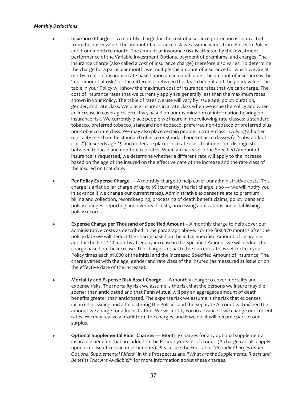### *Monthly Deductions*

- **Insurance Charge** A monthly charge for the cost of insurance protection is subtracted from the policy value. The amount of insurance risk we assume varies from Policy to Policy and from month to month. The amount of insurance risk is affected by the investment performance of the Variable Investment Options, payment of premiums, and charges. The insurance charge (also called a cost of insurance charge) therefore also varies. To determine the charge for a particular month, we multiply the amount of insurance for which we are at risk by a cost of insurance rate based upon an actuarial table. The amount of insurance is the "net amount at risk," or the difference between the death benefit and the policy value. The table in your Policy will show the maximum cost of insurance rates that we can charge. The cost of insurance rates that we currently apply are generally less than the maximum rates shown in your Policy. The table of rates we use will vary by issue age, policy duration*,* gender, and rate class. We place insureds in a rate class when we issue the Policy and when an increase in coverage is effective, based on our examination of information bearing on insurance risk. We currently place people we insure in the following rate classes: a standard tobacco, preferred tobacco, standard non-tobacco, preferred non-tobacco or preferred plus non-tobacco rate class. We may also place certain people in a rate class involving a higher mortality risk than the standard tobacco or standard non-tobacco classes (a "substandard class"). Insureds age 19 and under are placed in a rate class that does not distinguish between tobacco and non-tobacco rates. When an increase in the Specified Amount of insurance is requested, we determine whether a different rate will apply to the increase based on the age of the insured on the effective date of the increase and the rate class of the insured on that date.
- Per Policy Expense Charge A monthly charge to help cover our administrative costs. This charge is a flat dollar charge of up to  $\frac{1}{2}$  (currently, the flat charge is  $\frac{1}{2}8$  — we will notify you in advance if we change our current rates). Administrative expenses relate to premium billing and collection, recordkeeping, processing of death benefit claims, policy loans and policy changes, reporting and overhead costs, processing applications and establishing policy records.
- **Expense Charge per Thousand of Specified Amount** A monthly charge to help cover our administrative costs as described in the paragraph above. For the first 120 months after the policy date we will deduct the charge based on the initial Specified Amount of insurance, and for the first 120 months after any increase in the Specified Amount we will deduct the charge based on the increase. The charge is equal to the current rate as set forth in your Policy times each \$1,000 of the initial and the increased Specified Amount of insurance. The charge varies with the age, gender and rate class of the insured (as measured at issue or on the effective date of the increase).
- **Mortality and Expense Risk Asset Charge** A monthly charge to cover mortality and expense risks. The mortality risk we assume is the risk that the persons we insure may die sooner than anticipated and that Penn Mutual will pay an aggregate amount of death benefits greater than anticipated. The expense risk we assume is the risk that expenses incurred in issuing and administering the Policies and the Separate Account will exceed the amount we charge for administration. We will notify you in advance if we change our current rates. We may realize a profit from the charges, and if we do, it will become part of our surplus.
- **•** Optional Supplemental Rider Charges Monthly charges for any optional supplemental insurance benefits that are added to the Policy by means of a rider. (A charge can also apply upon exercise of certain rider benefits). Please see the Fee Table "*Periodic Charges under Optional Supplemental Riders*" in this Prospectus and "*What are the Supplemental Riders and Benefits That Are Available?"* for more information about these charges.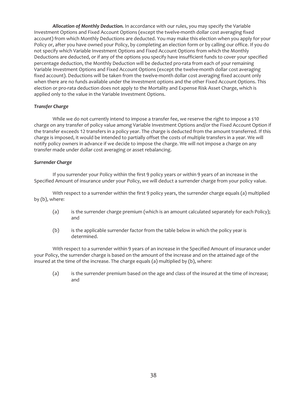*Allocation of Monthly Deduction.* In accordance with our rules, you may specify the Variable Investment Options and Fixed Account Options (except the twelve-month dollar cost averaging fixed account) from which Monthly Deductions are deducted. You may make this election when you apply for your Policy or, after you have owned your Policy, by completing an election form or by calling our office. If you do not specify which Variable Investment Options and Fixed Account Options from which the Monthly Deductions are deducted, or if any of the options you specify have insufficient funds to cover your specified percentage deduction, the Monthly Deduction will be deducted pro-rata from each of your remaining Variable Investment Options and Fixed Account Options (except the twelve-month dollar cost averaging fixed account). Deductions will be taken from the twelve-month dollar cost averaging fixed account only when there are no funds available under the investment options and the other Fixed Account Options. This election or pro-rata deduction does not apply to the Mortality and Expense Risk Asset Charge, which is applied only to the value in the Variable Investment Options.

## *Transfer Charge*

While we do not currently intend to impose a transfer fee, we reserve the right to impose a \$10 charge on any transfer of policy value among Variable Investment Options and/or the Fixed Account Option if the transfer exceeds 12 transfers in a policy year. The charge is deducted from the amount transferred. If this charge is imposed, it would be intended to partially offset the costs of multiple transfers in a year. We will notify policy owners in advance if we decide to impose the charge. We will not impose a charge on any transfer made under dollar cost averaging or asset rebalancing.

## *Surrender Charge*

If you surrender your Policy within the first 9 policy years or within 9 years of an increase in the Specified Amount of insurance under your Policy, we will deduct a surrender charge from your policy value.

With respect to a surrender within the first 9 policy years, the surrender charge equals (a) multiplied by (b), where:

- (a) is the surrender charge premium (which is an amount calculated separately for each Policy); and
- (b) is the applicable surrender factor from the table below in which the policy year is determined.

With respect to a surrender within 9 years of an increase in the Specified Amount of insurance under your Policy, the surrender charge is based on the amount of the increase and on the attained age of the insured at the time of the increase. The charge equals (a) multiplied by (b), where:

(a) is the surrender premium based on the age and class of the insured at the time of increase; and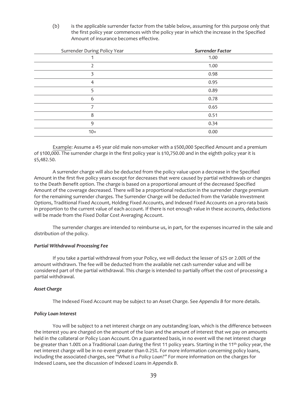(b) is the applicable surrender factor from the table below, assuming for this purpose only that the first policy year commences with the policy year in which the increase in the Specified Amount of insurance becomes effective.

| Surrender During Policy Year | <b>Surrender Factor</b> |
|------------------------------|-------------------------|
|                              | 1.00                    |
|                              | 1.00                    |
|                              | 0.98                    |
| 4                            | 0.95                    |
|                              | 0.89                    |
| 6                            | 0.78                    |
|                              | 0.65                    |
| 8                            | 0.51                    |
| 9                            | 0.34                    |
| $10+$                        | 0.00                    |

Example: Assume a 45 year old male non-smoker with a \$500,000 Specified Amount and a premium of \$100,000. The surrender charge in the first policy year is \$10,750.00 and in the eighth policy year it is \$5,482.50.

A surrender charge will also be deducted from the policy value upon a decrease in the Specified Amount in the first five policy years except for decreases that were caused by partial withdrawals or changes to the Death Benefit option. The charge is based on a proportional amount of the decreased Specified Amount of the coverage decreased. There will be a proportional reduction in the surrender charge premium for the remaining surrender charges. The Surrender Charge will be deducted from the Variable Investment Options, Traditional Fixed Account, Holding Fixed Accounts, and Indexed Fixed Accounts on a pro-rata basis in proportion to the current value of each account. If there is not enough value in these accounts, deductions will be made from the Fixed Dollar Cost Averaging Account.

The surrender charges are intended to reimburse us, in part, for the expenses incurred in the sale and distribution of the policy.

#### *Partial Withdrawal Processing Fee*

If you take a partial withdrawal from your Policy, we will deduct the lesser of \$25 or 2.00% of the amount withdrawn. The fee will be deducted from the available net cash surrender value and will be considered part of the partial withdrawal. This charge is intended to partially offset the cost of processing a partial withdrawal.

## *Asset Charge*

The Indexed Fixed Account may be subject to an Asset Charge. See *Appendix B* for more details.

#### *Policy Loan Interest*

You will be subject to a net interest charge on any outstanding loan, which is the difference between the interest you are charged on the amount of the loan and the amount of interest that we pay on amounts held in the collateral or Policy Loan Account. On a guaranteed basis, in no event will the net interest charge be greater than 1.00% on a Traditional Loan during the first 11 policy years. Starting in the 11<sup>th</sup> policy year, the net interest charge will be in no event greater than 0.25%. For more information concerning policy loans, including the associated charges, see "*What is a Policy Loan?"* For more information on the charges for Indexed Loans, see the discussion of Indexed Loans in *Appendix B*.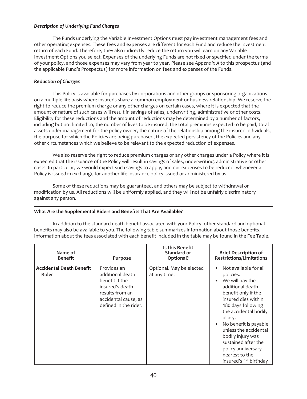## *Description of Underlying Fund Charges*

The Funds underlying the Variable Investment Options must pay investment management fees and other operating expenses. These fees and expenses are different for each Fund and reduce the investment return of each Fund. Therefore, they also indirectly reduce the return you will earn on any Variable Investment Options you select. Expenses of the underlying Funds are not fixed or specified under the terms of your policy, and those expenses may vary from year to year. Please see *Appendix A* to this prospectus (and the applicable Fund's Prospectus) for more information on fees and expenses of the Funds.

## *Reduction of Charges*

This Policy is available for purchases by corporations and other groups or sponsoring organizations on a multiple life basis where insureds share a common employment or business relationship. We reserve the right to reduce the premium charge or any other charges on certain cases, where it is expected that the amount or nature of such cases will result in savings of sales, underwriting, administrative or other costs. Eligibility for these reductions and the amount of reductions may be determined by a number of factors, including but not limited to, the number of lives to be insured, the total premiums expected to be paid, total assets under management for the policy owner, the nature of the relationship among the insured individuals, the purpose for which the Policies are being purchased, the expected persistency of the Policies and any other circumstances which we believe to be relevant to the expected reduction of expenses.

We also reserve the right to reduce premium charges or any other charges under a Policy where it is expected that the issuance of the Policy will result in savings of sales, underwriting, administrative or other costs. In particular, we would expect such savings to apply, and our expenses to be reduced, whenever a Policy is issued in exchange for another life insurance policy issued or administered by us.

Some of these reductions may be guaranteed, and others may be subject to withdrawal or modification by us. All reductions will be uniformly applied, and they will not be unfairly discriminatory against any person.

## **What Are the Supplemental Riders and Benefits That Are Available?**

In addition to the standard death benefit associated with your Policy, other standard and optional benefits may also be available to you. The following table summarizes information about those benefits. Information about the fees associated with each benefit included in the table may be found in the Fee Table.

| Name of<br><b>Benefit</b>                | <b>Purpose</b>                                                                                                                           | Is this Benefit<br>Standard or<br>Optional? | <b>Brief Description of</b><br><b>Restrictions/Limitations</b>                                                                                                                                                                                                                                                                                                |
|------------------------------------------|------------------------------------------------------------------------------------------------------------------------------------------|---------------------------------------------|---------------------------------------------------------------------------------------------------------------------------------------------------------------------------------------------------------------------------------------------------------------------------------------------------------------------------------------------------------------|
| <b>Accidental Death Benefit</b><br>Rider | Provides an<br>additional death<br>benefit if the<br>insured's death<br>results from an<br>accidental cause, as<br>defined in the rider. | Optional. May be elected<br>at any time.    | Not available for all<br>policies.<br>We will pay the<br>additional death<br>benefit only if the<br>insured dies within<br>180 days following<br>the accidental bodily<br>injury.<br>No benefit is payable<br>unless the accidental<br>bodily injury was<br>sustained after the<br>policy anniversary<br>nearest to the<br>insured's 1 <sup>st</sup> birthday |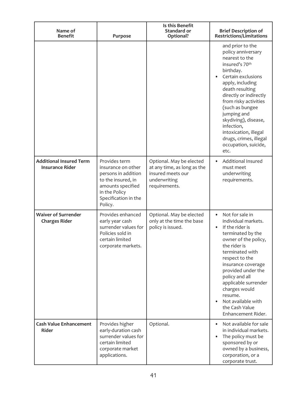| Name of<br><b>Benefit</b>                                | Purpose                                                                                                                                                   | Is this Benefit<br>Standard or<br>Optional?                                                                   | <b>Brief Description of</b><br><b>Restrictions/Limitations</b>                                                                                                                                                                                                                                                                                                     |
|----------------------------------------------------------|-----------------------------------------------------------------------------------------------------------------------------------------------------------|---------------------------------------------------------------------------------------------------------------|--------------------------------------------------------------------------------------------------------------------------------------------------------------------------------------------------------------------------------------------------------------------------------------------------------------------------------------------------------------------|
|                                                          |                                                                                                                                                           |                                                                                                               | and prior to the<br>policy anniversary<br>nearest to the<br>insured's 70th<br>birthday.<br>Certain exclusions<br>apply, including<br>death resulting<br>directly or indirectly<br>from risky activities<br>(such as bungee<br>jumping and<br>skydiving), disease,<br>infection,<br>intoxication, illegal<br>drugs, crimes, illegal<br>occupation, suicide,<br>etc. |
| <b>Additional Insured Term</b><br><b>Insurance Rider</b> | Provides term<br>insurance on other<br>persons in addition<br>to the insured, in<br>amounts specified<br>in the Policy<br>Specification in the<br>Policy. | Optional. May be elected<br>at any time, as long as the<br>insured meets our<br>underwriting<br>requirements. | Additional Insured<br>$\bullet$<br>must meet<br>underwriting<br>requirements.                                                                                                                                                                                                                                                                                      |
| <b>Waiver of Surrender</b><br><b>Charges Rider</b>       | Provides enhanced<br>early year cash<br>surrender values for<br>Policies sold in<br>certain limited<br>corporate markets.                                 | Optional. May be elected<br>only at the time the base<br>policy is issued.                                    | Not for sale in<br>$\bullet$<br>individual markets.<br>If the rider is<br>terminated by the<br>owner of the policy,<br>the rider is<br>terminated with<br>respect to the<br>insurance coverage<br>provided under the<br>policy and all<br>applicable surrender<br>charges would<br>resume.<br>Not available with<br>the Cash Value<br>Enhancement Rider.           |
| <b>Cash Value Enhancement</b><br><b>Rider</b>            | Provides higher<br>early-duration cash<br>surrender values for<br>certain limited<br>corporate market<br>applications.                                    | Optional.                                                                                                     | Not available for sale<br>in individual markets.<br>The policy must be<br>sponsored by or<br>owned by a business,<br>corporation, or a<br>corporate trust.                                                                                                                                                                                                         |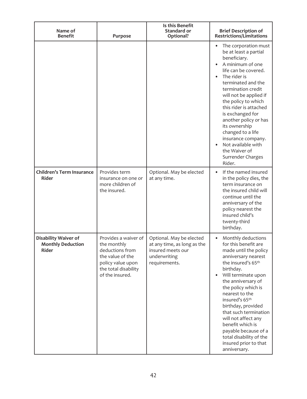| Name of<br><b>Benefit</b>                                        | Purpose                                                                                                                                    | Is this Benefit<br><b>Standard or</b><br>Optional?                                                            | <b>Brief Description of</b><br><b>Restrictions/Limitations</b>                                                                                                                                                                                                                                                                                                                                                                                        |
|------------------------------------------------------------------|--------------------------------------------------------------------------------------------------------------------------------------------|---------------------------------------------------------------------------------------------------------------|-------------------------------------------------------------------------------------------------------------------------------------------------------------------------------------------------------------------------------------------------------------------------------------------------------------------------------------------------------------------------------------------------------------------------------------------------------|
|                                                                  |                                                                                                                                            |                                                                                                               | The corporation must<br>be at least a partial<br>beneficiary.<br>A minimum of one<br>life can be covered.<br>The rider is<br>terminated and the<br>termination credit<br>will not be applied if<br>the policy to which<br>this rider is attached<br>is exchanged for<br>another policy or has<br>its ownership<br>changed to a life<br>insurance company.<br>Not available with<br>the Waiver of<br>Surrender Charges<br>Rider.                       |
| <b>Children's Term Insurance</b><br><b>Rider</b>                 | Provides term<br>insurance on one or<br>more children of<br>the insured.                                                                   | Optional. May be elected<br>at any time.                                                                      | If the named insured<br>$\bullet$<br>in the policy dies, the<br>term insurance on<br>the insured child will<br>continue until the<br>anniversary of the<br>policy nearest the<br>insured child's<br>twenty-third<br>birthday.                                                                                                                                                                                                                         |
| Disability Waiver of<br><b>Monthly Deduction</b><br><b>Rider</b> | Provides a waiver of<br>the monthly<br>deductions from<br>the value of the<br>policy value upon<br>the total disability<br>of the insured. | Optional. May be elected<br>at any time, as long as the<br>insured meets our<br>underwriting<br>requirements. | Monthly deductions<br>$\bullet$<br>for this benefit are<br>made until the policy<br>anniversary nearest<br>the insured's 65th<br>birthday.<br>Will terminate upon<br>$\bullet$<br>the anniversary of<br>the policy which is<br>nearest to the<br>insured's 65th<br>birthday, provided<br>that such termination<br>will not affect any<br>benefit which is<br>payable because of a<br>total disability of the<br>insured prior to that<br>anniversary. |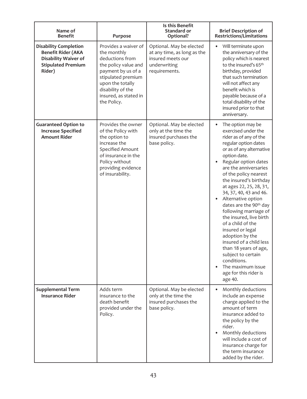| Name of<br><b>Benefit</b>                                                                                                       | Purpose                                                                                                                                                                                                     | Is this Benefit<br>Standard or<br>Optional?                                                                   | <b>Brief Description of</b><br><b>Restrictions/Limitations</b>                                                                                                                                                                                                                                                                                                                                                                                                                                                                                                                                                                 |
|---------------------------------------------------------------------------------------------------------------------------------|-------------------------------------------------------------------------------------------------------------------------------------------------------------------------------------------------------------|---------------------------------------------------------------------------------------------------------------|--------------------------------------------------------------------------------------------------------------------------------------------------------------------------------------------------------------------------------------------------------------------------------------------------------------------------------------------------------------------------------------------------------------------------------------------------------------------------------------------------------------------------------------------------------------------------------------------------------------------------------|
| <b>Disability Completion</b><br><b>Benefit Rider (AKA</b><br><b>Disability Waiver of</b><br><b>Stipulated Premium</b><br>Rider) | Provides a waiver of<br>the monthly<br>deductions from<br>the policy value and<br>payment by us of a<br>stipulated premium<br>upon the totally<br>disability of the<br>insured, as stated in<br>the Policy. | Optional. May be elected<br>at any time, as long as the<br>insured meets our<br>underwriting<br>requirements. | Will terminate upon<br>٠<br>the anniversary of the<br>policy which is nearest<br>to the insured's 65th<br>birthday, provided<br>that such termination<br>will not affect any<br>benefit which is<br>payable because of a<br>total disability of the<br>insured prior to that<br>anniversary.                                                                                                                                                                                                                                                                                                                                   |
| <b>Guaranteed Option to</b><br><b>Increase Specified</b><br><b>Amount Rider</b>                                                 | Provides the owner<br>of the Policy with<br>the option to<br>increase the<br>Specified Amount<br>of insurance in the<br>Policy without<br>providing evidence<br>of insurability.                            | Optional. May be elected<br>only at the time the<br>insured purchases the<br>base policy.                     | The option may be<br>$\bullet$<br>exercised under the<br>rider as of any of the<br>regular option dates<br>or as of any alternative<br>option date.<br>Regular option dates<br>are the anniversaries<br>of the policy nearest<br>the insured's birthday<br>at ages 22, 25, 28, 31,<br>34, 37, 40, 43 and 46.<br>Alternative option<br>dates are the 90th day<br>following marriage of<br>the insured, live birth<br>of a child of the<br>insured or legal<br>adoption by the<br>insured of a child less<br>than 18 years of age,<br>subject to certain<br>conditions.<br>The maximum issue<br>age for this rider is<br>age 40. |
| <b>Supplemental Term</b><br><b>Insurance Rider</b>                                                                              | Adds term<br>insurance to the<br>death benefit<br>provided under the<br>Policy.                                                                                                                             | Optional. May be elected<br>only at the time the<br>insured purchases the<br>base policy.                     | Monthly deductions<br>$\bullet$<br>include an expense<br>charge applied to the<br>amount of term<br>insurance added to<br>the policy by the<br>rider.<br>Monthly deductions<br>will include a cost of<br>insurance charge for<br>the term insurance<br>added by the rider.                                                                                                                                                                                                                                                                                                                                                     |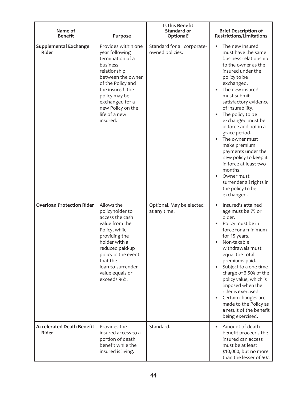| Name of<br><b>Benefit</b>                        | Purpose                                                                                                                                                                                                                                   | Is this Benefit<br>Standard or<br>Optional?    | <b>Brief Description of</b><br><b>Restrictions/Limitations</b>                                                                                                                                                                                                                                                                                                                                                                                                                                                          |
|--------------------------------------------------|-------------------------------------------------------------------------------------------------------------------------------------------------------------------------------------------------------------------------------------------|------------------------------------------------|-------------------------------------------------------------------------------------------------------------------------------------------------------------------------------------------------------------------------------------------------------------------------------------------------------------------------------------------------------------------------------------------------------------------------------------------------------------------------------------------------------------------------|
| <b>Supplemental Exchange</b><br>Rider            | Provides within one<br>year following<br>termination of a<br>business<br>relationship<br>between the owner<br>of the Policy and<br>the insured, the<br>policy may be<br>exchanged for a<br>new Policy on the<br>life of a new<br>insured. | Standard for all corporate-<br>owned policies. | The new insured<br>$\bullet$<br>must have the same<br>business relationship<br>to the owner as the<br>insured under the<br>policy to be<br>exchanged.<br>The new insured<br>must submit<br>satisfactory evidence<br>of insurability.<br>The policy to be<br>exchanged must be<br>in force and not in a<br>grace period.<br>The owner must<br>make premium<br>payments under the<br>new policy to keep it<br>in force at least two<br>months.<br>Owner must<br>surrender all rights in<br>the policy to be<br>exchanged. |
| <b>Overloan Protection Rider</b>                 | Allows the<br>policyholder to<br>access the cash<br>value from the<br>Policy, while<br>providing the<br>holder with a<br>reduced paid-up<br>policy in the event<br>that the<br>loan-to-surrender<br>value equals or<br>exceeds 96%.       | Optional. May be elected<br>at any time.       | Insured's attained<br>$\bullet$<br>age must be 75 or<br>older.<br>Policy must be in<br>force for a minimum<br>for 15 years.<br>Non-taxable<br>withdrawals must<br>equal the total<br>premiums paid.<br>Subject to a one-time<br>charge of 3.50% of the<br>policy value, which is<br>imposed when the<br>rider is exercised.<br>Certain changes are<br>made to the Policy as<br>a result of the benefit<br>being exercised.                                                                                              |
| <b>Accelerated Death Benefit</b><br><b>Rider</b> | Provides the<br>insured access to a<br>portion of death<br>benefit while the<br>insured is living.                                                                                                                                        | Standard.                                      | Amount of death<br>$\bullet$<br>benefit proceeds the<br>insured can access<br>must be at least<br>\$10,000, but no more<br>than the lesser of 50%                                                                                                                                                                                                                                                                                                                                                                       |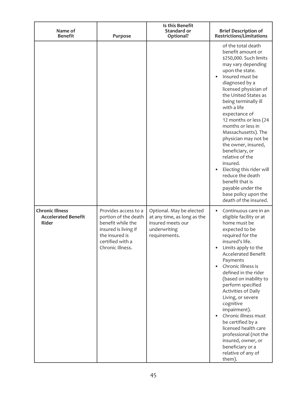| Name of<br><b>Benefit</b>                                     | Purpose                                                                                                                                             | Is this Benefit<br><b>Standard or</b><br>Optional?                                                            | <b>Brief Description of</b><br><b>Restrictions/Limitations</b>                                                                                                                                                                                                                                                                                                                                                                                                                                                                                                          |
|---------------------------------------------------------------|-----------------------------------------------------------------------------------------------------------------------------------------------------|---------------------------------------------------------------------------------------------------------------|-------------------------------------------------------------------------------------------------------------------------------------------------------------------------------------------------------------------------------------------------------------------------------------------------------------------------------------------------------------------------------------------------------------------------------------------------------------------------------------------------------------------------------------------------------------------------|
|                                                               |                                                                                                                                                     |                                                                                                               | of the total death<br>benefit amount or<br>\$250,000. Such limits<br>may vary depending<br>upon the state.<br>Insured must be<br>diagnosed by a<br>licensed physician of<br>the United States as<br>being terminally ill<br>with a life<br>expectance of<br>12 months or less (24<br>months or less in<br>Massachusetts). The<br>physician may not be<br>the owner, insured,<br>beneficiary, or<br>relative of the<br>insured.<br>Electing this rider will<br>reduce the death<br>benefit that is<br>payable under the<br>base policy upon the<br>death of the insured. |
| <b>Chronic Illness</b><br><b>Accelerated Benefit</b><br>Rider | Provides access to a<br>portion of the death<br>benefit while the<br>insured is living if<br>the insured is<br>certified with a<br>Chronic Illness. | Optional. May be elected<br>at any time, as long as the<br>insured meets our<br>underwriting<br>requirements. | Continuous care in an<br>eligible facility or at<br>home must be<br>expected to be<br>required for the<br>insured's life.<br>Limits apply to the<br>Accelerated Benefit<br>Payments<br>Chronic Illness is<br>defined in the rider<br>(based on inability to<br>perform specified<br>Activities of Daily<br>Living, or severe<br>cognitive<br>impairment).<br>Chronic illness must<br>be certified by a<br>licensed health care<br>professional (not the<br>insured, owner, or<br>beneficiary or a<br>relative of any of<br>them).                                       |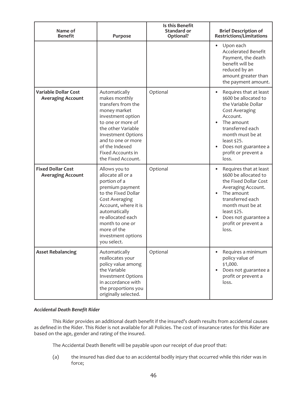| Name of<br><b>Benefit</b>                               | Purpose                                                                                                                                                                                                                                              | Is this Benefit<br>Standard or<br>Optional? | <b>Brief Description of</b><br><b>Restrictions/Limitations</b>                                                                                                                                                                    |
|---------------------------------------------------------|------------------------------------------------------------------------------------------------------------------------------------------------------------------------------------------------------------------------------------------------------|---------------------------------------------|-----------------------------------------------------------------------------------------------------------------------------------------------------------------------------------------------------------------------------------|
|                                                         |                                                                                                                                                                                                                                                      |                                             | Upon each<br><b>Accelerated Benefit</b><br>Payment, the death<br>benefit will be<br>reduced by an<br>amount greater than<br>the payment amount.                                                                                   |
| <b>Variable Dollar Cost</b><br><b>Averaging Account</b> | Automatically<br>makes monthly<br>transfers from the<br>money market<br>investment option<br>to one or more of<br>the other Variable<br><b>Investment Options</b><br>and to one or more<br>of the Indexed<br>Fixed Accounts in<br>the Fixed Account. | Optional                                    | Requires that at least<br>\$600 be allocated to<br>the Variable Dollar<br>Cost Averaging<br>Account.<br>The amount<br>transferred each<br>month must be at<br>least \$25.<br>Does not guarantee a<br>profit or prevent a<br>loss. |
| <b>Fixed Dollar Cost</b><br><b>Averaging Account</b>    | Allows you to<br>allocate all or a<br>portion of a<br>premium payment<br>to the Fixed Dollar<br>Cost Averaging<br>Account, where it is<br>automatically<br>re-allocated each<br>month to one or<br>more of the<br>investment options<br>you select.  | Optional                                    | Requires that at least<br>\$600 be allocated to<br>the Fixed Dollar Cost<br>Averaging Account.<br>The amount<br>transferred each<br>month must be at<br>least \$25.<br>Does not guarantee a<br>profit or prevent a<br>loss.       |
| <b>Asset Rebalancing</b>                                | Automatically<br>reallocates your<br>policy value among<br>the Variable<br><b>Investment Options</b><br>in accordance with<br>the proportions you<br>originally selected.                                                                            | Optional                                    | Requires a minimum<br>policy value of<br>\$1,000.<br>Does not guarantee a<br>profit or prevent a<br>loss.                                                                                                                         |

## *Accidental Death Benefit Rider*

This Rider provides an additional death benefit if the insured's death results from accidental causes as defined in the Rider. This Rider is not available for all Policies. The cost of insurance rates for this Rider are based on the age, gender and rating of the insured.

The Accidental Death Benefit will be payable upon our receipt of due proof that:

(a) the insured has died due to an accidental bodily injury that occurred while this rider was in force;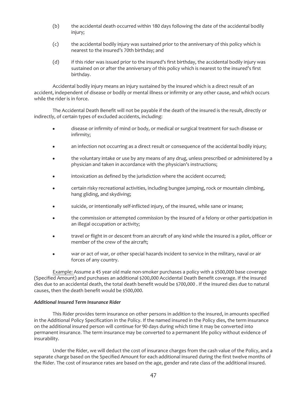- (b) the accidental death occurred within 180 days following the date of the accidental bodily injury;
- (c) the accidental bodily injury was sustained prior to the anniversary of this policy which is nearest to the insured's 70th birthday; and
- (d) if this rider was issued prior to the insured's first birthday, the accidental bodily injury was sustained on or after the anniversary of this policy which is nearest to the insured's first birthday.

Accidental bodily injury means an injury sustained by the insured which is a direct result of an accident, independent of disease or bodily or mental illness or infirmity or any other cause, and which occurs while the rider is in force.

The Accidental Death Benefit will not be payable if the death of the insured is the result, directly or indirectly, of certain types of excluded accidents, including:

- $\bullet$  disease or infirmity of mind or body, or medical or surgical treatment for such disease or infirmity;
- an infection not occurring as a direct result or consequence of the accidental bodily injury;
- the voluntary intake or use by any means of any drug, unless prescribed or administered by a physician and taken in accordance with the physician's instructions;
- $\bullet$  intoxication as defined by the jurisdiction where the accident occurred;
- certain risky recreational activities, including bungee jumping, rock or mountain climbing, hang gliding, and skydiving;
- suicide, or intentionally self-inflicted injury, of the insured, while sane or insane;
- the commission or attempted commission by the insured of a felony or other participation in an illegal occupation or activity;
- travel or flight in or descent from an aircraft of any kind while the insured is a pilot, officer or member of the crew of the aircraft;
- war or act of war, or other special hazards incident to service in the military, naval or air forces of any country.

Example: Assume a 45 year old male non-smoker purchases a policy with a \$500,000 base coverage (Specified Amount) and purchases an additional \$200,000 Accidental Death Benefit coverage. If the insured dies due to an accidental death, the total death benefit would be \$700,000 . If the insured dies due to natural causes, then the death benefit would be \$500,000.

## *Additional Insured Term Insurance Rider*

This Rider provides term insurance on other persons in addition to the insured, in amounts specified in the Additional Policy Specification in the Policy. If the named insured in the Policy dies, the term insurance on the additional insured person will continue for 90 days during which time it may be converted into permanent insurance. The term insurance may be converted to a permanent life policy without evidence of insurability.

Under the Rider, we will deduct the cost of insurance charges from the cash value of the Policy, and a separate charge based on the Specified Amount for each additional insured during the first twelve months of the Rider. The cost of insurance rates are based on the age, gender and rate class of the additional insured.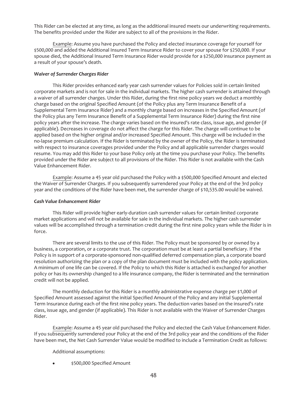This Rider can be elected at any time, as long as the additional insured meets our underwriting requirements. The benefits provided under the Rider are subject to all of the provisions in the Rider.

Example: Assume you have purchased the Policy and elected insurance coverage for yourself for \$500,000 and added the Additional Insured Term Insurance Rider to cover your spouse for \$250,000. If your spouse died, the Additional Insured Term Insurance Rider would provide for a \$250,000 insurance payment as a result of your spouse's death.

## *Waiver of Surrender Charges Rider*

This Rider provides enhanced early year cash surrender values for Policies sold in certain limited corporate markets and is not for sale in the individual markets. The higher cash surrender is attained through a waiver of all surrender charges. Under this Rider, during the first nine policy years we deduct a monthly charge based on the original Specified Amount (of the Policy plus any Term Insurance Benefit of a Supplemental Term Insurance Rider) and a monthly charge based on increases in the Specified Amount (of the Policy plus any Term Insurance Benefit of a Supplemental Term Insurance Rider) during the first nine policy years after the increase. The charge varies based on the insured's rate class, issue age, and gender (if applicable). Decreases in coverage do not affect the charge for this Rider. The charge will continue to be applied based on the higher original and/or increased Specified Amount. This charge will be included in the no-lapse premium calculation. If the Rider is terminated by the owner of the Policy, the Rider is terminated with respect to insurance coverages provided under the Policy and all applicable surrender charges would resume. You may add this Rider to your base Policy only at the time you purchase your Policy. The benefits provided under the Rider are subject to all provisions of the Rider. This Rider is not available with the Cash Value Enhancement Rider.

Example: Assume a 45 year old purchased the Policy with a \$500,000 Specified Amount and elected the Waiver of Surrender Charges. If you subsequently surrendered your Policy at the end of the 3rd policy year and the conditions of the Rider have been met, the surrender charge of \$10,535.00 would be waived.

## *Cash Value Enhancement Rider*

This Rider will provide higher early-duration cash surrender values for certain limited corporate market applications and will not be available for sale in the individual markets. The higher cash surrender values will be accomplished through a termination credit during the first nine policy years while the Rider is in force.

There are several limits to the use of this Rider. The Policy must be sponsored by or owned by a business, a corporation, or a corporate trust. The corporation must be at least a partial beneficiary. If the Policy is in support of a corporate-sponsored non-qualified deferred compensation plan, a corporate board resolution authorizing the plan or a copy of the plan document must be included with the policy application. A minimum of one life can be covered. If the Policy to which this Rider is attached is exchanged for another policy or has its ownership changed to a life insurance company, the Rider is terminated and the termination credit will not be applied.

The monthly deduction for this Rider is a monthly administrative expense charge per \$1,000 of Specified Amount assessed against the initial Specified Amount of the Policy and any initial Supplemental Term Insurance during each of the first nine policy years. The deduction varies based on the insured's rate class, issue age, and gender (if applicable). This Rider is not available with the Waiver of Surrender Charges Rider.

Example: Assume a 45 year old purchased the Policy and elected the Cash Value Enhancement Rider. If you subsequently surrendered your Policy at the end of the 3rd policy year and the conditions of the Rider have been met, the Net Cash Surrender Value would be modified to include a Termination Credit as follows:

## Additional assumptions:

\$500,000 Specified Amount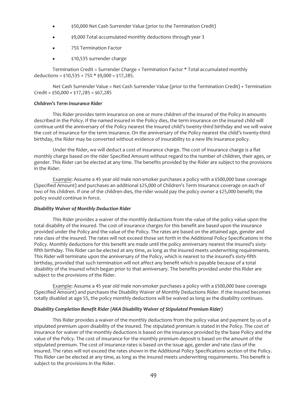- \$50,000 Net Cash Surrender Value (prior to the Termination Credit)
- \$9,000 Total accumulated monthly deductions through year 3
- 75% Termination Factor
- \$10,535 surrender charge

Termination Credit = Surrender Charge + Termination Factor \* Total accumulated monthly deductions =  $$10,535 + 75% * $9,000 = $17,285$ .

Net Cash Surrender Value = Net Cash Surrender Value (prior to the Termination Credit) + Termination  $Credit = $50,000 + $17,285 = $67,285$ 

## *Children's Term Insurance Rider*

This Rider provides term insurance on one or more children of the insured of the Policy in amounts described in the Policy. If the named insured in the Policy dies, the term insurance on the insured child will continue until the anniversary of the Policy nearest the insured child's twenty-third birthday and we will waive the cost of insurance for the term insurance. On the anniversary of the Policy nearest the child's twenty-third birthday, the Rider may be converted without evidence of insurability to a new life insurance policy.

Under the Rider, we will deduct a cost of insurance charge. The cost of insurance charge is a flat monthly charge based on the rider Specified Amount without regard to the number of children, their ages, or gender. This Rider can be elected at any time. The benefits provided by the Rider are subject to the provisions in the Rider.

Example: Assume a 45 year old male non-smoker purchases a policy with a \$500,000 base coverage (Specified Amount) and purchases an additional \$25,000 of Children's Term Insurance coverage on each of two of his children. If one of the children dies, the rider would pay the policy owner a \$25,000 benefit; the policy would continue in force.

## *Disability Waiver of Monthly Deduction Rider*

This Rider provides a waiver of the monthly deductions from the value of the policy value upon the total disability of the insured. The cost of insurance charges for this benefit are based upon the insurance provided under the Policy and the value of the Policy. The rates are based on the attained age, gender and rate class of the insured. The rates will not exceed those set forth in the Additional Policy Specifications in the Policy. Monthly deductions for this benefit are made until the policy anniversary nearest the insured's sixtyfifth birthday. This Rider can be elected at any time, as long as the insured meets underwriting requirements. This Rider will terminate upon the anniversary of the Policy, which is nearest to the insured's sixty-fifth birthday, provided that such termination will not affect any benefit which is payable because of a total disability of the insured which began prior to that anniversary. The benefits provided under this Rider are subject to the provisions of the Rider.

Example: Assume a 45 year old male non-smoker purchases a policy with a \$500,000 base coverage (Specified Amount) and purchases the Disability Waiver of Monthly Deductions Rider. If the insured becomes totally disabled at age 55, the policy monthly deductions will be waived as long as the disability continues.

## *Disability Completion Benefit Rider (AKA Disability Waiver of Stipulated Premium Rider)*

This Rider provides a waiver of the monthly deductions from the policy value and payment by us of a stipulated premium upon disability of the insured. The stipulated premium is stated in the Policy. The cost of insurance for waiver of the monthly deductions is based on the insurance provided by the base Policy and the value of the Policy. The cost of insurance for the monthly premium deposit is based on the amount of the stipulated premium. The cost of insurance rates is based on the issue age, gender and rate class of the insured. The rates will not exceed the rates shown in the Additional Policy Specifications section of the Policy. This Rider can be elected at any time, as long as the insured meets underwriting requirements. This benefit is subject to the provisions in the Rider.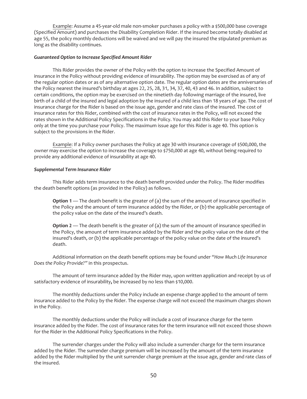Example: Assume a 45-year-old male non-smoker purchases a policy with a \$500,000 base coverage (Specified Amount) and purchases the Disability Completion Rider. If the insured become totally disabled at age 55, the policy monthly deductions will be waived and we will pay the insured the stipulated premium as long as the disability continues.

## *Guaranteed Option to Increase Specified Amount Rider*

This Rider provides the owner of the Policy with the option to increase the Specified Amount of insurance in the Policy without providing evidence of insurability. The option may be exercised as of any of the regular option dates or as of any alternative option date. The regular option dates are the anniversaries of the Policy nearest the insured's birthday at ages 22, 25, 28, 31, 34, 37, 40, 43 and 46. In addition, subject to certain conditions, the option may be exercised on the ninetieth day following marriage of the insured, live birth of a child of the insured and legal adoption by the insured of a child less than 18 years of age. The cost of insurance charge for the Rider is based on the issue age, gender and rate class of the insured. The cost of insurance rates for this Rider, combined with the cost of insurance rates in the Policy, will not exceed the rates shown in the Additional Policy Specifications in the Policy. You may add this Rider to your base Policy only at the time you purchase your Policy. The maximum issue age for this Rider is age 40. This option is subject to the provisions in the Rider.

Example: If a Policy owner purchases the Policy at age 30 with insurance coverage of \$500,000, the owner may exercise the option to increase the coverage to \$750,000 at age 40, without being required to provide any additional evidence of insurability at age 40.

## *Supplemental Term Insurance Rider*

This Rider adds term insurance to the death benefit provided under the Policy. The Rider modifies the death benefit options (as provided in the Policy) as follows.

**Option 1** — The death benefit is the greater of (a) the sum of the amount of insurance specified in the Policy and the amount of term insurance added by the Rider, or (b) the applicable percentage of the policy value on the date of the insured's death.

**Option 2** — The death benefit is the greater of (a) the sum of the amount of insurance specified in the Policy, the amount of term insurance added by the Rider and the policy value on the date of the insured's death, or (b) the applicable percentage of the policy value on the date of the insured's death.

Additional information on the death benefit options may be found under *"How Much Life Insurance Does the Policy Provide?"* in this prospectus.

The amount of term insurance added by the Rider may, upon written application and receipt by us of satisfactory evidence of insurability**,** be increased by no less than \$10,000.

The monthly deductions under the Policy include an expense charge applied to the amount of term insurance added to the Policy by the Rider. The expense charge will not exceed the maximum charges shown in the Policy.

The monthly deductions under the Policy will include a cost of insurance charge for the term insurance added by the Rider. The cost of insurance rates for the term insurance will not exceed those shown for the Rider in the Additional Policy Specifications in the Policy.

The surrender charges under the Policy will also include a surrender charge for the term insurance added by the Rider. The surrender charge premium will be increased by the amount of the term insurance added by the Rider multiplied by the unit surrender charge premium at the issue age, gender and rate class of the insured.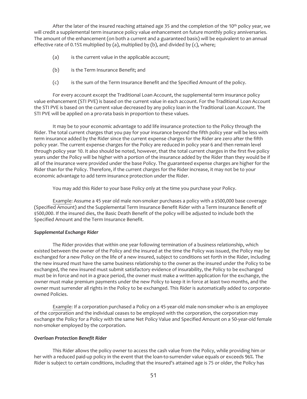After the later of the insured reaching attained age 35 and the completion of the 10<sup>th</sup> policy year, we will credit a supplemental term insurance policy value enhancement on future monthly policy anniversaries. The amount of the enhancement (on both a current and a guaranteed basis) will be equivalent to an annual effective rate of 0.15% multiplied by (a), multiplied by (b), and divided by (c), where;

- (a) is the current value in the applicable account;
- (b) is the Term Insurance Benefit; and
- (c) is the sum of the Term Insurance Benefit and the Specified Amount of the policy.

For every account except the Traditional Loan Account, the supplemental term insurance policy value enhancement (STI PVE) is based on the current value in each account. For the Traditional Loan Account the STI PVE is based on the current value decreased by any policy loan in the Traditional Loan Account. The STI PVE will be applied on a pro-rata basis in proportion to these values.

It may be to your economic advantage to add life insurance protection to the Policy through the Rider. The total current charges that you pay for your insurance beyond the fifth policy year will be less with term insurance added by the Rider since the current expense charges for the Rider are zero after the fifth policy year. The current expense charges for the Policy are reduced in policy year 6 and then remain level through policy year 10. It also should be noted, however, that the total current charges in the first five policy years under the Policy will be higher with a portion of the insurance added by the Rider than they would be if all of the insurance were provided under the base Policy. The guaranteed expense charges are higher for the Rider than for the Policy. Therefore, if the current charges for the Rider increase, it may not be to your economic advantage to add term insurance protection under the Rider.

You may add this Rider to your base Policy only at the time you purchase your Policy.

Example: Assume a 45 year old male non-smoker purchases a policy with a \$500,000 base coverage (Specified Amount) and the Supplemental Term Insurance Benefit Rider with a Term Insurance Benefit of \$500,000. If the insured dies, the Basic Death Benefit of the policy will be adjusted to include both the Specified Amount and the Term Insurance Benefit.

## *Supplemental Exchange Rider*

The Rider provides that within one year following termination of a business relationship, which existed between the owner of the Policy and the insured at the time the Policy was issued, the Policy may be exchanged for a new Policy on the life of a new insured, subject to conditions set forth in the Rider, including the new insured must have the same business relationship to the owner as the insured under the Policy to be exchanged, the new insured must submit satisfactory evidence of insurability, the Policy to be exchanged must be in force and not in a grace period, the owner must make a written application for the exchange, the owner must make premium payments under the new Policy to keep it in force at least two months, and the owner must surrender all rights in the Policy to be exchanged. This Rider is automatically added to corporateowned Policies.

Example: If a corporation purchased a Policy on a 45-year-old male non-smoker who is an employee of the corporation and the individual ceases to be employed with the corporation, the corporation may exchange the Policy for a Policy with the same Net Policy Value and Specified Amount on a 50-year-old female non-smoker employed by the corporation.

## *Overloan Protection Benefit Rider*

This Rider allows the policy owner to access the cash value from the Policy, while providing him or her with a reduced paid-up policy in the event that the loan-to-surrender value equals or exceeds 96%. The Rider is subject to certain conditions, including that the insured's attained age is 75 or older, the Policy has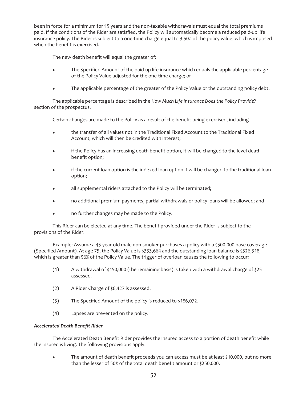been in force for a minimum for 15 years and the non-taxable withdrawals must equal the total premiums paid. If the conditions of the Rider are satisfied, the Policy will automatically become a reduced paid-up life insurance policy. The Rider is subject to a one-time charge equal to 3.50% of the policy value, which is imposed when the benefit is exercised.

The new death benefit will equal the greater of:

- The Specified Amount of the paid-up life insurance which equals the applicable percentage of the Policy Value adjusted for the one-time charge; or
- The applicable percentage of the greater of the Policy Value or the outstanding policy debt.

The applicable percentage is described in the *How Much Life Insurance Does the Policy Provide***?** section of the prospectus.

Certain changes are made to the Policy as a result of the benefit being exercised, including

- the transfer of all values not in the Traditional Fixed Account to the Traditional Fixed Account, which will then be credited with interest;
- if the Policy has an increasing death benefit option, it will be changed to the level death benefit option;
- if the current loan option is the indexed loan option it will be changed to the traditional loan option;
- all supplemental riders attached to the Policy will be terminated;
- no additional premium payments, partial withdrawals or policy loans will be allowed; and
- no further changes may be made to the Policy.

This Rider can be elected at any time. The benefit provided under the Rider is subject to the provisions of the Rider.

Example: Assume a 45-year-old male non-smoker purchases a policy with a \$500,000 base coverage (Specified Amount). At age 75, the Policy Value is \$333,664 and the outstanding loan balance is \$326,318, which is greater than 96% of the Policy Value. The trigger of overloan causes the following to occur:

- (1) A withdrawal of \$150,000 (the remaining basis) is taken with a withdrawal charge of \$25 assessed.
- (2) A Rider Charge of \$6,427 is assessed.
- (3) The Specified Amount of the policy is reduced to \$186,072.
- (4) Lapses are prevented on the policy.

## *Accelerated Death Benefit Rider*

The Accelerated Death Benefit Rider provides the insured access to a portion of death benefit while the insured is living. The following provisions apply:

The amount of death benefit proceeds you can access must be at least \$10,000, but no more than the lesser of 50% of the total death benefit amount or \$250,000.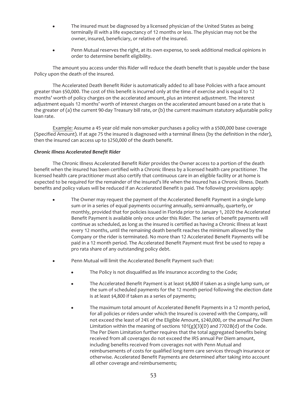- The insured must be diagnosed by a licensed physician of the United States as being terminally ill with a life expectancy of 12 months or less. The physician may not be the owner, insured, beneficiary, or relative of the insured.
- Penn Mutual reserves the right, at its own expense, to seek additional medical opinions in order to determine benefit eligibility.

The amount you access under this Rider will reduce the death benefit that is payable under the base Policy upon the death of the insured.

The Accelerated Death Benefit Rider is automatically added to all base Policies with a face amount greater than \$50,000. The cost of this benefit is incurred only at the time of exercise and is equal to 12 months' worth of policy charges on the accelerated amount, plus an interest adjustment. The interest adjustment equals 12 months' worth of interest charges on the accelerated amount based on a rate that is the greater of (a) the current 90-day Treasury bill rate, or (b) the current maximum statutory adjustable policy loan rate.

Example: Assume a 45 year old male non-smoker purchases a policy with a \$500,000 base coverage (Specified Amount). If at age 75 the insured is diagnosed with a terminal illness (by the definition in the rider), then the insured can access up to \$250,000 of the death benefit.

## *Chronic Illness Accelerated Benefit Rider*

The Chronic Illness Accelerated Benefit Rider provides the Owner access to a portion of the death benefit when the insured has been certified with a Chronic Illness by a licensed health care practitioner. The licensed health care practitioner must also certify that continuous care in an eligible facility or at home is expected to be required for the remainder of the insured's life when the insured has a Chronic Illness. Death benefits and policy values will be reduced if an Accelerated Benefit is paid. The following provisions apply:

- The Owner may request the payment of the Accelerated Benefit Payment in a single lump sum or in a series of equal payments occurring annually, semi-annually, quarterly, or monthly, provided that for policies issued in Florida prior to January 1, 2020 the Accelerated Benefit Payment is available only once under this Rider. The series of benefit payments will continue as scheduled, as long as the insured is certified as having a Chronic Illness at least every 12 months, until the remaining death benefit reaches the minimum allowed by the Company or the rider is terminated. No more than 12 Accelerated Benefit Payments will be paid in a 12 month period. The Accelerated Benefit Payment must first be used to repay a pro rata share of any outstanding policy debt.
- Penn Mutual will limit the Accelerated Benefit Payment such that:
	- The Policy is not disqualified as life insurance according to the Code;
	- The Accelerated Benefit Payment is at least \$4,800 if taken as a single lump sum, or the sum of scheduled payments for the 12 month period following the election date is at least \$4,800 if taken as a series of payments;
	- The maximum total amount of Accelerated Benefit Payments in a 12 month period, for all policies or riders under which the Insured is covered with the Company, will not exceed the least of 24% of the Eligible Amount, \$240,000, or the annual Per Diem Limitation within the meaning of sections  $101(g)(3)(D)$  and  $7702B(d)$  of the Code. The Per Diem Limitation further requires that the total aggregated benefits being received from all coverages do not exceed the IRS annual Per Diem amount, including benefits received from coverages not with Penn Mutual and reimbursements of costs for qualified long-term care services through insurance or otherwise. Accelerated Benefit Payments are determined after taking into account all other coverage and reimbursements;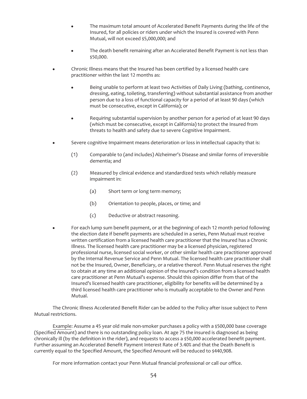- The maximum total amount of Accelerated Benefit Payments during the life of the Insured, for all policies or riders under which the Insured is covered with Penn Mutual, will not exceed \$5,000,000; and
- The death benefit remaining after an Accelerated Benefit Payment is not less than \$50,000.
- Chronic Illness means that the Insured has been certified by a licensed health care practitioner within the last 12 months as:
	- Being unable to perform at least two Activities of Daily Living (bathing, continence, dressing, eating, toileting, transferring) without substantial assistance from another person due to a loss of functional capacity for a period of at least 90 days (which must be consecutive, except in California); or
	- Requiring substantial supervision by another person for a period of at least 90 days (which must be consecutive, except in California) to protect the Insured from threats to health and safety due to severe Cognitive Impairment.
- Severe cognitive Impairment means deterioration or loss in intellectual capacity that is:
	- (1) Comparable to (and includes) Alzheimer's Disease and similar forms of irreversible dementia; and
	- (2) Measured by clinical evidence and standardized tests which reliably measure impairment in:
		- (a) Short term or long term memory;
		- (b) Orientation to people, places, or time; and
		- (c) Deductive or abstract reasoning.
- For each lump sum benefit payment, or at the beginning of each 12 month period following the election date if benefit payments are scheduled in a series, Penn Mutual must receive written certification from a licensed health care practitioner that the Insured has a Chronic Illness. The licensed health care practitioner may be a licensed physician, registered professional nurse, licensed social worker, or other similar health care practitioner approved by the Internal Revenue Service and Penn Mutual. The licensed health care practitioner shall not be the Insured, Owner, Beneficiary, or a relative thereof. Penn Mutual reserves the right to obtain at any time an additional opinion of the Insured's condition from a licensed health care practitioner at Penn Mutual's expense. Should this opinion differ from that of the Insured's licensed health care practitioner, eligibility for benefits will be determined by a third licensed health care practitioner who is mutually acceptable to the Owner and Penn Mutual.

The Chronic Illness Accelerated Benefit Rider can be added to the Policy after issue subject to Penn Mutual restrictions.

Example: Assume a 45 year old male non-smoker purchases a policy with a \$500,000 base coverage (Specified Amount) and there is no outstanding policy loan. At age 75 the insured is diagnosed as being chronically ill (by the definition in the rider), and requests to access a \$50,000 accelerated benefit payment. Further assuming an Accelerated Benefit Payment Interest Rate of 3.40% and that the Death Benefit is currently equal to the Specified Amount, the Specified Amount will be reduced to \$440,908.

For more information contact your Penn Mutual financial professional or call our office.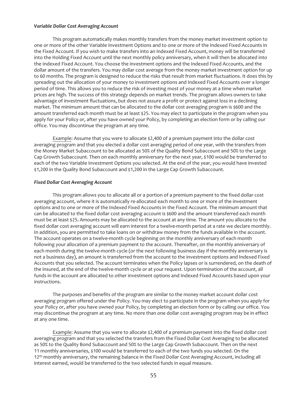## *Variable Dollar Cost Averaging Account*

This program automatically makes monthly transfers from the money market investment option to one or more of the other Variable Investment Options and to one or more of the Indexed Fixed Accounts in the Fixed Account. If you wish to make transfers into an Indexed Fixed Account, money will be transferred into the Holding Fixed Account until the next monthly policy anniversary, when it will then be allocated into the Indexed Fixed Account. You choose the investment options and the Indexed Fixed Accounts, and the dollar amount of the transfers. You may dollar cost average from the money market investment option for up to 60 months. The program is designed to reduce the risks that result from market fluctuations. It does this by spreading out the allocation of your money to investment options and Indexed Fixed Accounts over a longer period of time. This allows you to reduce the risk of investing most of your money at a time when market prices are high. The success of this strategy depends on market trends. The program allows owners to take advantage of investment fluctuations, but does not assure a profit or protect against loss in a declining market. The minimum amount that can be allocated to the dollar cost averaging program is \$600 and the amount transferred each month must be at least \$25. You may elect to participate in the program when you apply for your Policy or, after you have owned your Policy, by completing an election form or by calling our office. You may discontinue the program at any time.

Example: Assume that you were to allocate \$2,400 of a premium payment into the dollar cost averaging program and that you elected a dollar cost averaging period of one year, with the transfers from the Money Market Subaccount to be allocated as 50% of the Quality Bond Subaccount and 50% to the Large Cap Growth Subaccount. Then on each monthly anniversary for the next year, \$100 would be transferred to each of the two Variable Investment Options you selected. At the end of the year, you would have invested \$1,200 in the Quality Bond Subaccount and \$1,200 in the Large Cap Growth Subaccount.

#### *Fixed Dollar Cost Averaging Account*

This program allows you to allocate all or a portion of a premium payment to the fixed dollar cost averaging account, where it is automatically re-allocated each month to one or more of the investment options and to one or more of the Indexed Fixed Accounts in the Fixed Account. The minimum amount that can be allocated to the fixed dollar cost averaging account is \$600 and the amount transferred each month must be at least \$25**.** Amounts may be allocated to the account at any time. The amount you allocate to the fixed dollar cost averaging account will earn interest for a twelve-month period at a rate we declare monthly. In addition, you are permitted to take loans on or withdraw money from the funds available in the account. The account operates on a twelve-month cycle beginning on the monthly anniversary of each month following your allocation of a premium payment to the account. Thereafter, on the monthly anniversary of each month during the twelve-month cycle (or the next following business day if the monthly anniversary is not a business day), an amount is transferred from the account to the investment options and Indexed Fixed Accounts that you selected. The account terminates when the Policy lapses or is surrendered, on the death of the insured, at the end of the twelve-month cycle or at your request. Upon termination of the account, all funds in the account are allocated to other investment options and Indexed Fixed Accounts based upon your instructions.

The purposes and benefits of the program are similar to the money market account dollar cost averaging program offered under the Policy. You may elect to participate in the program when you apply for your Policy or, after you have owned your Policy, by completing an election form or by calling our office. You may discontinue the program at any time. No more than one dollar cost averaging program may be in effect at any one time.

Example: Assume that you were to allocate \$2,400 of a premium payment into the fixed dollar cost averaging program and that you selected the transfers from the Fixed Dollar Cost Averaging to be allocated as 50% to the Quality Bond Subaccount and 50% to the Large Cap Growth Subaccount. Then on the next 11 monthly anniversaries, \$100 would be transferred to each of the two funds you selected. On the 12<sup>th</sup> monthly anniversary, the remaining balance in the Fixed Dollar Cost Averaging Account, including all interest earned, would be transferred to the two selected funds in equal measure.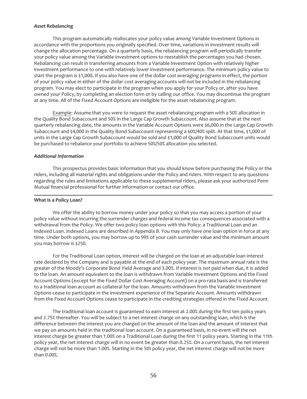## *Asset Rebalancing*

This program automatically reallocates your policy value among Variable Investment Options in accordance with the proportions you originally specified. Over time, variations in investment results will change the allocation percentage. On a quarterly basis, the rebalancing program will periodically transfer your policy value among the Variable investment options to reestablish the percentages you had chosen. Rebalancing can result in transferring amounts from a Variable Investment Option with relatively higher investment performance to one with relatively lower investment performance. The minimum policy value to start the program is \$1,000**.** If you also have one of the dollar cost averaging programs in effect, the portion of your policy value in either of the dollar cost averaging accounts will not be included in the rebalancing program. You may elect to participate in the program when you apply for your Policy or, after you have owned your Policy, by completing an election form or by calling our office. You may discontinue the program at any time. All of the Fixed Account Options are ineligible for the asset rebalancing program.

Example: Assume that you were to request the asset rebalancing program with a 50% allocation in the Quality Bond Subaccount and 50% in the Large Cap Growth Subaccount. Also assume that at the next quarterly rebalancing date, the amounts in the Variable Account Options were \$6,000 in the Large Cap Growth Subaccount and \$4,000 in the Quality Bond Subaccount representing a 60%/40% split. At that time, \$1,000 of units in the Large Cap Growth Subaccount would be sold and \$1,000 of Quality Bond Subaccount units would be purchased to rebalance your portfolio to achieve 50%/50% allocation you selected.

## *Additional Information*

This prospectus provides basic information that you should know before purchasing the Policy or the riders, including all material rights and obligations under the Policy and riders. With respect to any questions regarding the rules and limitations applicable to these supplemental riders, please ask your authorized Penn Mutual financial professional for further information or contact our office.

## **What Is a Policy Loan?**

We offer the ability to borrow money under your policy so that you may access a portion of your policy value without incurring the surrender charges and federal income tax consequences associated with a withdrawal from the Policy. We offer two policy loan options with this Policy: a Traditional Loan and an Indexed Loan. Indexed Loans are described in *Appendix B*. You may only have one loan option in force at any time. Under both options, you may borrow up to 99% of your cash surrender value and the minimum amount you may borrow is \$250.

For the Traditional Loan option, interest will be charged on the loan at an adjustable loan interest rate declared by the Company and is payable at the end of each policy year. The maximum annual rate is the greater of the Moody's Corporate Bond Yield Average and 3.00%. If interest is not paid when due, it is added to the loan. An amount equivalent to the loan is withdrawn from Variable Investment Options and the Fixed Account Options (except for the Fixed Dollar Cost Averaging Account) on a pro-rata basis and is transferred to a traditional loan account as collateral for the loan. Amounts withdrawn from the Variable Investment Options cease to participate in the investment experience of the Separate Account. Amounts withdrawn from the Fixed Account Options cease to participate in the crediting strategies offered in the Fixed Account.

The traditional loan account is guaranteed to earn interest at 2.00% during the first ten policy years and 2.75% thereafter. You will be subject to a net interest charge on any outstanding loan, which is the difference between the interest you are charged on the amount of the loan and the amount of interest that we pay on amounts held in the traditional loan account. On a guaranteed basis, in no event will the net interest charge be greater than 1.00% on a Traditional Loan during the first 11 policy years. Starting in the 11th policy year, the net interest charge will in no event be greater than 0.25%. On a current basis, the net interest charge will not be more than 1.00%. Starting in the 5th policy year, the net interest charge will not be more than 0.00%.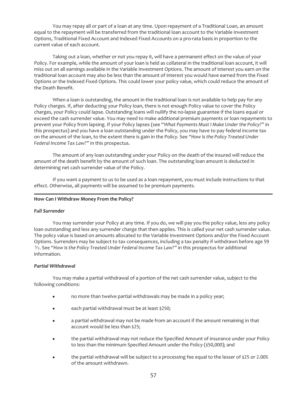You may repay all or part of a loan at any time. Upon repayment of a Traditional Loan, an amount equal to the repayment will be transferred from the traditional loan account to the Variable Investment Options, Traditional Fixed Account and Indexed Fixed Accounts on a pro-rata basis in proportion to the current value of each account.

Taking out a loan, whether or not you repay it, will have a permanent effect on the value of your Policy. For example, while the amount of your loan is held as collateral in the traditional loan account, it will miss out on all earnings available in the Variable Investment Options. The amount of interest you earn on the traditional loan account may also be less than the amount of interest you would have earned from the Fixed Options or the Indexed Fixed Options. This could lower your policy value, which could reduce the amount of the Death Benefit.

When a loan is outstanding, the amount in the traditional loan is not available to help pay for any Policy charges. If, after deducting your Policy loan, there is not enough Policy value to cover the Policy charges, your Policy could lapse. Outstanding loans will nullify the no-lapse guarantee if the loans equal or exceed the cash surrender value. You may need to make additional premium payments or loan repayments to prevent your Policy from lapsing. If your Policy lapses (see "*What Payments Must I Make Under the Policy?"* in this prospectus) and you have a loan outstanding under the Policy, you may have to pay federal income tax on the amount of the loan, to the extent there is gain in the Policy. See *"How Is the Policy Treated Under Federal Income Tax Law?"* in this prospectus.

The amount of any loan outstanding under your Policy on the death of the insured will reduce the amount of the death benefit by the amount of such loan. The outstanding loan amount is deducted in determining net cash surrender value of the Policy.

If you want a payment to us to be used as a loan repayment, you must include instructions to that effect. Otherwise, all payments will be assumed to be premium payments.

## **How Can I Withdraw Money From the Policy?**

## *Full Surrender*

You may surrender your Policy at any time. If you do, we will pay you the policy value, less any policy loan outstanding and less any surrender charge that then applies. This is called your net cash surrender value. The policy value is based on amounts allocated to the Variable Investment Options and/or the Fixed Account Options. Surrenders may be subject to tax consequences, including a tax penalty if withdrawn before age 59 1⁄2. See *"How Is the Policy Treated Under Federal Income Tax Law?"* in this prospectus for additional information.

## *Partial Withdrawal*

You may make a partial withdrawal of a portion of the net cash surrender value, subject to the following conditions:

- no more than twelve partial withdrawals may be made in a policy year;
- each partial withdrawal must be at least \$250;
- a partial withdrawal may not be made from an account if the amount remaining in that account would be less than \$25;
- the partial withdrawal may not reduce the Specified Amount of insurance under your Policy to less than the minimum Specified Amount under the Policy (\$50,000); and
- the partial withdrawal will be subject to a processing fee equal to the lesser of \$25 or 2.00% of the amount withdrawn.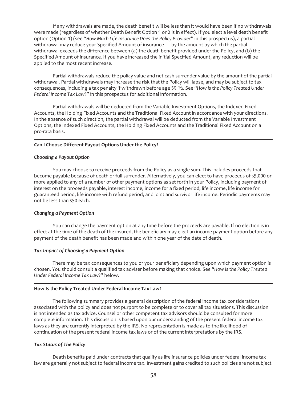If any withdrawals are made, the death benefit will be less than it would have been if no withdrawals were made (regardless of whether Death Benefit Option 1 or 2 is in effect). If you elect a level death benefit option (Option 1) (see *"How Much Life Insurance Does the Policy Provide?"* in this prospectus), a partial withdrawal may reduce your Specified Amount of insurance — by the amount by which the partial withdrawal exceeds the difference between (a) the death benefit provided under the Policy, and (b) the Specified Amount of insurance. If you have increased the initial Specified Amount, any reduction will be applied to the most recent increase.

Partial withdrawals reduce the policy value and net cash surrender value by the amount of the partial withdrawal. Partial withdrawals may increase the risk that the Policy will lapse, and may be subject to tax consequences, including a tax penalty if withdrawn before age 59 1⁄2. See "*How Is the Policy Treated Under Federal Income Tax Law?"* in this prospectus for additional information.

Partial withdrawals will be deducted from the Variable Investment Options, the Indexed Fixed Accounts, the Holding Fixed Accounts and the Traditional Fixed Account in accordance with your directions. In the absence of such direction, the partial withdrawal will be deducted from the Variable Investment Options, the Indexed Fixed Accounts, the Holding Fixed Accounts and the Traditional Fixed Account on a pro-rata basis.

#### **Can I Choose Different Payout Options Under the Policy?**

## *Choosing a Payout Option*

You may choose to receive proceeds from the Policy as a single sum. This includes proceeds that become payable because of death or full surrender. Alternatively, you can elect to have proceeds of \$5,000 or more applied to any of a number of other payment options as set forth in your Policy, including payment of interest on the proceeds payable, interest income, income for a fixed period, life income, life income for guaranteed period, life income with refund period, and joint and survivor life income. Periodic payments may not be less than \$50 each.

## *Changing a Payment Option*

You can change the payment option at any time before the proceeds are payable. If no election is in effect at the time of the death of the insured, the beneficiary may elect an income payment option before any payment of the death benefit has been made and within one year of the date of death.

## *Tax Impact of Choosing a Payment Option*

There may be tax consequences to you or your beneficiary depending upon which payment option is chosen. You should consult a qualified tax adviser before making that choice. See "*How is the Policy Treated Under Federal Income Tax Law?*" below.

## **How Is the Policy Treated Under Federal Income Tax Law?**

The following summary provides a general description of the federal income tax considerations associated with the policy and does not purport to be complete or to cover all tax situations. This discussion is not intended as tax advice. Counsel or other competent tax advisors should be consulted for more complete information. This discussion is based upon our understanding of the present federal income tax laws as they are currently interpreted by the IRS. No representation is made as to the likelihood of continuation of the present federal income tax laws or of the current interpretations by the IRS.

## *Tax Status of The Policy*

Death benefits paid under contracts that qualify as life insurance policies under federal income tax law are generally not subject to federal income tax. Investment gains credited to such policies are not subject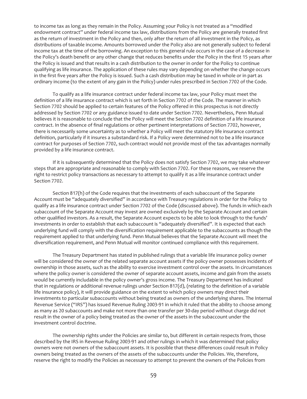to income tax as long as they remain in the Policy. Assuming your Policy is *not* treated as a "modified endowment contract" under federal income tax law, distributions from the Policy are generally treated first as the return of investment in the Policy and then, only after the return of all investment in the Policy, as distributions of taxable income. Amounts borrowed under the Policy also are not generally subject to federal income tax at the time of the borrowing. An exception to this general rule occurs in the case of a decrease in the Policy's death benefit or any other change that reduces benefits under the Policy in the first 15 years after the Policy is issued and that results in a cash distribution to the owner in order for the Policy to continue qualifying as life insurance. The application of these rules may vary depending on whether the change occurs in the first five years after the Policy is issued. Such a cash distribution may be taxed in whole or in part as ordinary income (to the extent of any gain in the Policy) under rules prescribed in Section 7702 of the Code.

To qualify as a life insurance contract under federal income tax law, your Policy must meet the definition of a life insurance contract which is set forth in Section 7702 of the Code. The manner in which Section 7702 should be applied to certain features of the Policy offered in this prospectus is not directly addressed by Section 7702 or any guidance issued to date under Section 7702. Nevertheless, Penn Mutual believes it is reasonable to conclude that the Policy will meet the Section 7702 definition of a life insurance contract. In the absence of final regulations or other pertinent interpretations of Section 7702, however, there is necessarily some uncertainty as to whether a Policy will meet the statutory life insurance contract definition, particularly if it insures a substandard risk. If a Policy were determined not to be a life insurance contract for purposes of Section 7702, such contract would not provide most of the tax advantages normally provided by a life insurance contract.

If it is subsequently determined that the Policy does not satisfy Section 7702, we may take whatever steps that are appropriate and reasonable to comply with Section 7702. For these reasons, we reserve the right to restrict policy transactions as necessary to attempt to qualify it as a life insurance contract under Section 7702.

Section 817(h) of the Code requires that the investments of each subaccount of the Separate Account must be "adequately diversified" in accordance with Treasury regulations in order for the Policy to qualify as a life insurance contract under Section 7702 of the Code (discussed above). The funds in which each subaccount of the Separate Account may invest are owned exclusively by the Separate Account and certain other qualified investors. As a result, the Separate Account expects to be able to look through to the funds' investments in order to establish that each subaccount is "adequately diversified". It is expected that each underlying fund will comply with the diversification requirement applicable to the subaccounts as though the requirement applied to that underlying fund. Penn Mutual believes that the Separate Account will meet the diversification requirement, and Penn Mutual will monitor continued compliance with this requirement.

The Treasury Department has stated in published rulings that a variable life insurance policy owner will be considered the owner of the related separate account assets if the policy owner possesses incidents of ownership in those assets, such as the ability to exercise investment control over the assets. In circumstances where the policy owner is considered the owner of separate account assets, income and gain from the assets would be currently includable in the policy owner's gross income. The Treasury Department has indicated that in regulations or additional revenue rulings under Section 817(d), (relating to the definition of a variable life insurance policy), it will provide guidance on the extent to which policy owners may direct their investments to particular subaccounts without being treated as owners of the underlying shares. The Internal Revenue Service ("IRS") has issued Revenue Ruling 2003-91 in which it ruled that the ability to choose among as many as 20 subaccounts and make not more than one transfer per 30-day period without charge did not result in the owner of a policy being treated as the owner of the assets in the subaccount under the investment control doctrine.

The ownership rights under the Policies are similar to, but different in certain respects from, those described by the IRS in Revenue Ruling 2003-91 and other rulings in which it was determined that policy owners were not owners of the subaccount assets. It is possible that these differences could result in Policy owners being treated as the owners of the assets of the subaccounts under the Policies. We, therefore, reserve the right to modify the Policies as necessary to attempt to prevent the owners of the Policies from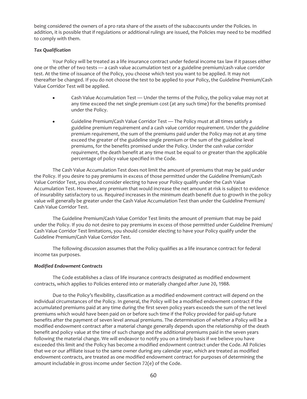being considered the owners of a pro rata share of the assets of the subaccounts under the Policies. In addition, it is possible that if regulations or additional rulings are issued, the Policies may need to be modified to comply with them.

## *Tax Qualification*

Your Policy will be treated as a life insurance contract under federal income tax law if it passes either one or the other of two tests — a cash value accumulation test or a guideline premium/cash value corridor test. At the time of issuance of the Policy, you choose which test you want to be applied. It may not thereafter be changed. If you do not choose the test to be applied to your Policy, the Guideline Premium/Cash Value Corridor Test will be applied.

- Cash Value Accumulation Test Under the terms of the Policy, the policy value may not at any time exceed the net single premium cost (at any such time) for the benefits promised under the Policy.
- Guideline Premium/Cash Value Corridor Test The Policy must at all times satisfy a guideline premium requirement *and* a cash value corridor requirement. Under the *guideline premium requirement*, the sum of the premiums paid under the Policy may not at any time exceed the greater of the guideline single premium or the sum of the guideline level premiums, for the benefits promised under the Policy. Under the *cash value corridor requirement*, the death benefit at any time must be equal to or greater than the applicable percentage of policy value specified in the Code.

The Cash Value Accumulation Test does not limit the amount of premiums that may be paid under the Policy. If you desire to pay premiums in excess of those permitted under the Guideline Premium/Cash Value Corridor Test, you should consider electing to have your Policy qualify under the Cash Value Accumulation Test. However, any premium that would increase the net amount at risk is subject to evidence of insurability satisfactory to us. Required increases in the minimum death benefit due to growth in the policy value will generally be greater under the Cash Value Accumulation Test than under the Guideline Premium/ Cash Value Corridor Test.

The Guideline Premium/Cash Value Corridor Test limits the amount of premium that may be paid under the Policy. If you do not desire to pay premiums in excess of those permitted under Guideline Premium/ Cash Value Corridor Test limitations, you should consider electing to have your Policy qualify under the Guideline Premium/Cash Value Corridor Test.

The following discussion assumes that the Policy qualifies as a life insurance contract for federal income tax purposes.

## *Modified Endowment Contracts*

The Code establishes a class of life insurance contracts designated as modified endowment contracts, which applies to Policies entered into or materially changed after June 20, 1988.

Due to the Policy's flexibility, classification as a modified endowment contract will depend on the individual circumstances of the Policy. In general, the Policy will be a modified endowment contract if the accumulated premiums paid at any time during the first seven policy years exceeds the sum of the net level premiums which would have been paid on or before such time if the Policy provided for paid-up future benefits after the payment of seven level annual premiums. The determination of whether a Policy will be a modified endowment contract after a material change generally depends upon the relationship of the death benefit and policy value at the time of such change and the additional premiums paid in the seven years following the material change. We will endeavor to notify you on a timely basis if we believe you have exceeded this limit and the Policy has become a modified endowment contract under the Code. All Policies that we or our affiliate issue to the same owner during any calendar year, which are treated as modified endowment contracts, are treated as one modified endowment contract for purposes of determining the amount includable in gross income under Section 72(e) of the Code.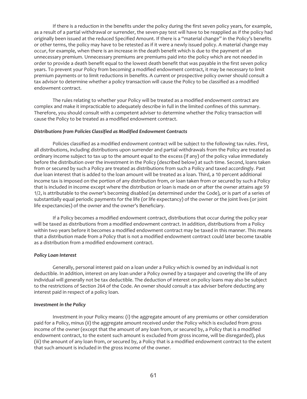If there is a reduction in the benefits under the policy during the first seven policy years, for example, as a result of a partial withdrawal or surrender, the seven-pay test will have to be reapplied as if the policy had originally been issued at the reduced Specified Amount. If there is a "material change" in the Policy's benefits or other terms, the policy may have to be retested as if it were a newly issued policy. A material change may occur, for example, when there is an increase in the death benefit which is due to the payment of an unnecessary premium. Unnecessary premiums are premiums paid into the policy which are not needed in order to provide a death benefit equal to the lowest death benefit that was payable in the first seven policy years. To prevent your Policy from becoming a modified endowment contract, it may be necessary to limit premium payments or to limit reductions in benefits. A current or prospective policy owner should consult a tax advisor to determine whether a policy transaction will cause the Policy to be classified as a modified endowment contract.

The rules relating to whether your Policy will be treated as a modified endowment contract are complex and make it impracticable to adequately describe in full in the limited confines of this summary. Therefore, you should consult with a competent adviser to determine whether the Policy transaction will cause the Policy to be treated as a modified endowment contract.

#### *Distributions from Policies Classified as Modified Endowment Contracts*

Policies classified as a modified endowment contract will be subject to the following tax rules. First, all distributions, including distributions upon surrender and partial withdrawals from the Policy are treated as ordinary income subject to tax up to the amount equal to the excess (if any) of the policy value immediately before the distribution over the investment in the Policy (described below) at such time. Second, loans taken from or secured by such a Policy are treated as distributions from such a Policy and taxed accordingly. Past due loan interest that is added to the loan amount will be treated as a loan. Third, a 10 percent additional income tax is imposed on the portion of any distribution from, or loan taken from or secured by such a Policy that is included in income except where the distribution or loan is made on or after the owner attains age 59 1/2, is attributable to the owner's becoming disabled (as determined under the Code), or is part of a series of substantially equal periodic payments for the life (or life expectancy) of the owner or the joint lives (or joint life expectancies) of the owner and the owner's Beneficiary.

If a Policy becomes a modified endowment contract, distributions that occur during the policy year will be taxed as distributions from a modified endowment contract. In addition, distributions from a Policy within two years before it becomes a modified endowment contract may be taxed in this manner. This means that a distribution made from a Policy that is not a modified endowment contract could later become taxable as a distribution from a modified endowment contract.

## *Policy Loan Interest*

Generally, personal interest paid on a loan under a Policy which is owned by an individual is not deductible. In addition, interest on any loan under a Policy owned by a taxpayer and covering the life of any individual will generally not be tax deductible. The deduction of interest on policy loans may also be subject to the restrictions of Section 264 of the Code. An owner should consult a tax adviser before deducting any interest paid in respect of a policy loan.

## *Investment in the Policy*

Investment in your Policy means: (i) the aggregate amount of any premiums or other consideration paid for a Policy, minus (ii) the aggregate amount received under the Policy which is excluded from gross income of the owner (except that the amount of any loan from, or secured by, a Policy that is a modified endowment contract, to the extent such amount is excluded from gross income, will be disregarded), plus (iii) the amount of any loan from, or secured by, a Policy that is a modified endowment contract to the extent that such amount is included in the gross income of the owner.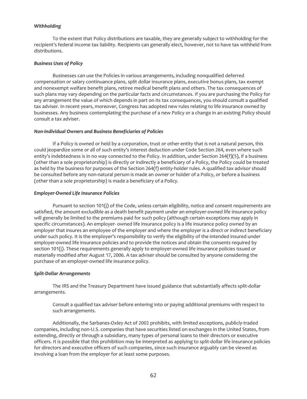## *Withholding*

To the extent that Policy distributions are taxable, they are generally subject to withholding for the recipient*'*s federal income tax liability. Recipients can generally elect, however, not to have tax withheld from distributions.

## *Business Uses of Policy*

Businesses can use the Policies in various arrangements, including nonqualified deferred compensation or salary continuance plans, split dollar insurance plans, executive bonus plans, tax exempt and nonexempt welfare benefit plans, retiree medical benefit plans and others. The tax consequences of such plans may vary depending on the particular facts and circumstances. If you are purchasing the Policy for any arrangement the value of which depends in part on its tax consequences, you should consult a qualified tax adviser. In recent years, moreover, Congress has adopted new rules relating to life insurance owned by businesses. Any business contemplating the purchase of a new Policy or a change in an existing Policy should consult a tax adviser.

## *Non-Individual Owners and Business Beneficiaries of Policies*

If a Policy is owned or held by a corporation, trust or other entity that is not a natural person, this could jeopardize some or all of such entity's interest deduction under Code Section 264, even where such entity's indebtedness is in no way connected to the Policy. In addition, under Section 264(f)(5), if a business (other than a sole proprietorship) is directly or indirectly a beneficiary of a Policy, the Policy could be treated as held by the business for purposes of the Section 264(f) entity-holder rules. A qualified tax advisor should be consulted before any non-natural person is made an owner or holder of a Policy, or before a business (other than a sole proprietorship) is made a beneficiary of a Policy.

## *Employer-Owned Life Insurance Policies*

Pursuant to section 101(j) of the Code, unless certain eligibility, notice and consent requirements are satisfied, the amount excludible as a death benefit payment under an employer-owned life insurance policy will generally be limited to the premiums paid for such policy (although certain exceptions may apply in specific circumstances). An employer- owned life insurance policy is a life insurance policy owned by an employer that insures an employee of the employer and where the employer is a direct or indirect beneficiary under such policy. It is the employer's responsibility to verify the eligibility of the intended insured under employer-owned life insurance policies and to provide the notices and obtain the consents required by section 101(j). These requirements generally apply to employer-owned life insurance policies issued or materially modified after August 17, 2006. A tax adviser should be consulted by anyone considering the purchase of an employer-owned life insurance policy.

## *Split-Dollar Arrangements*

The IRS and the Treasury Department have issued guidance that substantially affects split-dollar arrangements.

Consult a qualified tax adviser before entering into or paying additional premiums with respect to such arrangements.

Additionally, the Sarbanes-Oxley Act of 2002 prohibits, with limited exceptions, publicly-traded companies, including non-U.S. companies that have securities listed on exchanges in the United States, from extending, directly or through a subsidiary, many types of personal loans to their directors or executive officers. It is possible that this prohibition may be interpreted as applying to split-dollar life insurance policies for directors and executive officers of such companies, since such insurance arguably can be viewed as involving a loan from the employer for at least some purposes.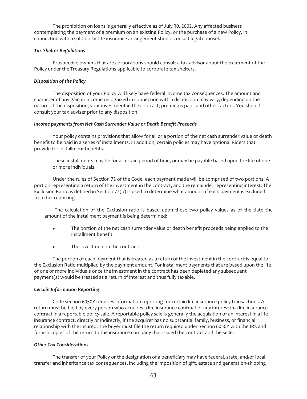The prohibition on loans is generally effective as of July 30, 2002. Any affected business contemplating the payment of a premium on an existing Policy, or the purchase of a new Policy, in connection with a split-dollar life insurance arrangement should consult legal counsel.

## *Tax Shelter Regulations*

Prospective owners that are corporations should consult a tax advisor about the treatment of the Policy under the Treasury Regulations applicable to corporate tax shelters.

## *Disposition of the Policy*

The disposition of your Policy will likely have federal income tax consequences. The amount and character of any gain or income recognized in connection with a disposition may vary, depending on the nature of the disposition, your investment in the contract, premiums paid, and other factors. You should consult your tax adviser prior to any disposition.

## *Income payments from Net Cash Surrender Value or Death Benefit Proceeds*

Your policy contains provisions that allow for all or a portion of the net cash surrender value or death benefit to be paid in a series of installments. In addition, certain policies may have optional Riders that provide for installment benefits.

These installments may be for a certain period of time, or may be payable based upon the life of one or more individuals.

Under the rules of Section 72 of the Code, each payment made will be comprised of two portions: A portion representing a return of the investment in the contract, and the remainder representing interest. The Exclusion Ratio as defined in Section 72(b) is used to determine what amount of each payment is excluded from tax reporting.

The calculation of the Exclusion ratio is based upon these two policy values as of the date the amount of the installment payment is being determined:

- The portion of the net cash surrender value or death benefit proceeds being applied to the installment benefit
- $\bullet$  The investment in the contract.

The portion of each payment that is treated as a return of the investment in the contract is equal to the Exclusion Ratio multiplied by the payment amount. For installment payments that are based upon the life of one or more individuals once the investment in the contract has been depleted any subsequent payment(s) would be treated as a return of interest and thus fully taxable.

## *Certain Information Reporting*

Code section 6050Y requires information reporting for certain life insurance policy transactions. A return must be filed by every person who acquires a life insurance contract or any interest in a life insurance contract in a reportable policy sale. A reportable policy sale is generally the acquisition of an interest in a life insurance contract, directly or indirectly, if the acquirer has no substantial family, business, or financial relationship with the insured. The buyer must file the return required under Section 6050Y with the IRS and furnish copies of the return to the insurance company that issued the contract and the seller.

## *Other Tax Considerations*

The transfer of your Policy or the designation of a beneficiary may have federal, state, and/or local transfer and inheritance tax consequences, including the imposition of gift, estate and generation-skipping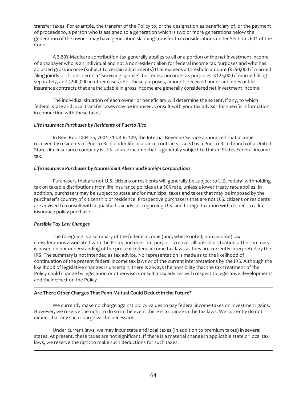transfer taxes. For example, the transfer of the Policy to, or the designation as beneficiary of, or the payment of proceeds to, a person who is assigned to a generation which is two or more generations below the generation of the owner, may have generation skipping transfer tax considerations under Section 2601 of the Code.

A 3.80% Medicare contribution tax generally applies to all or a portion of the net investment income of a taxpayer who is an individual and not a nonresident alien for federal income tax purposes and who has adjusted gross income (subject to certain adjustments) that exceeds a threshold amount (\$250,000 if married filing jointly or if considered a "surviving spouse" for federal income tax purposes, \$125,000 if married filing separately, and \$200,000 in other cases). For these purposes, amounts received under annuities or life insurance contracts that are includable in gross income are generally considered net investment income.

The individual situation of each owner or beneficiary will determine the extent, if any, to which federal, state and local transfer taxes may be imposed. Consult with your tax adviser for specific information in connection with these taxes.

## *Life Insurance Purchases by Residents of Puerto Rico*

In Rev. Rul. 2004-75, 2004-31 I.R.B. 109, the Internal Revenue Service announced that income received by residents of Puerto Rico under life insurance contracts issued by a Puerto Rico branch of a United States life insurance company is U.S.-source income that is generally subject to United States Federal income tax.

## *Life Insurance Purchases by Nonresident Aliens and Foreign Corporations*

Purchasers that are not U.S. citizens or residents will generally be subject to U.S. federal withholding tax on taxable distributions from life insurance policies at a 30% rate, unless a lower treaty rate applies. In addition, purchasers may be subject to state and/or municipal taxes and taxes that may be imposed by the purchaser's country of citizenship or residence. Prospective purchasers that are not U.S. citizens or residents are advised to consult with a qualified tax adviser regarding U.S. and foreign taxation with respect to a life insurance policy purchase.

## *Possible Tax Law Changes*

The foregoing is a summary of the federal income (and, where noted, non-income) tax considerations associated with the Policy and does not purport to cover all possible situations. The summary is based on our understanding of the present federal income tax laws as they are currently interpreted by the IRS. The summary is not intended as tax advice. No representation is made as to the likelihood of continuation of the present federal income tax laws or of the current interpretations by the IRS. Although the likelihood of legislative changes is uncertain, there is always the possibility that the tax treatment of the Policy could change by legislation or otherwise. Consult a tax adviser with respect to legislative developments and their effect on the Policy.

## **Are There Other Charges That Penn Mutual Could Deduct in the Future?**

We currently make no charge against policy values to pay federal income taxes on investment gains. However, we reserve the right to do so in the event there is a change in the tax laws. We currently do not expect that any such charge will be necessary.

Under current laws, we may incur state and local taxes (in addition to premium taxes) in several states. At present, these taxes are not significant. If there is a material change in applicable state or local tax laws, we reserve the right to make such deductions for such taxes.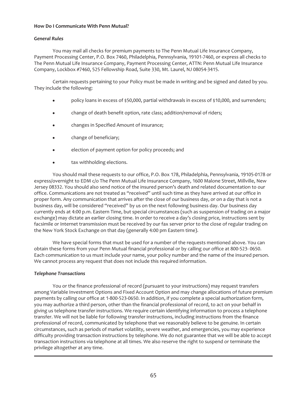## **How Do I Communicate With Penn Mutual?**

## *General Rules*

You may mail all checks for premium payments to The Penn Mutual Life Insurance Company, Payment Processing Center, P.O. Box 7460, Philadelphia, Pennsylvania, 19101-7460, or express all checks to The Penn Mutual Life Insurance Company, Payment Processing Center, ATTN: Penn Mutual Life Insurance Company, Lockbox #7460, 525 Fellowship Road, Suite 330, Mt. Laurel, NJ 08054-3415.

Certain requests pertaining to your Policy must be made in writing and be signed and dated by you. They include the following:

- policy loans in excess of \$50,000, partial withdrawals in excess of \$10,000, and surrenders;
- change of death benefit option, rate class; addition/removal of riders;
- changes in Specified Amount of insurance;
- change of beneficiary;
- election of payment option for policy proceeds; and
- tax withholding elections.

You should mail these requests to our office, P.O. Box 178, Philadelphia, Pennsylvania, 19105-0178 or express/overnight to EDM c/o The Penn Mutual Life Insurance Company, 1600 Malone Street, Millville, New Jersey 08332. You should also send notice of the insured person's death and related documentation to our office. Communications are not treated as "received" until such time as they have arrived at our office in proper form. Any communication that arrives after the close of our business day, or on a day that is not a business day, will be considered "received" by us on the next following business day. Our business day currently ends at 4:00 p.m. Eastern Time, but special circumstances (such as suspension of trading on a major exchange) may dictate an earlier closing time. In order to receive a day's closing price, instructions sent by facsimile or Internet transmission must be received by our fax server prior to the close of regular trading on the New York Stock Exchange on that day (generally 4:00 pm Eastern time).

We have special forms that must be used for a number of the requests mentioned above. You can obtain these forms from your Penn Mutual financial professional or by calling our office at 800-523- 0650. Each communication to us must include your name, your policy number and the name of the insured person. We cannot process any request that does not include this required information.

## *Telephone Transactions*

You or the finance professional of record (pursuant to your instructions) may request transfers among Variable Investment Options and Fixed Account Option and may change allocations of future premium payments by calling our office at 1-800-523-0650. In addition, if you complete a special authorization form, you may authorize a third person, other than the financial professional of record, to act on your behalf in giving us telephone transfer instructions. We require certain identifying information to process a telephone transfer. We will not be liable for following transfer instructions, including instructions from the finance professional of record, communicated by telephone that we reasonably believe to be genuine. In certain circumstances, such as periods of market volatility, severe weather, and emergencies, you may experience difficulty providing transaction instructions by telephone. We do not guarantee that we will be able to accept transaction instructions via telephone at all times. We also reserve the right to suspend or terminate the privilege altogether at any time.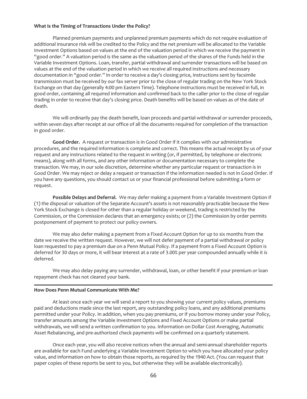## **What Is the Timing of Transactions Under the Policy?**

Planned premium payments and unplanned premium payments which do not require evaluation of additional insurance risk will be credited to the Policy and the net premium will be allocated to the Variable Investment Options based on values at the end of the valuation period in which we receive the payment in "good order." A valuation period is the same as the valuation period of the shares of the Funds held in the Variable Investment Options. Loan, transfer, partial withdrawal and surrender transactions will be based on values at the end of the valuation period in which we receive all required instructions and necessary documentation in "good order." In order to receive a day's closing price, instructions sent by facsimile transmission must be received by our fax server prior to the close of regular trading on the New York Stock Exchange on that day (generally 4:00 pm Eastern Time). Telephone instructions must be received in full, in good order, containing all required information and confirmed back to the caller prior to the close of regular trading in order to receive that day's closing price. Death benefits will be based on values as of the date of death.

We will ordinarily pay the death benefit, loan proceeds and partial withdrawal or surrender proceeds, within seven days after receipt at our office of all the documents required for completion of the transaction in good order.

**Good Order.** A request or transaction is in Good Order if it complies with our administrative procedures, and the required information is complete and correct. This means the actual receipt by us of your request and any instructions related to the request in writing (or, if permitted, by telephone or electronic means), along with all forms, and any other information or documentation necessary to complete the transaction. We may, in our sole discretion, determine whether any particular request or transaction is in Good Order. We may reject or delay a request or transaction if the information needed is not in Good Order. If you have any questions, you should contact us or your financial professional before submitting a form or request.

**Possible Delays and Deferral.** We may defer making a payment from a Variable Investment Option if (1) the disposal or valuation of the Separate Account's assets is not reasonably practicable because the New York Stock Exchange is closed for other than a regular holiday or weekend, trading is restricted by the Commission, or the Commission declares that an emergency exists; or (2) the Commission by order permits postponement of payment to protect our policy owners.

We may also defer making a payment from a Fixed Account Option for up to six months from the date we receive the written request. However, we will not defer payment of a partial withdrawal or policy loan requested to pay a premium due on a Penn Mutual Policy. If a payment from a Fixed Account Option is deferred for 30 days or more, it will bear interest at a rate of 3.00% per year compounded annually while it is deferred.

We may also delay paying any surrender, withdrawal, loan, or other benefit if your premium or loan repayment check has not cleared your bank.

## **How Does Penn Mutual Communicate With Me?**

At least once each year we will send a report to you showing your current policy values, premiums paid and deductions made since the last report, any outstanding policy loans, and any additional premiums permitted under your Policy. In addition, when you pay premiums, or if you borrow money under your Policy, transfer amounts among the Variable Investment Options and Fixed Account Options or make partial withdrawals, we will send a written confirmation to you. Information on Dollar Cost Averaging, Automatic Asset Rebalancing, and pre-authorized check payments will be confirmed on a quarterly statement.

Once each year, you will also receive notices when the annual and semi-annual shareholder reports are available for each Fund underlying a Variable Investment Option to which you have allocated your policy value, and information on how to obtain those reports, as required by the 1940 Act. (You can request that paper copies of these reports be sent to you, but otherwise they will be available electronically).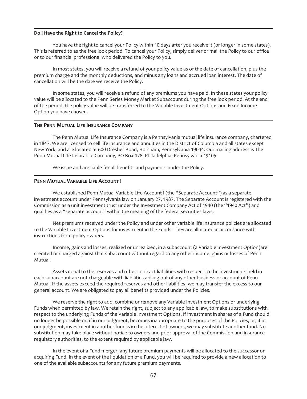## **Do I Have the Right to Cancel the Policy?**

You have the right to cancel your Policy within 10 days after you receive it (or longer in some states). This is referred to as the free look period. To cancel your Policy, simply deliver or mail the Policy to our office or to our financial professional who delivered the Policy to you.

In most states, you will receive a refund of your policy value as of the date of cancellation, plus the premium charge and the monthly deductions, and minus any loans and accrued loan interest. The date of cancellation will be the date we receive the Policy.

In some states, you will receive a refund of any premiums you have paid. In these states your policy value will be allocated to the Penn Series Money Market Subaccount during the free look period. At the end of the period, the policy value will be transferred to the Variable Investment Options and Fixed Income Option you have chosen.

#### **THE PENN MUTUAL LIFE INSURANCE COMPANY**

The Penn Mutual Life Insurance Company is a Pennsylvania mutual life insurance company, chartered in 1847. We are licensed to sell life insurance and annuities in the District of Columbia and all states except New York, and are located at 600 Dresher Road, Horsham, Pennsylvania 19044. Our mailing address is The Penn Mutual Life Insurance Company, PO Box 178, Philadelphia, Pennsylvania 19105.

We issue and are liable for all benefits and payments under the Policy.

#### **PENN MUTUAL VARIABLE LIFE ACCOUNT I**

We established Penn Mutual Variable Life Account I (the "Separate Account") as a separate investment account under Pennsylvania law on January 27, 1987. The Separate Account is registered with the Commission as a unit investment trust under the Investment Company Act of 1940 (the "1940 Act") and qualifies as a "separate account" within the meaning of the federal securities laws.

Net premiums received under the Policy and under other variable life insurance policies are allocated to the Variable Investment Options for investment in the Funds. They are allocated in accordance with instructions from policy owners.

Income, gains and losses, realized or unrealized, in a subaccount (a Variable Investment Option)are credited or charged against that subaccount without regard to any other income, gains or losses of Penn Mutual.

Assets equal to the reserves and other contract liabilities with respect to the investments held in each subaccount are not chargeable with liabilities arising out of any other business or account of Penn Mutual. If the assets exceed the required reserves and other liabilities, we may transfer the excess to our general account. We are obligated to pay all benefits provided under the Policies.

We reserve the right to add, combine or remove any Variable Investment Options or underlying Funds when permitted by law. We retain the right, subject to any applicable law, to make substitutions with respect to the underlying Funds of the Variable Investment Options. If investment in shares of a Fund should no longer be possible or, if in our judgment, becomes inappropriate to the purposes of the Policies, or, if in our judgment, investment in another fund is in the interest of owners, we may substitute another fund. No substitution may take place without notice to owners and prior approval of the Commission and insurance regulatory authorities, to the extent required by applicable law.

In the event of a Fund merger, any future premium payments will be allocated to the successor or acquiring Fund. In the event of the liquidation of a Fund, you will be required to provide a new allocation to one of the available subaccounts for any future premium payments.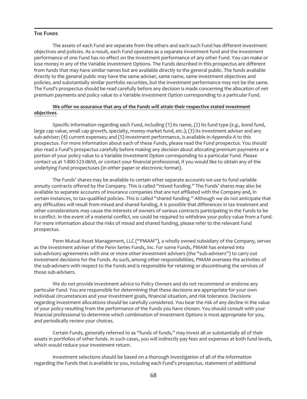## **THE FUNDS**

The assets of each Fund are separate from the others and each such Fund has different investment objectives and policies. As a result, each Fund operates as a separate investment fund and the investment performance of one Fund has no effect on the investment performance of any other Fund. You can make or lose money in any of the Variable Investment Options. The Funds described in this prospectus are different from funds that may have similar names but are available directly to the general public. The funds available directly to the general public may have the same adviser, same name, same investment objectives and policies, and substantially similar portfolio securities, but the investment performance may not be the same. The Fund's prospectus should be read carefully before any decision is made concerning the allocation of net premium payments and policy value to a Variable Investment Option corresponding to a particular Fund.

## **We offer no assurance that any of the Funds will attain their respective stated** i**nvestment objectives**.

Specific information regarding each Fund, including (1) its name, (2) its fund type (*e.g.,* bond fund, large cap value, small cap growth, specialty, money market fund, etc.); (3) its investment adviser and any sub-adviser; (4) current expenses; and (5) investment performance, is available in *Appendix A* to this prospectus. For more information about each of these Funds, please read the Fund prospectus. You should also read a Fund's prospectus carefully before making any decision about allocating premium payments or a portion of your policy value to a Variable Investment Option corresponding to a particular Fund. Please contact us at 1-800-523-0650, or contact your financial professional, if you would like to obtain any of the underlying Fund prospectuses (in either paper or electronic format).

The Funds' shares may be available to certain other separate accounts we use to fund variable annuity contracts offered by the Company. This is called "mixed funding." The Funds' shares may also be available to separate accounts of insurance companies that are not affiliated with the Company and, in certain instances, to tax-qualified policies. This is called "shared funding." Although we do not anticipate that any difficulties will result from mixed and shared funding, it is possible that differences in tax treatment and other considerations may cause the interests of owners of various contracts participating in the Funds to be in conflict. In the event of a material conflict, we could be required to withdraw your policy value from a Fund. For more information about the risks of mixed and shared funding, please refer to the relevant Fund prospectus.

Penn Mutual Asset Management, LLC ("PMAM"), a wholly owned subsidiary of the Company, serves as the investment adviser of the Penn Series Funds, Inc. For some Funds, PMAM has entered into sub-advisory agreements with one or more other investment advisers (the "sub-advisers") to carry out investment decisions for the Funds. As such, among other responsibilities, PMAM oversees the activities of the sub-advisers with respect to the Funds and is responsible for retaining or discontinuing the services of those sub-advisers.

We do not provide investment advice to Policy Owners and do not recommend or endorse any particular Fund. You are responsible for determining that these decisions are appropriate for your own individual circumstances and your investment goals, financial situation, and risk tolerance. Decisions regarding investment allocations should be carefully considered. You bear the risk of any decline in the value of your policy resulting from the performance of the Funds you have chosen. You should consult with your financial professional to determine which combination of Investment Options is most appropriate for you, and periodically review your choices.

Certain Funds, generally referred to as "funds of funds," may invest all or substantially all of their assets in portfolios of other funds. In such cases, you will indirectly pay fees and expenses at both fund levels, which would reduce your investment return.

Investment selections should be based on a thorough investigation of all of the information regarding the Funds that is available to you, including each Fund's prospectus, statement of additional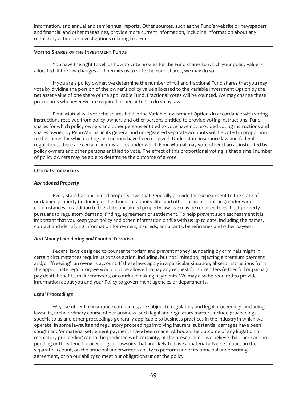information, and annual and semi-annual reports. Other sources, such as the Fund's website or newspapers and financial and other magazines, provide more current information, including information about any regulatory actions or investigations relating to a Fund.

## **VOTING SHARES OF THE INVESTMENT FUNDS**

You have the right to tell us how to vote proxies for the Fund shares to which your policy value is allocated. If the law changes and permits us to vote the Fund shares, we may do so.

If you are a policy owner, we determine the number of full and fractional Fund shares that you may vote by dividing the portion of the owner's policy value allocated to the Variable Investment Option by the net asset value of one share of the applicable Fund. Fractional votes will be counted. We may change these procedures whenever we are required or permitted to do so by law.

Penn Mutual will vote the shares held in the Variable Investment Options in accordance with voting instructions received from policy owners and other persons entitled to provide voting instructions. Fund shares for which policy owners and other persons entitled to vote have not provided voting instructions and shares owned by Penn Mutual in its general and unregistered separate accounts will be voted in proportion to the shares for which voting instructions have been received. Under state insurance law and federal regulations, there are certain circumstances under which Penn Mutual may vote other than as instructed by policy owners and other persons entitled to vote. The effect of this proportional voting is that a small number of policy owners may be able to determine the outcome of a vote.

# **OTHER INFORMATION**

# *Abandoned Property*

Every state has unclaimed property laws that generally provide for escheatment to the state of unclaimed property (including escheatment of annuity, life, and other insurance policies) under various circumstances. In addition to the state unclaimed property law, we may be required to escheat property pursuant to regulatory demand, finding, agreement or settlement. To help prevent such escheatment it is important that you keep your policy and other information on file with us up to date, including the names, contact and identifying information for owners, insureds, annuitants, beneficiaries and other payees.

## *Anti-Money Laundering and Counter-Terrorism*

Federal laws designed to counter terrorism and prevent money laundering by criminals might in certain circumstances require us to take action, including, but not limited to, rejecting a premium payment and/or "freezing" an owner's account. If these laws apply in a particular situation, absent instructions from the appropriate regulator, we would not be allowed to pay any request for surrenders (either full or partial), pay death benefits, make transfers, or continue making payments. We may also be required to provide information about you and your Policy to government agencies or departments.

# *Legal Proceedings*

We, like other life insurance companies, are subject to regulatory and legal proceedings, including lawsuits, in the ordinary course of our business. Such legal and regulatory matters include proceedings specific to us and other proceedings generally applicable to business practices in the industry in which we operate. In some lawsuits and regulatory proceedings involving insurers, substantial damages have been sought and/or material settlement payments have been made. Although the outcome of any litigation or regulatory proceeding cannot be predicted with certainty, at the present time, we believe that there are no pending or threatened proceedings or lawsuits that are likely to have a material adverse impact on the separate account, on the principal underwriter's ability to perform under its principal underwriting agreement, or on our ability to meet our obligations under the policy.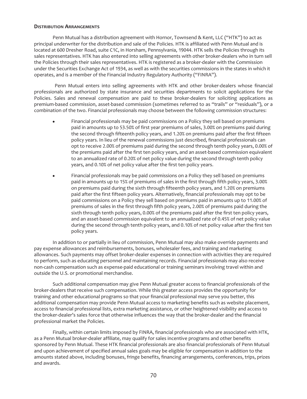## **DISTRIBUTION ARRANGEMENTS**

Penn Mutual has a distribution agreement with Hornor, Townsend & Kent, LLC ("HTK") to act as principal underwriter for the distribution and sale of the Policies. HTK is affiliated with Penn Mutual and is located at 600 Dresher Road, suite C1C, in Horsham, Pennsylvania, 19044. HTK sells the Policies through its sales representatives. HTK has also entered into selling agreements with other broker-dealers who in turn sell the Policies through their sales representatives. HTK is registered as a broker-dealer with the Commission under the Securities Exchange Act of 1934, as well as with the securities commissions in the states in which it operates, and is a member of the Financial Industry Regulatory Authority ("FINRA").

Penn Mutual enters into selling agreements with HTK and other broker-dealers whose financial professionals are authorized by state insurance and securities departments to solicit applications for the Policies. Sales and renewal compensation are paid to these broker-dealers for soliciting applications as premium-based commission, asset-based commission (sometimes referred to as "trails" or "residuals"), or a combination of the two. Financial professionals may choose between the following commission structures:

- Financial professionals may be paid commissions on a Policy they sell based on premiums paid in amounts up to 53.50% of first year premiums of sales, 3.00% on premiums paid during the second through fifteenth policy years, and 1.20% on premiums paid after the first fifteen policy years. In lieu of the renewal commissions just described, financial professionals can opt to receive 2.00% of premiums paid during the second through tenth policy years, 0.00% of the premiums paid after the first ten policy years, and an asset-based commission equivalent to an annualized rate of 0.20% of net policy value during the second through tenth policy years, and 0.10% of net policy value after the first ten policy years.
- Financial professionals may be paid commissions on a Policy they sell based on premiums paid in amounts up to 15% of premiums of sales in the first through fifth policy years, 3.00% on premiums paid during the sixth through fifteenth policy years, and 1.20% on premiums paid after the first fifteen policy years. Alternatively, financial professionals may opt to be paid commissions on a Policy they sell based on premiums paid in amounts up to 11.00% of premiums of sales in the first through fifth policy years, 2.00% of premiums paid during the sixth through tenth policy years, 0.00% of the premiums paid after the first ten policy years, and an asset-based commission equivalent to an annualized rate of 0.45% of net policy value during the second through tenth policy years, and 0.10% of net policy value after the first ten policy years.

In addition to or partially in lieu of commission, Penn Mutual may also make override payments and pay expense allowances and reimbursements, bonuses, wholesaler fees, and training and marketing allowances. Such payments may offset broker-dealer expenses in connection with activities they are required to perform, such as educating personnel and maintaining records. Financial professionals may also receive non-cash compensation such as expense-paid educational or training seminars involving travel within and outside the U.S. or promotional merchandise.

Such additional compensation may give Penn Mutual greater access to financial professionals of the broker-dealers that receive such compensation. While this greater access provides the opportunity for training and other educational programs so that your financial professional may serve you better, this additional compensation may provide Penn Mutual access to marketing benefits such as website placement, access to financial professional lists, extra marketing assistance, or other heightened visibility and access to the broker-dealer's sales force that otherwise influences the way that the broker-dealer and the financial professional market the Policies.

Finally, within certain limits imposed by FINRA, financial professionals who are associated with HTK, as a Penn Mutual broker-dealer affiliate, may qualify for sales incentive programs and other benefits sponsored by Penn Mutual. These HTK financial professionals are also financial professionals of Penn Mutual and upon achievement of specified annual sales goals may be eligible for compensation in addition to the amounts stated above, including bonuses, fringe benefits, financing arrangements, conferences, trips, prizes and awards.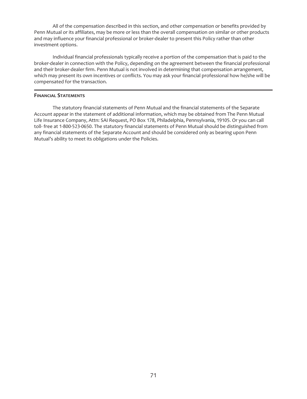All of the compensation described in this section, and other compensation or benefits provided by Penn Mutual or its affiliates, may be more or less than the overall compensation on similar or other products and may influence your financial professional or broker-dealer to present this Policy rather than other investment options.

Individual financial professionals typically receive a portion of the compensation that is paid to the broker-dealer in connection with the Policy, depending on the agreement between the financial professional and their broker-dealer firm. Penn Mutual is not involved in determining that compensation arrangement, which may present its own incentives or conflicts. You may ask your financial professional how he/she will be compensated for the transaction.

## **FINANCIAL STATEMENTS**

The statutory financial statements of Penn Mutual and the financial statements of the Separate Account appear in the statement of additional information, which may be obtained from The Penn Mutual Life Insurance Company, Attn: SAI Request, PO Box 178, Philadelphia, Pennsylvania, 19105. Or you can call toll- free at 1-800-523-0650. The statutory financial statements of Penn Mutual should be distinguished from any financial statements of the Separate Account and should be considered only as bearing upon Penn Mutual's ability to meet its obligations under the Policies.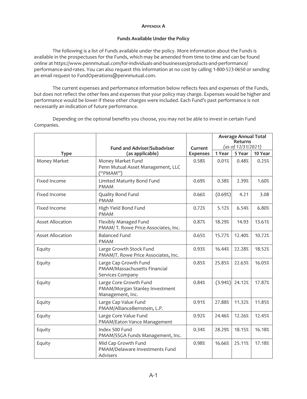#### **APPENDIX A**

## **Funds Available Under the Policy**

The following is a list of Funds available under the policy. More information about the Funds is available in the prospectuses for the Funds, which may be amended from time to time and can be found online at https://www.pennmutual.com/for-individuals-and-businesses/products-and-performance/ performance-and-rates. You can also request this information at no cost by calling 1-800-523-0650 or sending an email request to FundOperations@pennmutual.com.

The current expenses and performance information below reflects fees and expenses of the Funds, but does not reflect the other fees and expenses that your policy may charge. Expenses would be higher and performance would be lower if these other charges were included. Each Fund's past performance is not necessarily an indication of future performance.

Depending on the optional benefits you choose, you may not be able to invest in certain Fund Companies.

|                         | <b>Fund and Adviser/Subadviser</b>                                           | Current         | <b>Average Annual Total</b><br><b>Returns</b><br>(as of 12/31/2021) |        |         |  |
|-------------------------|------------------------------------------------------------------------------|-----------------|---------------------------------------------------------------------|--------|---------|--|
| <b>Type</b>             | (as applicable)                                                              | <b>Expenses</b> | 1 Year                                                              | 5 Year | 10 Year |  |
| Money Market            | Money Market Fund<br>Penn Mutual Asset Management, LLC<br>("PMAN")           | 0.58%           | 0.01%                                                               | 0.48%  | 0.25%   |  |
| Fixed Income            | Limited Maturity Bond Fund<br><b>PMAM</b>                                    | 0.69%           | 0.38%                                                               | 2.39%  | 1.60%   |  |
| Fixed Income            | Quality Bond Fund<br><b>PMAM</b>                                             | 0.66%           | (0.69%)                                                             | 4.21   | 3.08    |  |
| Fixed Income            | High Yield Bond Fund<br><b>PMAM</b>                                          | 0.72%           | 5.12%                                                               | 6.54%  | 6.80%   |  |
| <b>Asset Allocation</b> | Flexibly Managed Fund<br>PMAM/T. Rowe Price Associates, Inc.                 | 0.87%           | 18.29%                                                              | 14.93  | 13.61%  |  |
| <b>Asset Allocation</b> | <b>Balanced Fund</b><br><b>PMAM</b>                                          | 0.65%           | 15.77%                                                              | 12.40% | 10.72%  |  |
| Equity                  | Large Growth Stock Fund<br>PMAM/T. Rowe Price Associates, Inc.               | 0.93%           | 16.44%                                                              | 22.28% | 18.52%  |  |
| Equity                  | Large Cap Growth Fund<br>PMAM/Massachusetts Financial<br>Services Company    | 0.85%           | 25.85%                                                              | 22.63% | 16.05%  |  |
| Equity                  | Large Core Growth Fund<br>PMAM/Morgan Stanley Investment<br>Management, Inc. | 0.84%           | (3.94%)                                                             | 24.12% | 17.87%  |  |
| Equity                  | Large Cap Value Fund<br>PMAM/AllianceBernstein, L.P.                         | 0.91%           | 27.88%                                                              | 11.32% | 11.85%  |  |
| Equity                  | Large Core Value Fund<br>PMAM/Eaton Vance Management                         | 0.92%           | 24.46%                                                              | 12.26% | 12.45%  |  |
| Equity                  | Index 500 Fund<br>PMAM/SSGA Funds Management, Inc.                           | 0.34%           | 28.29%                                                              | 18.15% | 16.18%  |  |
| Equity                  | Mid Cap Growth Fund<br>PMAM/Delaware Investments Fund<br>Advisers            | 0.98%           | 16.66%                                                              | 25.11% | 17.18%  |  |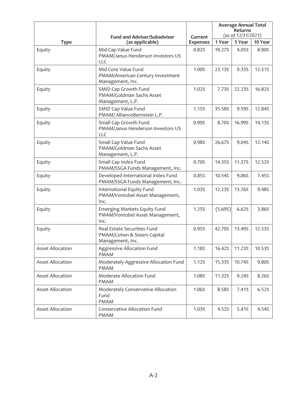|                         | <b>Fund and Adviser/Subadviser</b>                                             | Current         | <b>Average Annual Total</b><br>Returns<br>(as of 12/31/2021) |        |         |  |
|-------------------------|--------------------------------------------------------------------------------|-----------------|--------------------------------------------------------------|--------|---------|--|
| <b>Type</b>             | (as applicable)                                                                | <b>Expenses</b> | 1 Year                                                       | 5 Year | 10 Year |  |
| Equity                  | Mid Cap Value Fund<br>PMAM/Janus Henderson Investors US<br><b>LLC</b>          | 0.82%           | 19.27%                                                       | 4.05%  | 8.90%   |  |
| Equity                  | Mid Core Value Fund<br>PMAM/American Century Investment<br>Management, Inc.    | 1.00%           | 23.13%                                                       | 9.33%  | 12.51%  |  |
| Equity                  | SMID Cap Growth Fund<br>PMAM/Goldman Sachs Asset<br>Management, L.P.           | 1.02%           | 7.73%                                                        | 22.23% | 16.82%  |  |
| Equity                  | SMID Cap Value Fund<br>PMAM/ AllianceBernstein L.P.                            | 1.15%           | 35.58%                                                       | 9.59%  | 12.84%  |  |
| Equity                  | Small Cap Growth Fund<br>PMAM/Janus Henderson Investors US<br>LLC              | 0.99%           | 8.70%                                                        | 16.99% | 14.13%  |  |
| Equity                  | Small Cap Value Fund<br>PMAM/Goldman Sachs Asset<br>Management, L.P.           | 0.98%           | 26.67%                                                       | 9.04%  | 12.14%  |  |
| Equity                  | Small Cap Index Fund<br>PMAM/SSGA Funds Management, Inc.                       | 0.70%           | 14.35%                                                       | 11.37% | 12.52%  |  |
| Equity                  | Developed International Index Fund<br>PMAM/SSGA Funds Management, Inc.         | 0.85%           | 10.54%                                                       | 9.06%  | 7.45%   |  |
| Equity                  | International Equity Fund<br>PMAM/Vontobel Asset Management,<br>Inc.           | 1.03%           | 12.23%                                                       | 13.76% | 9.48%   |  |
| Equity                  | Emerging Markets Equity Fund<br>PMAM/Vontobel Asset Management,<br>Inc.        | 1.25%           | (5.69%)                                                      | 6.62%  | 3.86%   |  |
| Equity                  | Real Estate Securities Fund<br>PMAM/Cohen & Steers Capital<br>Management, Inc. | 0.95%           | 42.70%                                                       | 13.49% | 12.53%  |  |
| <b>Asset Allocation</b> | Aggressive Allocation Fund<br><b>PMAM</b>                                      | 1.18%           | 16.42%                                                       | 11.23% | 10.53%  |  |
| <b>Asset Allocation</b> | Moderately Aggressive Allocation Fund<br><b>PMAM</b>                           | 1.12%           | 15.33%                                                       | 10.74% | 9.80%   |  |
| <b>Asset Allocation</b> | Moderate Allocation Fund<br><b>PMAM</b>                                        | 1.08%           | 11.32%                                                       | 9.24%  | 8.26%   |  |
| <b>Asset Allocation</b> | Moderately Conservative Allocation<br>Fund<br>PMAM                             | 1.06%           | 8.58%                                                        | 7.41%  | 6.52%   |  |
| <b>Asset Allocation</b> | Conservative Allocation Fund<br><b>PMAM</b>                                    | 1.03%           | 4.52%                                                        | 5.41%  | 4.54%   |  |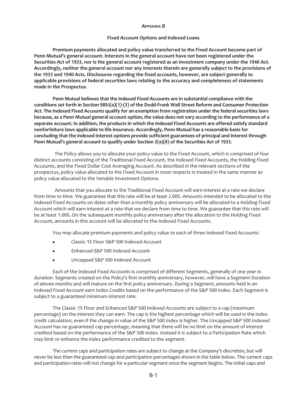#### **APPENDIX B**

#### **Fixed Account Options and Indexed Loans**

**Premium payments allocated and policy value transferred to the Fixed Account become part of Penn Mutual's general account. Interests in the general account have not been registered under the Securities Act of 1933, nor is the general account registered as an investment company under the 1940 Act. Accordingly, neither the general account nor any interests therein are generally subject to the provisions of the 1933 and 1940 Acts. Disclosures regarding the fixed accounts, however, are subject generally to applicable provisions of federal securities laws relating to the accuracy and completeness of statements made in the Prospectus.**

**Penn Mutual believes that the Indexed Fixed Accounts are in substantial compliance with the conditions set forth in Section 989J(a)(1)-(3) of the Dodd-Frank Wall Street Reform and Consumer Protection Act. The Indexed Fixed Accounts qualify for an exemption from registration under the federal securities laws because, as a Penn Mutual general account option, the value does not vary according to the performance of a separate account. In addition, the products in which the Indexed Fixed Accounts are offered satisfy standard nonforfeiture laws applicable to life insurance. Accordingly, Penn Mutual has a reasonable basis for concluding that the indexed interest options provide sufficient guarantees of principal and interest through Penn Mutual's general account to qualify under Section 3(a)(8) of the Securities Act of 1933.**

The Policy allows you to allocate your policy value to the Fixed Account, which is comprised of four distinct accounts consisting of the Traditional Fixed Account, the Indexed Fixed Accounts, the Holding Fixed Accounts, and the Fixed Dollar Cost Averaging Account. As described in the relevant sections of the prospectus, policy value allocated to the Fixed Account in most respects is treated in the same manner as policy value allocated to the Variable Investment Options.

Amounts that you allocate to the Traditional Fixed Account will earn interest at a rate we declare from time to time. We guarantee that this rate will be at least 2.00%. Amounts intended to be allocated to the Indexed Fixed Accounts on dates other than a monthly policy anniversary will be allocated to a Holding Fixed Account which will earn interest at a rate that we declare from time to time. We guarantee that this rate will be at least 1.00%. On the subsequent monthly policy anniversary after the allocation to the Holding Fixed Account, amounts in this account will be allocated to the Indexed Fixed Accounts.

You may allocate premium payments and policy value to each of three Indexed Fixed Accounts:

- Classic 1% Floor S&P 500 Indexed Account
- Enhanced S&P 500 Indexed Account
- Uncapped S&P 500 Indexed Account

Each of the Indexed Fixed Accounts is comprised of different Segments, generally of one year in duration. Segments created on the Policy's first monthly anniversary, however, will have a Segment Duration of eleven months and will mature on the first policy anniversary. During a Segment, amounts held in an Indexed Fixed Account earn Index Credits based on the performance of the S&P 500 Index. Each Segment is subject to a guaranteed minimum interest rate.

The Classic 1% Floor and Enhanced S&P 500 Indexed Accounts are subject to a cap (maximum percentage) on the interest they can earn. The cap is the highest percentage which will be used in the index credit calculation, even if the change in value of the S&P 500 Index is higher. The Uncapped S&P 500 Indexed Account has no guaranteed cap percentage, meaning that there will be no limit on the amount of interest credited based on the performance of the S&P 500 Index. Instead it is subject to a Participation Rate which may limit or enhance the index performance credited to the segment.

The current caps and participation rates are subject to change at the Company's discretion, but will never be less than the guaranteed cap and participation percentages shown in the table below. The current caps and participation rates will not change for a particular segment once the segment begins. The initial caps and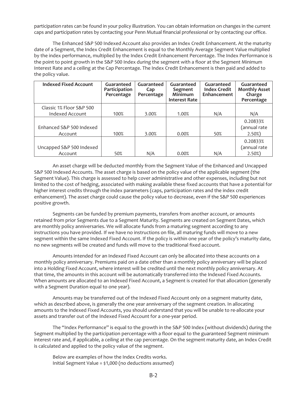participation rates can be found in your policy illustration. You can obtain information on changes in the current caps and participation rates by contacting your Penn Mutual financial professional or by contacting our office.

The Enhanced S&P 500 Indexed Account also provides an Index Credit Enhancement. At the maturity date of a Segment, the Index Credit Enhancement is equal to the Monthly Average Segment Value multiplied by the index performance, multiplied by the Index Credit Enhancement Percentage. The Index Performance is the point to point growth in the S&P 500 Index during the segment with a floor at the Segment Minimum Interest Rate and a ceiling at the Cap Percentage. The Index Credit Enhancement is then paid and added to the policy value.

| <b>Indexed Fixed Account</b> | Guaranteed<br>Participation<br>Percentage | Guaranteed<br>Cap<br>Percentage | Guaranteed<br>Segment<br><b>Minimum</b><br><b>Interest Rate</b> | Guaranteed<br><b>Index Credit</b><br>Enhancement | Guaranteed<br><b>Monthly Asset</b><br>Charge<br>Percentage |
|------------------------------|-------------------------------------------|---------------------------------|-----------------------------------------------------------------|--------------------------------------------------|------------------------------------------------------------|
| Classic 1% Floor S&P 500     |                                           |                                 |                                                                 |                                                  |                                                            |
| Indexed Account              | 100%                                      | 3.00%                           | 1.00%                                                           | N/A                                              | N/A                                                        |
|                              |                                           |                                 |                                                                 |                                                  | 0.20833%                                                   |
| Enhanced S&P 500 Indexed     |                                           |                                 |                                                                 |                                                  | (annual rate                                               |
| Account                      | 100%                                      | 3.00%                           | 0.00%                                                           | 50%                                              | 2.50%)                                                     |
|                              |                                           |                                 |                                                                 |                                                  | 0.20833%                                                   |
| Uncapped S&P 500 Indexed     |                                           |                                 |                                                                 |                                                  | (annual rate                                               |
| Account                      | 50%                                       | N/A                             | 0.00%                                                           | N/A                                              | $2.50\%)$                                                  |

An asset charge will be deducted monthly from the Segment Value of the Enhanced and Uncapped S&P 500 Indexed Accounts. The asset charge is based on the policy value of the applicable segment (the Segment Value). This charge is assessed to help cover administrative and other expenses, including but not limited to the cost of hedging, associated with making available these fixed accounts that have a potential for higher interest credits through the index parameters (caps, participation rates and the index credit enhancement). The asset charge could cause the policy value to decrease, even if the S&P 500 experiences positive growth.

Segments can be funded by premium payments, transfers from another account, or amounts retained from prior Segments due to a Segment Maturity. Segments are created on Segment Dates, which are monthly policy anniversaries. We will allocate funds from a maturing segment according to any instructions you have provided. If we have no instructions on file, all maturing funds will move to a new segment within the same Indexed Fixed Account. If the policy is within one year of the policy's maturity date, no new segments will be created and funds will move to the traditional fixed account.

Amounts intended for an Indexed Fixed Account can only be allocated into these accounts on a monthly policy anniversary. Premiums paid on a date other than a monthly policy anniversary will be placed into a Holding Fixed Account, where interest will be credited until the next monthly policy anniversary. At that time, the amounts in this account will be automatically transferred into the Indexed Fixed Accounts. When amounts are allocated to an Indexed Fixed Account, a Segment is created for that allocation (generally with a Segment Duration equal to one year).

Amounts may be transferred out of the Indexed Fixed Account only on a segment maturity date, which as described above, is generally the one year anniversary of the segment creation. In allocating amounts to the Indexed Fixed Accounts, you should understand that you will be unable to re-allocate your assets and transfer out of the Indexed Fixed Account for a one-year period.

The "Index Performance" is equal to the growth in the S&P 500 Index (without dividends) during the Segment multiplied by the participation percentage with a floor equal to the guaranteed Segment minimum interest rate and, if applicable, a ceiling at the cap percentage. On the segment maturity date, an Index Credit is calculated and applied to the policy value of the segment.

Below are examples of how the Index Credits works. Initial Segment Value = \$1,000 (no deductions assumed)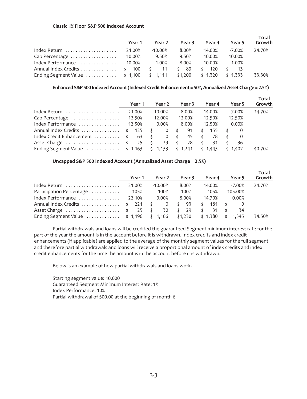#### **Classic 1% Floor S&P 500 Indexed Account**

|                                                 | Year 1 | Year 2    | Year 3     | Year 4              | Year 5    | Total<br>Growth |
|-------------------------------------------------|--------|-----------|------------|---------------------|-----------|-----------------|
| Index Return                                    | 21.00% | $-10.00%$ | 8.00%      | 14.00%              | $-7.00\%$ | 24.70%          |
| Cap Percentage                                  | 10.00% | 9.50%     | 9.50%      | 10.00%              | 10.00%    |                 |
| Index Performance                               | 10.00% | 1.00%     | 8.00%      | 10.00%              | 1.00%     |                 |
| Annual Index Credits  \$ 100 \$                 |        | - 11      | - 89<br>Ś. | 120<br>\$           | - \$      |                 |
| Ending Segment Value  \$ 1,100 \$ 1,111 \$1,200 |        |           |            | $\frac{1}{2}$ 1.320 | \$1,333   | 33.30%          |

**Enhanced S&P 500 Indexed Account (Indexed Credit Enhancement = 50%, Annualized Asset Charge = 2.5%)**

|                                                        | Year 1 | Year 2    | Year 3 |               | Year 4  |          | Year 5  | Total<br>Growth |
|--------------------------------------------------------|--------|-----------|--------|---------------|---------|----------|---------|-----------------|
| Index Return                                           | 21.00% | $-10.00%$ | 8.00%  |               | 14.00%  |          | -7.00%  | 24.70%          |
|                                                        |        | 12.00%    | 12.00% |               | 12.50%  |          | 12.50%  |                 |
| Index Performance $\ldots \ldots \ldots \ldots$ 12.50% |        | 0.00%     | 8.00%  |               | 12.50%  |          | 0.00%   |                 |
| Annual Index Credits \$ 125 \$                         |        | $0 \leq$  | 91     | \$            | -155    | - \$     |         |                 |
| lndex Credit Enhancement  \$ 63 \$ 0 \$                |        |           | 45\$   |               | 78      | - \$     |         |                 |
| Asset Charge  \$ 25 \$                                 |        | 29 \$     | 28     | $\frac{1}{2}$ | 31      | $\sim$ 5 | 36      |                 |
| Ending Segment Value  \$ 1,163 \$ 1,133 \$ 1,241       |        |           |        |               | \$1,443 |          | \$1,407 | 40.70%          |

## **Uncapped S&P 500 Indexed Account (Annualized Asset Charge = 2.5%)**

|                                                             | Year 1 | Year 2    | Year 3     | Year 4             | Year 5      | Total<br>Growth |
|-------------------------------------------------------------|--------|-----------|------------|--------------------|-------------|-----------------|
| $1$ ndex Return $\ldots \ldots \ldots \ldots \ldots$ 21.00% |        | $-10.00%$ | 8.00%      | 14.00%             | $-7.00%$    | 24.70%          |
| Participation Percentage                                    | 105%   | 100%      | 100%       | 105%               | 105.00%     |                 |
| Index Performance $\ldots \ldots \ldots \ldots$ 22.10%      |        | 0.00%     | 8.00%      | 14.70%             | 0.00%       |                 |
| Annual Index Credits  \$ 221 \$ 0                           |        |           | \$ 93      | 181 \$<br>$\sim$ 5 |             |                 |
| Asset Charge  \$ 25 \$                                      |        | 30        | - 29<br>S. | $\cdot$ \$<br>-31  | 34          |                 |
| Ending Segment Value  \$ 1,196 \$ 1,166 \$1,230 \$ 1,380    |        |           |            |                    | 1.345<br>\$ | 34.50%          |

Partial withdrawals and loans will be credited the guaranteed Segment minimum interest rate for the part of the year the amount is in the account before it is withdrawn. Index credits and index credit enhancements (if applicable) are applied to the average of the monthly segment values for the full segment and therefore partial withdrawals and loans will receive a proportional amount of index credits and index credit enhancements for the time the amount is in the account before it is withdrawn.

Below is an example of how partial withdrawals and loans work.

Starting segment value: 10,000 Guaranteed Segment Minimum Interest Rate: 1% Index Performance: 10% Partial withdrawal of 500.00 at the beginning of month 6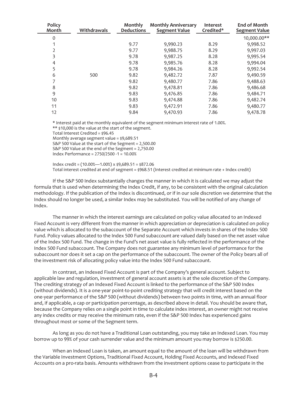| <b>Policy</b><br>Month | Withdrawals | Monthly<br><b>Deductions</b> | <b>Monthly Anniversary</b><br><b>Segment Value</b> | <b>Interest</b><br>Credited* | <b>End of Month</b><br><b>Segment Value</b> |
|------------------------|-------------|------------------------------|----------------------------------------------------|------------------------------|---------------------------------------------|
| $\Omega$               |             |                              |                                                    |                              | 10,000.00**                                 |
|                        |             | 9.77                         | 9,990.23                                           | 8.29                         | 9,998.52                                    |
|                        |             | 9.77                         | 9,988.75                                           | 8.29                         | 9,997.03                                    |
|                        |             | 9.78                         | 9,987.25                                           | 8.28                         | 9,995.54                                    |
| 4                      |             | 9.78                         | 9,985.76                                           | 8.28                         | 9,994.04                                    |
| 5                      |             | 9.78                         | 9,984.26                                           | 8.28                         | 9,992.54                                    |
| 6                      | 500         | 9.82                         | 9,482.72                                           | 7.87                         | 9,490.59                                    |
|                        |             | 9.82                         | 9,480.77                                           | 7.86                         | 9,488.63                                    |
| 8                      |             | 9.82                         | 9,478.81                                           | 7.86                         | 9,486.68                                    |
| 9                      |             | 9.83                         | 9,476.85                                           | 7.86                         | 9,484.71                                    |
| 10                     |             | 9.83                         | 9,474.88                                           | 7.86                         | 9,482.74                                    |
| 11                     |             | 9.83                         | 9,472.91                                           | 7.86                         | 9,480.77                                    |
| 12                     |             | 9.84                         | 9,470.93                                           | 7.86                         | 9,478.78                                    |

\* Interest paid at the monthly equivalent of the segment minimum interest rate of 1.00%. \*\* \$10,000 is the value at the start of the segment. Total Interest Credited = \$96.45 Monthly average segment value = \$9,689.51 S&P 500 Value at the start of the Segment = 2,500.00

S&P 500 Value at the end of the Segment = 2,750.00 Index Performance = 2750/2500 -1 = 10.00%

Index credit =  $(10.00\% - 1.00\%)$  x \$9,689.51 = \$872.06 Total interest credited at end of segment = \$968.51 (Interest credited at minimum rate + Index credit)

If the S&P 500 Index substantially changes the manner in which it is calculated we may adjust the formula that is used when determining the Index Credit, if any, to be consistent with the original calculation methodology. If the publication of the Index is discontinued, or if in our sole discretion we determine that the Index should no longer be used, a similar Index may be substituted. You will be notified of any change of Index.

The manner in which the interest earnings are calculated on policy value allocated to an Indexed Fixed Account is very different from the manner in which appreciation or depreciation is calculated on policy value which is allocated to the subaccount of the Separate Account which invests in shares of the Index 500 Fund. Policy values allocated to the Index 500 Fund subaccount are valued daily based on the net asset value of the Index 500 Fund. The change in the Fund's net asset value is fully reflected in the performance of the Index 500 Fund subaccount. The Company does not guarantee any minimum level of performance for the subaccount nor does it set a cap on the performance of the subaccount. The owner of the Policy bears all of the investment risk of allocating policy value into the Index 500 Fund subaccount.

In contrast, an Indexed Fixed Account is part of the Company's general account. Subject to applicable law and regulation, investment of general account assets is at the sole discretion of the Company. The crediting strategy of an Indexed Fixed Account is linked to the performance of the S&P 500 Index (without dividends). It is a one-year point-to-point crediting strategy that will credit interest based on the one-year performance of the S&P 500 (without dividends) between two points in time, with an annual floor and, if applicable, a cap or participation percentage, as described above in detail. You should be aware that, because the Company relies on a single point in time to calculate index interest, an owner might not receive any index credits or may receive the minimum rate, even if the S&P 500 Index has experienced gains throughout most or some of the Segment term.

As long as you do not have a Traditional Loan outstanding, you may take an Indexed Loan. You may borrow up to 99% of your cash surrender value and the minimum amount you may borrow is \$250.00.

When an Indexed Loan is taken, an amount equal to the amount of the loan will be withdrawn from the Variable Investment Options, Traditional Fixed Account, Holding Fixed Accounts, and Indexed Fixed Accounts on a pro-rata basis. Amounts withdrawn from the investment options cease to participate in the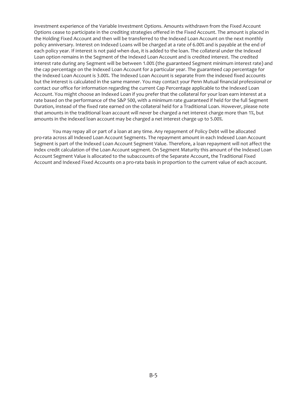investment experience of the Variable Investment Options. Amounts withdrawn from the Fixed Account Options cease to participate in the crediting strategies offered in the Fixed Account. The amount is placed in the Holding Fixed Account and then will be transferred to the Indexed Loan Account on the next monthly policy anniversary. Interest on Indexed Loans will be charged at a rate of 6.00% and is payable at the end of each policy year. If interest is not paid when due, it is added to the loan. The collateral under the Indexed Loan option remains in the Segment of the Indexed Loan Account and is credited interest. The credited interest rate during any Segment will be between 1.00% (the guaranteed Segment minimum interest rate) and the cap percentage on the Indexed Loan Account for a particular year. The guaranteed cap percentage for the Indexed Loan Account is 3.00%. The Indexed Loan Account is separate from the indexed fixed accounts but the interest is calculated in the same manner. You may contact your Penn Mutual financial professional or contact our office for information regarding the current Cap Percentage applicable to the Indexed Loan Account. You might choose an Indexed Loan if you prefer that the collateral for your loan earn interest at a rate based on the performance of the S&P 500, with a minimum rate guaranteed if held for the full Segment Duration, instead of the fixed rate earned on the collateral held for a Traditional Loan. However, please note that amounts in the traditional loan account will never be charged a net interest charge more than 1%, but amounts in the indexed loan account may be charged a net interest charge up to 5.00%.

You may repay all or part of a loan at any time. Any repayment of Policy Debt will be allocated pro-rata across all Indexed Loan Account Segments. The repayment amount in each Indexed Loan Account Segment is part of the Indexed Loan Account Segment Value. Therefore, a loan repayment will not affect the index credit calculation of the Loan Account segment. On Segment Maturity this amount of the Indexed Loan Account Segment Value is allocated to the subaccounts of the Separate Account, the Traditional Fixed Account and Indexed Fixed Accounts on a pro-rata basis in proportion to the current value of each account.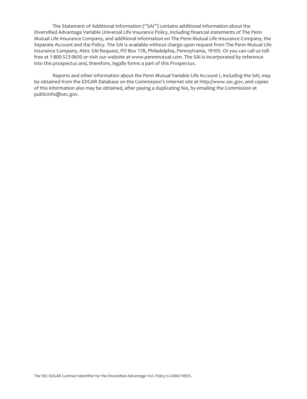The Statement of Additional Information ("SAI") contains additional information about the Diversified Advantage Variable Universal Life Insurance Policy, including financial statements of The Penn Mutual Life Insurance Company, and additional information on The Penn Mutual Life Insurance Company, the Separate Account and the Policy. The SAI is available without charge upon request from The Penn Mutual Life Insurance Company, Attn: SAI Request, PO Box 178, Philadelphia, Pennsylvania, 19105. Or you can call us tollfree at 1-800-523-0650 or visit our website at www.pennmutual.com. The SAI is incorporated by reference into this prospectus and, therefore, legally forms a part of this Prospectus.

Reports and other information about the Penn Mutual Variable Life Account I, including the SAI, may be obtained from the EDGAR Database on the Commission's Internet site at http://www.sec.gov, and copies of this information also may be obtained, after paying a duplicating fee, by emailing the Commission at publicinfo@sec.gov.